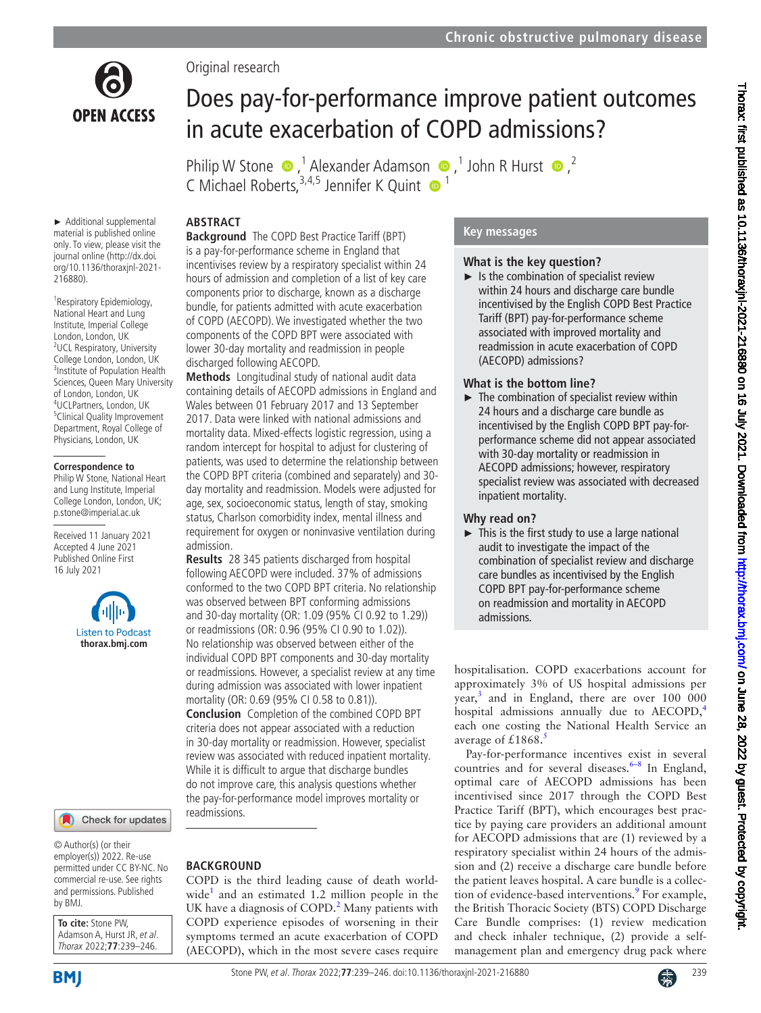

Original research

# Does pay-for-performance improve patient outcomes in acute exacerbation of COPD admissions?

PhilipW Stone  $\bullet$ , <sup>1</sup> Alexander Adamson  $\bullet$ , <sup>1</sup> John R Hurst  $\bullet$ , <sup>2</sup> C Michael Roberts.<sup>3,4,5</sup> Jennifer K Ouint  $\bullet$ <sup>1</sup>

## **ABSTRACT**

► Additional supplemental material is published online only. To view, please visit the journal online (http://dx.doi. org/10.1136/thoraxjnl-2021- 216880).

<sup>1</sup> Respiratory Epidemiology, National Heart and Lung Institute, Imperial College London, London, UK <sup>2</sup>UCL Respiratory, University College London, London, UK 3 Institute of Population Health Sciences, Queen Mary University of London, London, UK 4 UCLPartners, London, UK 5 Clinical Quality Improvement Department, Royal College of Physicians, London, UK

#### **Correspondence to**

Philip W Stone, National Heart and Lung Institute, Imperial College London, London, UK; p.stone@imperial.ac.uk

Received 11 January 2021 Accepted 4 June 2021 Published Online First 16 July 2021



#### Check for updates

© Author(s) (or their employer(s)) 2022. Re-use permitted under CC BY-NC. No commercial re-use. See rights and permissions. Published by BMJ.

**To cite:** Stone PW, Adamson A, Hurst JR, et al. Thorax 2022;**77**:239–246.

**Background** The COPD Best Practice Tariff (BPT) is a pay-for-performance scheme in England that incentivises review by a respiratory specialist within 24 hours of admission and completion of a list of key care components prior to discharge, known as a discharge bundle, for patients admitted with acute exacerbation of COPD (AECOPD). We investigated whether the two components of the COPD BPT were associated with lower 30-day mortality and readmission in people discharged following AECOPD.

**Methods** Longitudinal study of national audit data containing details of AECOPD admissions in England and Wales between 01 February 2017 and 13 September 2017. Data were linked with national admissions and mortality data. Mixed-effects logistic regression, using a random intercept for hospital to adjust for clustering of patients, was used to determine the relationship between the COPD BPT criteria (combined and separately) and 30 day mortality and readmission. Models were adjusted for age, sex, socioeconomic status, length of stay, smoking status, Charlson comorbidity index, mental illness and requirement for oxygen or noninvasive ventilation during admission.

**Results** 28 345 patients discharged from hospital following AECOPD were included. 37% of admissions conformed to the two COPD BPT criteria. No relationship was observed between BPT conforming admissions and 30-day mortality (OR: 1.09 (95% CI 0.92 to 1.29)) or readmissions (OR: 0.96 (95% CI 0.90 to 1.02)). No relationship was observed between either of the individual COPD BPT components and 30-day mortality or readmissions. However, a specialist review at any time during admission was associated with lower inpatient mortality (OR: 0.69 (95% CI 0.58 to 0.81)). **Conclusion** Completion of the combined COPD BPT criteria does not appear associated with a reduction in 30-day mortality or readmission. However, specialist review was associated with reduced inpatient mortality. While it is difficult to argue that discharge bundles do not improve care, this analysis questions whether the pay-for-performance model improves mortality or readmissions.

## **BACKGROUND**

COPD is the third leading cause of death worldwide<sup>1</sup> and an estimated 1.2 million people in the UK have a diagnosis of COPD. $^2$  Many patients with COPD experience episodes of worsening in their symptoms termed an acute exacerbation of COPD (AECOPD), which in the most severe cases require

## **Key messages**

## **What is the key question?**

 $\blacktriangleright$  Is the combination of specialist review within 24 hours and discharge care bundle incentivised by the English COPD Best Practice Tariff (BPT) pay-for-performance scheme associated with improved mortality and readmission in acute exacerbation of COPD (AECOPD) admissions?

## **What is the bottom line?**

 $\blacktriangleright$  The combination of specialist review within 24 hours and a discharge care bundle as incentivised by the English COPD BPT pay-forperformance scheme did not appear associated with 30-day mortality or readmission in AECOPD admissions; however, respiratory specialist review was associated with decreased inpatient mortality.

## **Why read on?**

 $\blacktriangleright$  This is the first study to use a large national audit to investigate the impact of the combination of specialist review and discharge care bundles as incentivised by the English COPD BPT pay-for-performance scheme on readmission and mortality in AECOPD admissions.

hospitalisation. COPD exacerbations account for approximately 3% of US hospital admissions per year,<sup>[3](#page-6-2)</sup> and in England, there are over 100 000 hospital admissions annually due to AECOPD,<sup>[4](#page-6-3)</sup> each one costing the National Health Service an average of  $£1868$ .<sup>[5](#page-6-4)</sup>

Pay-for-performance incentives exist in several countries and for several diseases. $6-8$  In England, optimal care of AECOPD admissions has been incentivised since 2017 through the COPD Best Practice Tariff (BPT), which encourages best practice by paying care providers an additional amount for AECOPD admissions that are (1) reviewed by a respiratory specialist within 24 hours of the admission and (2) receive a discharge care bundle before the patient leaves hospital. A care bundle is a collection of evidence-based interventions.<sup>9</sup> For example, the British Thoracic Society (BTS) COPD Discharge Care Bundle comprises: (1) review medication and check inhaler technique, (2) provide a selfmanagement plan and emergency drug pack where

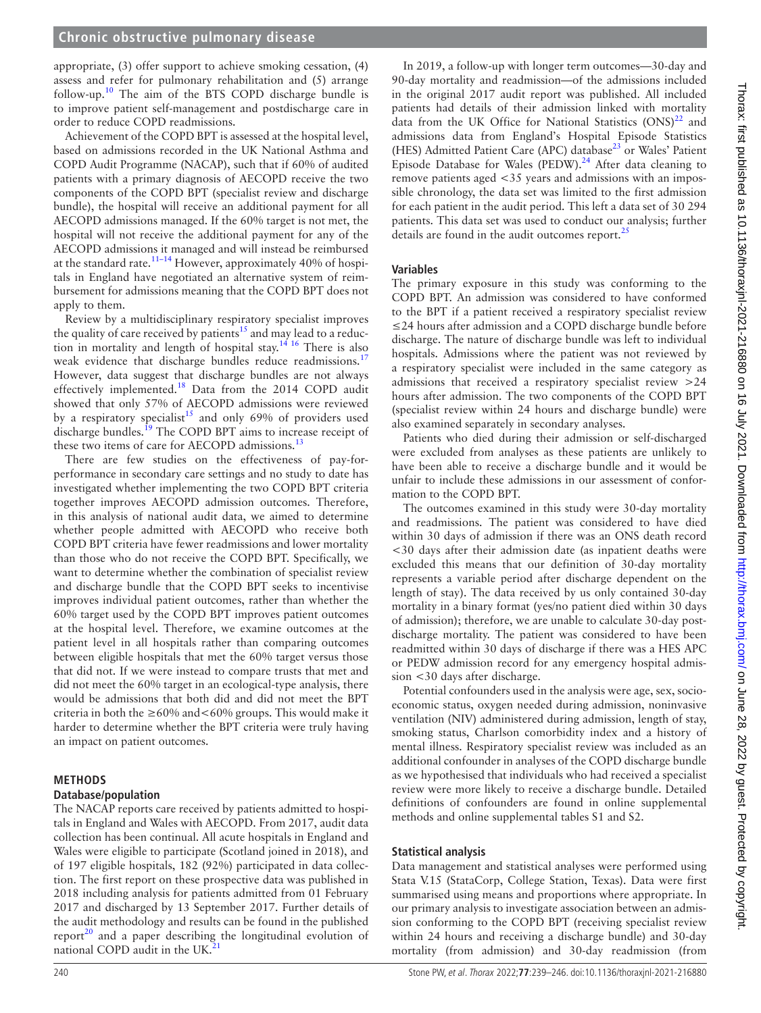#### **Chronic obstructive pulmonary disease**

appropriate, (3) offer support to achieve smoking cessation, (4) assess and refer for pulmonary rehabilitation and (5) arrange follow-up[.10](#page-7-0) The aim of the BTS COPD discharge bundle is to improve patient self-management and postdischarge care in order to reduce COPD readmissions.

Achievement of the COPD BPT is assessed at the hospital level, based on admissions recorded in the UK National Asthma and COPD Audit Programme (NACAP), such that if 60% of audited patients with a primary diagnosis of AECOPD receive the two components of the COPD BPT (specialist review and discharge bundle), the hospital will receive an additional payment for all AECOPD admissions managed. If the 60% target is not met, the hospital will not receive the additional payment for any of the AECOPD admissions it managed and will instead be reimbursed at the standard rate.<sup>11–14</sup> However, approximately 40% of hospitals in England have negotiated an alternative system of reimbursement for admissions meaning that the COPD BPT does not apply to them.

Review by a multidisciplinary respiratory specialist improves the quality of care received by patients<sup>15</sup> and may lead to a reduction in mortality and length of hospital stay.[14 16](#page-7-3) There is also weak evidence that discharge bundles reduce readmissions.<sup>[17](#page-7-4)</sup> However, data suggest that discharge bundles are not always effectively implemented.[18](#page-7-5) Data from the 2014 COPD audit showed that only 57% of AECOPD admissions were reviewed by a respiratory specialist<sup>15</sup> and only 69% of providers used discharge bundles.<sup>19</sup> The COPD BPT aims to increase receipt of these two items of care for AECOPD admissions.<sup>13</sup>

There are few studies on the effectiveness of pay-forperformance in secondary care settings and no study to date has investigated whether implementing the two COPD BPT criteria together improves AECOPD admission outcomes. Therefore, in this analysis of national audit data, we aimed to determine whether people admitted with AECOPD who receive both COPD BPT criteria have fewer readmissions and lower mortality than those who do not receive the COPD BPT. Specifically, we want to determine whether the combination of specialist review and discharge bundle that the COPD BPT seeks to incentivise improves individual patient outcomes, rather than whether the 60% target used by the COPD BPT improves patient outcomes at the hospital level. Therefore, we examine outcomes at the patient level in all hospitals rather than comparing outcomes between eligible hospitals that met the 60% target versus those that did not. If we were instead to compare trusts that met and did not meet the 60% target in an ecological-type analysis, there would be admissions that both did and did not meet the BPT criteria in both the  $\geq 60\%$  and  $\lt 60\%$  groups. This would make it harder to determine whether the BPT criteria were truly having an impact on patient outcomes.

# **METHODS**

## **Database/population**

The NACAP reports care received by patients admitted to hospitals in England and Wales with AECOPD. From 2017, audit data collection has been continual. All acute hospitals in England and Wales were eligible to participate (Scotland joined in 2018), and of 197 eligible hospitals, 182 (92%) participated in data collection. The first report on these prospective data was published in 2018 including analysis for patients admitted from 01 February 2017 and discharged by 13 September 2017. Further details of the audit methodology and results can be found in the published report<sup>20</sup> and a paper describing the longitudinal evolution of national COPD audit in the UK.<sup>21</sup>

In 2019, a follow-up with longer term outcomes—30-day and 90-day mortality and readmission—of the admissions included in the original 2017 audit report was published. All included patients had details of their admission linked with mortality data from the UK Office for National Statistics  $(ONS)^{22}$  and admissions data from England's Hospital Episode Statistics (HES) Admitted Patient Care (APC) database<sup>[23](#page-7-11)</sup> or Wales' Patient Episode Database for Wales (PEDW).<sup>[24](#page-7-12)</sup> After data cleaning to remove patients aged <35 years and admissions with an impossible chronology, the data set was limited to the first admission for each patient in the audit period. This left a data set of 30 294 patients. This data set was used to conduct our analysis; further details are found in the audit outcomes report. $^{25}$ 

#### **Variables**

The primary exposure in this study was conforming to the COPD BPT. An admission was considered to have conformed to the BPT if a patient received a respiratory specialist review ≤24 hours after admission and a COPD discharge bundle before discharge. The nature of discharge bundle was left to individual hospitals. Admissions where the patient was not reviewed by a respiratory specialist were included in the same category as admissions that received a respiratory specialist review >24 hours after admission. The two components of the COPD BPT (specialist review within 24 hours and discharge bundle) were also examined separately in secondary analyses.

Patients who died during their admission or self-discharged were excluded from analyses as these patients are unlikely to have been able to receive a discharge bundle and it would be unfair to include these admissions in our assessment of conformation to the COPD BPT.

The outcomes examined in this study were 30-day mortality and readmissions. The patient was considered to have died within 30 days of admission if there was an ONS death record <30 days after their admission date (as inpatient deaths were excluded this means that our definition of 30-day mortality represents a variable period after discharge dependent on the length of stay). The data received by us only contained 30-day mortality in a binary format (yes/no patient died within 30 days of admission); therefore, we are unable to calculate 30-day postdischarge mortality. The patient was considered to have been readmitted within 30 days of discharge if there was a HES APC or PEDW admission record for any emergency hospital admission <30 days after discharge.

Potential confounders used in the analysis were age, sex, socioeconomic status, oxygen needed during admission, noninvasive ventilation (NIV) administered during admission, length of stay, smoking status, Charlson comorbidity index and a history of mental illness. Respiratory specialist review was included as an additional confounder in analyses of the COPD discharge bundle as we hypothesised that individuals who had received a specialist review were more likely to receive a discharge bundle. Detailed definitions of confounders are found in [online supplemental](https://dx.doi.org/10.1136/thoraxjnl-2021-216880) [methods](https://dx.doi.org/10.1136/thoraxjnl-2021-216880) and [online supplemental tables S1 and S2.](https://dx.doi.org/10.1136/thoraxjnl-2021-216880)

#### **Statistical analysis**

Data management and statistical analyses were performed using Stata V.15 (StataCorp, College Station, Texas). Data were first summarised using means and proportions where appropriate. In our primary analysis to investigate association between an admission conforming to the COPD BPT (receiving specialist review within 24 hours and receiving a discharge bundle) and 30-day mortality (from admission) and 30-day readmission (from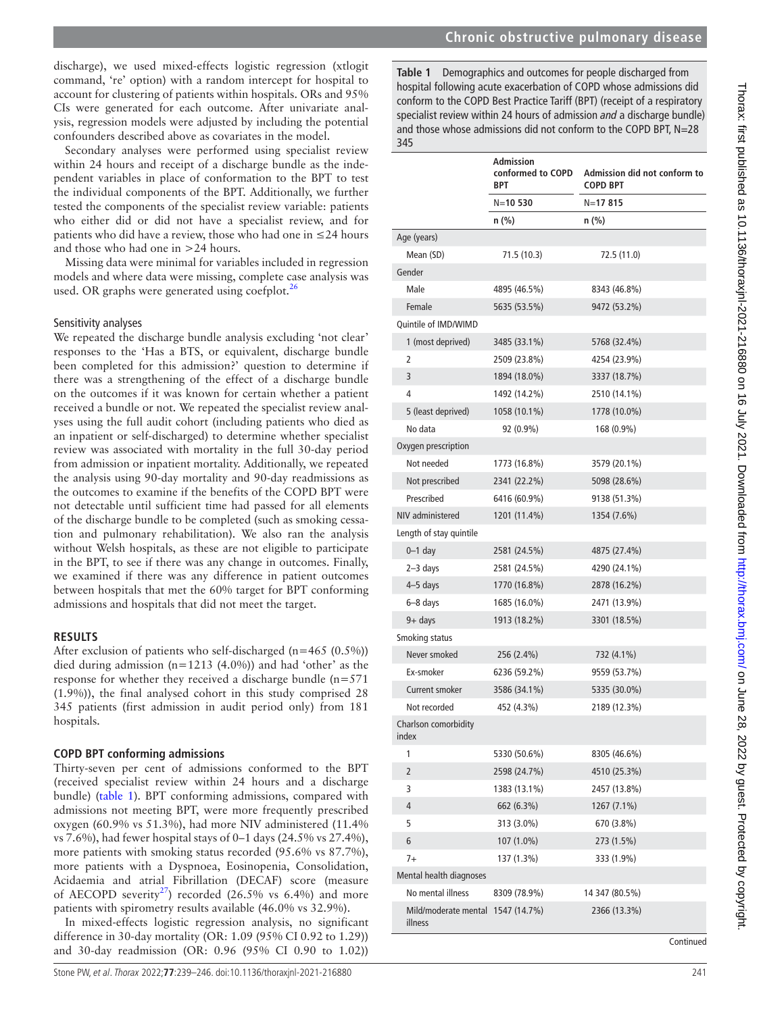<span id="page-2-0"></span>**Admission conformed to COPD Admission did not conform to COPD BPT**

discharge), we used mixed-effects logistic regression (xtlogit command, 're' option) with a random intercept for hospital to account for clustering of patients within hospitals. ORs and 95% CIs were generated for each outcome. After univariate analysis, regression models were adjusted by including the potential confounders described above as covariates in the model.

Secondary analyses were performed using specialist review within 24 hours and receipt of a discharge bundle as the independent variables in place of conformation to the BPT to test the individual components of the BPT. Additionally, we further tested the components of the specialist review variable: patients who either did or did not have a specialist review, and for patients who did have a review, those who had one in ≤24 hours and those who had one in >24 hours.

Missing data were minimal for variables included in regression models and where data were missing, complete case analysis was used. OR graphs were generated using coefplot. $^{26}$  $^{26}$  $^{26}$ 

#### Sensitivity analyses

We repeated the discharge bundle analysis excluding 'not clear' responses to the 'Has a BTS, or equivalent, discharge bundle been completed for this admission?' question to determine if there was a strengthening of the effect of a discharge bundle on the outcomes if it was known for certain whether a patient received a bundle or not. We repeated the specialist review analyses using the full audit cohort (including patients who died as an inpatient or self-discharged) to determine whether specialist review was associated with mortality in the full 30-day period from admission or inpatient mortality. Additionally, we repeated the analysis using 90-day mortality and 90-day readmissions as the outcomes to examine if the benefits of the COPD BPT were not detectable until sufficient time had passed for all elements of the discharge bundle to be completed (such as smoking cessation and pulmonary rehabilitation). We also ran the analysis without Welsh hospitals, as these are not eligible to participate in the BPT, to see if there was any change in outcomes. Finally, we examined if there was any difference in patient outcomes between hospitals that met the 60% target for BPT conforming admissions and hospitals that did not meet the target.

#### **RESULTS**

After exclusion of patients who self-discharged (n=465 (0.5%)) died during admission  $(n=1213 \ (4.0\%)$  and had 'other' as the response for whether they received a discharge bundle  $(n=571)$ (1.9%)), the final analysed cohort in this study comprised 28 345 patients (first admission in audit period only) from 181 hospitals.

#### **COPD BPT conforming admissions**

Thirty-seven per cent of admissions conformed to the BPT (received specialist review within 24 hours and a discharge bundle) ([table](#page-2-0) 1). BPT conforming admissions, compared with admissions not meeting BPT, were more frequently prescribed oxygen (60.9% vs 51.3%), had more NIV administered (11.4% vs 7.6%), had fewer hospital stays of 0–1 days (24.5% vs 27.4%), more patients with smoking status recorded (95.6% vs 87.7%), more patients with a Dyspnoea, Eosinopenia, Consolidation, Acidaemia and atrial Fibrillation (DECAF) score (measure of AECOPD severity<sup>27</sup>) recorded (26.5% vs 6.4%) and more patients with spirometry results available (46.0% vs 32.9%).

In mixed-effects logistic regression analysis, no significant difference in 30-day mortality (OR: 1.09 (95% CI 0.92 to 1.29)) and 30-day readmission (OR: 0.96 (95% CI 0.90 to 1.02))

**BPT**

|                                              | $N = 10530$  | N=17815        |
|----------------------------------------------|--------------|----------------|
|                                              | n (%)        | n (%)          |
| Age (years)                                  |              |                |
| Mean (SD)                                    | 71.5 (10.3)  | 72.5 (11.0)    |
| Gender                                       |              |                |
| Male                                         | 4895 (46.5%) | 8343 (46.8%)   |
| Female                                       | 5635 (53.5%) | 9472 (53.2%)   |
| Quintile of IMD/WIMD                         |              |                |
| 1 (most deprived)                            | 3485 (33.1%) | 5768 (32.4%)   |
| 2                                            | 2509 (23.8%) | 4254 (23.9%)   |
| 3                                            | 1894 (18.0%) | 3337 (18.7%)   |
| 4                                            | 1492 (14.2%) | 2510 (14.1%)   |
| 5 (least deprived)                           | 1058 (10.1%) | 1778 (10.0%)   |
| No data                                      | 92 (0.9%)    | 168 (0.9%)     |
| Oxygen prescription                          |              |                |
| Not needed                                   | 1773 (16.8%) | 3579 (20.1%)   |
| Not prescribed                               | 2341 (22.2%) | 5098 (28.6%)   |
| Prescribed                                   | 6416 (60.9%) | 9138 (51.3%)   |
| NIV administered                             | 1201 (11.4%) | 1354 (7.6%)    |
| Length of stay quintile                      |              |                |
| $0-1$ day                                    | 2581 (24.5%) | 4875 (27.4%)   |
| $2-3$ days                                   | 2581 (24.5%) | 4290 (24.1%)   |
| 4–5 days                                     | 1770 (16.8%) | 2878 (16.2%)   |
| $6 - 8$ days                                 | 1685 (16.0%) | 2471 (13.9%)   |
| $9 +$ days                                   | 1913 (18.2%) | 3301 (18.5%)   |
| Smoking status                               |              |                |
| Never smoked                                 | 256 (2.4%)   | 732 (4.1%)     |
| Ex-smoker                                    | 6236 (59.2%) | 9559 (53.7%)   |
| Current smoker                               | 3586 (34.1%) | 5335 (30.0%)   |
| Not recorded                                 | 452 (4.3%)   | 2189 (12.3%)   |
| Charlson comorbidity<br>index                |              |                |
| 1                                            | 5330 (50.6%) | 8305 (46.6%)   |
| $\overline{c}$                               | 2598 (24.7%) | 4510 (25.3%)   |
| 3                                            | 1383 (13.1%) | 2457 (13.8%)   |
| 4                                            | 662 (6.3%)   | 1267 (7.1%)    |
| 5                                            | 313 (3.0%)   | 670 (3.8%)     |
| 6                                            | 107 (1.0%)   | 273 (1.5%)     |
| $7+$                                         | 137 (1.3%)   | 333 (1.9%)     |
| Mental health diagnoses                      |              |                |
| No mental illness                            | 8309 (78.9%) | 14 347 (80.5%) |
| Mild/moderate mental 1547 (14.7%)<br>illness |              | 2366 (13.3%)   |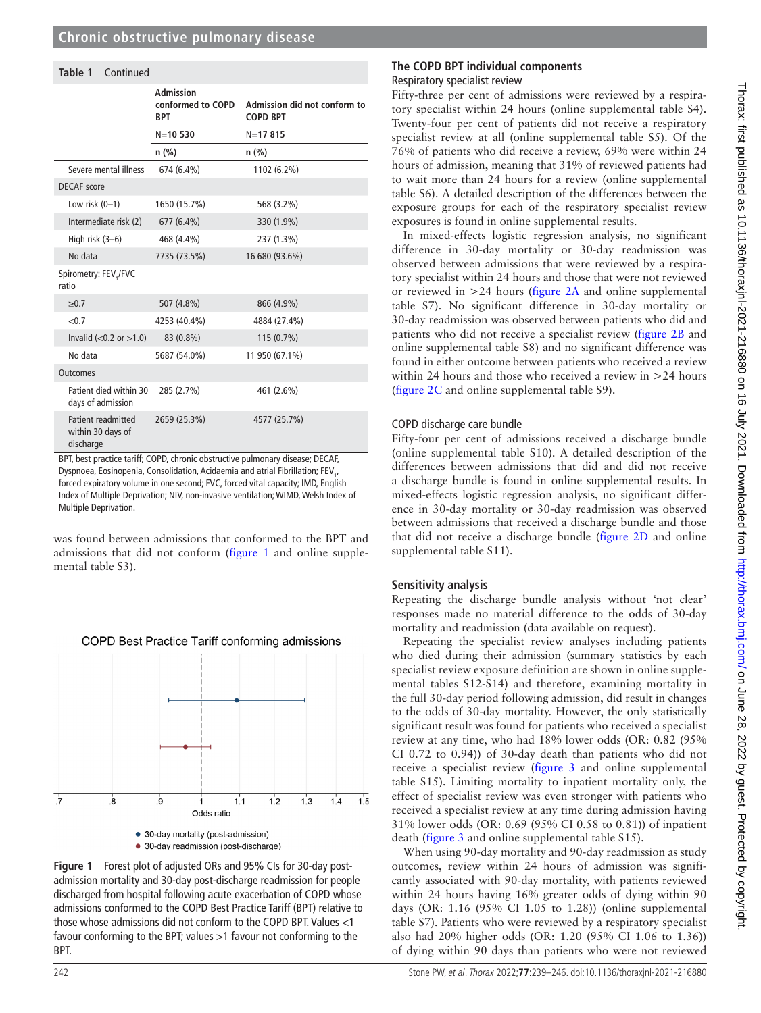| Table 1<br>Continued                                 |                                                     |                                                 |
|------------------------------------------------------|-----------------------------------------------------|-------------------------------------------------|
|                                                      | <b>Admission</b><br>conformed to COPD<br><b>BPT</b> | Admission did not conform to<br><b>COPD BPT</b> |
|                                                      | $N = 10530$                                         | $N = 17815$                                     |
|                                                      | $n$ (%)                                             | n(%)                                            |
| Severe mental illness                                | 674 (6.4%)                                          | 1102 (6.2%)                                     |
| <b>DECAF</b> score                                   |                                                     |                                                 |
| Low risk $(0-1)$                                     | 1650 (15.7%)                                        | 568 (3.2%)                                      |
| Intermediate risk (2)                                | 677 (6.4%)                                          | 330 (1.9%)                                      |
| High risk (3-6)                                      | 468 (4.4%)                                          | 237 (1.3%)                                      |
| No data                                              | 7735 (73.5%)                                        | 16 680 (93.6%)                                  |
| Spirometry: FEV,/FVC<br>ratio                        |                                                     |                                                 |
| $\geq 0.7$                                           | 507 (4.8%)                                          | 866 (4.9%)                                      |
| < 0.7                                                | 4253 (40.4%)                                        | 4884 (27.4%)                                    |
| Invalid $(<0.2$ or $>1.0$ )                          | 83 (0.8%)                                           | 115 (0.7%)                                      |
| No data                                              | 5687 (54.0%)                                        | 11 950 (67.1%)                                  |
| <b>Outcomes</b>                                      |                                                     |                                                 |
| Patient died within 30<br>days of admission          | 285 (2.7%)                                          | 461 (2.6%)                                      |
| Patient readmitted<br>within 30 days of<br>discharge | 2659 (25.3%)                                        | 4577 (25.7%)                                    |

BPT, best practice tariff; COPD, chronic obstructive pulmonary disease; DECAF, Dyspnoea, Eosinopenia, Consolidation, Acidaemia and atrial Fibrillation; FEV<sub>1</sub>, forced expiratory volume in one second; FVC, forced vital capacity; IMD, English Index of Multiple Deprivation; NIV, non-invasive ventilation; WIMD, Welsh Index of Multiple Deprivation.

was found between admissions that conformed to the BPT and admissions that did not conform [\(figure](#page-3-0) 1 and [online supple](https://dx.doi.org/10.1136/thoraxjnl-2021-216880)[mental table S3](https://dx.doi.org/10.1136/thoraxjnl-2021-216880)).



#### <span id="page-3-0"></span>**Figure 1** Forest plot of adjusted ORs and 95% CIs for 30-day postadmission mortality and 30-day post-discharge readmission for people discharged from hospital following acute exacerbation of COPD whose admissions conformed to the COPD Best Practice Tariff (BPT) relative to those whose admissions did not conform to the COPD BPT. Values <1 favour conforming to the BPT; values >1 favour not conforming to the BPT.

#### **The COPD BPT individual components** Respiratory specialist review

Fifty-three per cent of admissions were reviewed by a respiratory specialist within 24 hours ([online supplemental table S4\)](https://dx.doi.org/10.1136/thoraxjnl-2021-216880). Twenty-four per cent of patients did not receive a respiratory specialist review at all ([online supplemental table S5](https://dx.doi.org/10.1136/thoraxjnl-2021-216880)). Of the 76% of patients who did receive a review, 69% were within 24 hours of admission, meaning that 31% of reviewed patients had to wait more than 24 hours for a review ([online supplemental](https://dx.doi.org/10.1136/thoraxjnl-2021-216880) [table S6\)](https://dx.doi.org/10.1136/thoraxjnl-2021-216880). A detailed description of the differences between the exposure groups for each of the respiratory specialist review exposures is found in [online supplemental results](https://dx.doi.org/10.1136/thoraxjnl-2021-216880).

In mixed-effects logistic regression analysis, no significant difference in 30-day mortality or 30-day readmission was observed between admissions that were reviewed by a respiratory specialist within 24 hours and those that were not reviewed or reviewed in >24 hours ([figure](#page-4-0) 2A and [online supplemental](https://dx.doi.org/10.1136/thoraxjnl-2021-216880) [table S7](https://dx.doi.org/10.1136/thoraxjnl-2021-216880)). No significant difference in 30-day mortality or 30-day readmission was observed between patients who did and patients who did not receive a specialist review [\(figure](#page-4-0) 2B and [online supplemental table S8\)](https://dx.doi.org/10.1136/thoraxjnl-2021-216880) and no significant difference was found in either outcome between patients who received a review within 24 hours and those who received a review in >24 hours ([figure](#page-4-0) 2C and [online supplemental table S9](https://dx.doi.org/10.1136/thoraxjnl-2021-216880)).

## COPD discharge care bundle

Fifty-four per cent of admissions received a discharge bundle ([online supplemental table S10](https://dx.doi.org/10.1136/thoraxjnl-2021-216880)). A detailed description of the differences between admissions that did and did not receive a discharge bundle is found in [online supplemental results](https://dx.doi.org/10.1136/thoraxjnl-2021-216880). In mixed-effects logistic regression analysis, no significant difference in 30-day mortality or 30-day readmission was observed between admissions that received a discharge bundle and those that did not receive a discharge bundle [\(figure](#page-4-0) 2D and [online](https://dx.doi.org/10.1136/thoraxjnl-2021-216880) [supplemental table S11\)](https://dx.doi.org/10.1136/thoraxjnl-2021-216880).

## **Sensitivity analysis**

Repeating the discharge bundle analysis without 'not clear' responses made no material difference to the odds of 30-day mortality and readmission (data available on request).

Repeating the specialist review analyses including patients who died during their admission (summary statistics by each specialist review exposure definition are shown in [online supple](https://dx.doi.org/10.1136/thoraxjnl-2021-216880)[mental tables S12-S14\)](https://dx.doi.org/10.1136/thoraxjnl-2021-216880) and therefore, examining mortality in the full 30-day period following admission, did result in changes to the odds of 30-day mortality. However, the only statistically significant result was found for patients who received a specialist review at any time, who had 18% lower odds (OR: 0.82 (95% CI 0.72 to 0.94)) of 30-day death than patients who did not receive a specialist review [\(figure](#page-4-1) 3 and [online supplemental](https://dx.doi.org/10.1136/thoraxjnl-2021-216880) [table S15\)](https://dx.doi.org/10.1136/thoraxjnl-2021-216880). Limiting mortality to inpatient mortality only, the effect of specialist review was even stronger with patients who received a specialist review at any time during admission having 31% lower odds (OR: 0.69 (95% CI 0.58 to 0.81)) of inpatient death ([figure](#page-4-1) 3 and [online supplemental table S15\)](https://dx.doi.org/10.1136/thoraxjnl-2021-216880).

When using 90-day mortality and 90-day readmission as study outcomes, review within 24 hours of admission was significantly associated with 90-day mortality, with patients reviewed within 24 hours having 16% greater odds of dying within 90 days (OR: 1.16 (95% CI 1.05 to 1.28)) [\(online supplemental](https://dx.doi.org/10.1136/thoraxjnl-2021-216880) [table S7](https://dx.doi.org/10.1136/thoraxjnl-2021-216880)). Patients who were reviewed by a respiratory specialist also had 20% higher odds (OR: 1.20 (95% CI 1.06 to 1.36)) of dying within 90 days than patients who were not reviewed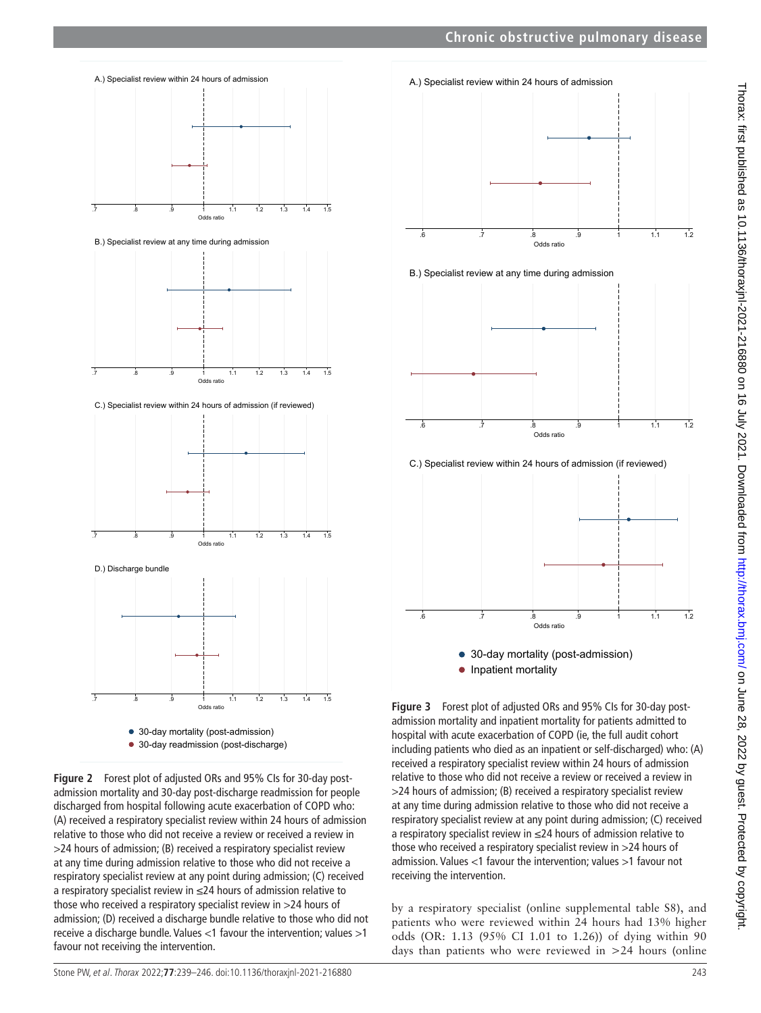

<span id="page-4-0"></span>**Figure 2** Forest plot of adjusted ORs and 95% CIs for 30-day postadmission mortality and 30-day post-discharge readmission for people discharged from hospital following acute exacerbation of COPD who: (A) received a respiratory specialist review within 24 hours of admission relative to those who did not receive a review or received a review in >24 hours of admission; (B) received a respiratory specialist review at any time during admission relative to those who did not receive a respiratory specialist review at any point during admission; (C) received a respiratory specialist review in ≤24 hours of admission relative to those who received a respiratory specialist review in >24 hours of admission; (D) received a discharge bundle relative to those who did not receive a discharge bundle. Values <1 favour the intervention; values >1 favour not receiving the intervention.



<span id="page-4-1"></span>**Figure 3** Forest plot of adjusted ORs and 95% CIs for 30-day postadmission mortality and inpatient mortality for patients admitted to hospital with acute exacerbation of COPD (ie, the full audit cohort including patients who died as an inpatient or self-discharged) who: (A) received a respiratory specialist review within 24 hours of admission relative to those who did not receive a review or received a review in >24 hours of admission; (B) received a respiratory specialist review at any time during admission relative to those who did not receive a respiratory specialist review at any point during admission; (C) received a respiratory specialist review in ≤24 hours of admission relative to those who received a respiratory specialist review in >24 hours of admission. Values <1 favour the intervention; values >1 favour not receiving the intervention.

by a respiratory specialist ([online supplemental table S8\)](https://dx.doi.org/10.1136/thoraxjnl-2021-216880), and patients who were reviewed within 24 hours had 13% higher odds (OR: 1.13 (95% CI 1.01 to 1.26)) of dying within 90 days than patients who were reviewed in >24 hours [\(online](https://dx.doi.org/10.1136/thoraxjnl-2021-216880)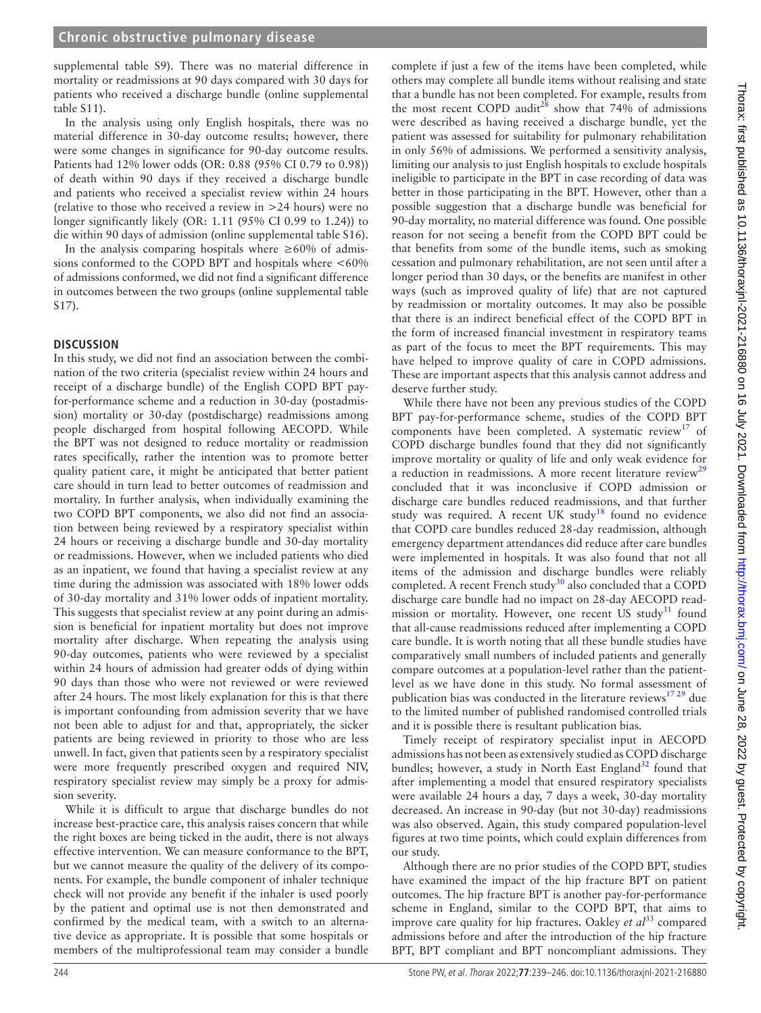[supplemental table S9\)](https://dx.doi.org/10.1136/thoraxjnl-2021-216880). There was no material difference in mortality or readmissions at 90 days compared with 30 days for patients who received a discharge bundle ([online supplemental](https://dx.doi.org/10.1136/thoraxjnl-2021-216880)  [table S11\)](https://dx.doi.org/10.1136/thoraxjnl-2021-216880).

In the analysis using only English hospitals, there was no material difference in 30-day outcome results; however, there were some changes in significance for 90-day outcome results. Patients had 12% lower odds (OR: 0.88 (95% CI 0.79 to 0.98)) of death within 90 days if they received a discharge bundle and patients who received a specialist review within 24 hours (relative to those who received a review in >24 hours) were no longer significantly likely (OR: 1.11 (95% CI 0.99 to 1.24)) to die within 90 days of admission ([online supplemental table S16](https://dx.doi.org/10.1136/thoraxjnl-2021-216880)).

In the analysis comparing hospitals where  $\geq 60\%$  of admissions conformed to the COPD BPT and hospitals where  $<60\%$ of admissions conformed, we did not find a significant difference in outcomes between the two groups ([online supplemental table](https://dx.doi.org/10.1136/thoraxjnl-2021-216880)  [S17\)](https://dx.doi.org/10.1136/thoraxjnl-2021-216880).

## **DISCUSSION**

In this study, we did not find an association between the combination of the two criteria (specialist review within 24 hours and receipt of a discharge bundle) of the English COPD BPT payfor-performance scheme and a reduction in 30-day (postadmission) mortality or 30-day (postdischarge) readmissions among people discharged from hospital following AECOPD. While the BPT was not designed to reduce mortality or readmission rates specifically, rather the intention was to promote better quality patient care, it might be anticipated that better patient care should in turn lead to better outcomes of readmission and mortality. In further analysis, when individually examining the two COPD BPT components, we also did not find an association between being reviewed by a respiratory specialist within 24 hours or receiving a discharge bundle and 30-day mortality or readmissions. However, when we included patients who died as an inpatient, we found that having a specialist review at any time during the admission was associated with 18% lower odds of 30-day mortality and 31% lower odds of inpatient mortality. This suggests that specialist review at any point during an admission is beneficial for inpatient mortality but does not improve mortality after discharge. When repeating the analysis using 90-day outcomes, patients who were reviewed by a specialist within 24 hours of admission had greater odds of dying within 90 days than those who were not reviewed or were reviewed after 24 hours. The most likely explanation for this is that there is important confounding from admission severity that we have not been able to adjust for and that, appropriately, the sicker patients are being reviewed in priority to those who are less unwell. In fact, given that patients seen by a respiratory specialist were more frequently prescribed oxygen and required NIV, respiratory specialist review may simply be a proxy for admission severity.

While it is difficult to argue that discharge bundles do not increase best-practice care, this analysis raises concern that while the right boxes are being ticked in the audit, there is not always effective intervention. We can measure conformance to the BPT, but we cannot measure the quality of the delivery of its components. For example, the bundle component of inhaler technique check will not provide any benefit if the inhaler is used poorly by the patient and optimal use is not then demonstrated and confirmed by the medical team, with a switch to an alternative device as appropriate. It is possible that some hospitals or members of the multiprofessional team may consider a bundle

complete if just a few of the items have been completed, while others may complete all bundle items without realising and state that a bundle has not been completed. For example, results from the most recent COPD audit<sup>28</sup> show that 74% of admissions were described as having received a discharge bundle, yet the patient was assessed for suitability for pulmonary rehabilitation in only 56% of admissions. We performed a sensitivity analysis, limiting our analysis to just English hospitals to exclude hospitals ineligible to participate in the BPT in case recording of data was better in those participating in the BPT. However, other than a possible suggestion that a discharge bundle was beneficial for 90-day mortality, no material difference was found. One possible reason for not seeing a benefit from the COPD BPT could be that benefits from some of the bundle items, such as smoking cessation and pulmonary rehabilitation, are not seen until after a longer period than 30 days, or the benefits are manifest in other ways (such as improved quality of life) that are not captured by readmission or mortality outcomes. It may also be possible that there is an indirect beneficial effect of the COPD BPT in the form of increased financial investment in respiratory teams as part of the focus to meet the BPT requirements. This may have helped to improve quality of care in COPD admissions. These are important aspects that this analysis cannot address and deserve further study.

While there have not been any previous studies of the COPD BPT pay-for-performance scheme, studies of the COPD BPT components have been completed. A systematic review<sup>[17](#page-7-4)</sup> of COPD discharge bundles found that they did not significantly improve mortality or quality of life and only weak evidence for a reduction in readmissions. A more recent literature review<sup>[29](#page-7-17)</sup> concluded that it was inconclusive if COPD admission or discharge care bundles reduced readmissions, and that further study was required. A recent UK study<sup>[18](#page-7-5)</sup> found no evidence that COPD care bundles reduced 28-day readmission, although emergency department attendances did reduce after care bundles were implemented in hospitals. It was also found that not all items of the admission and discharge bundles were reliably completed. A recent French study $30$  also concluded that a COPD discharge care bundle had no impact on 28-day AECOPD readmission or mortality. However, one recent US study<sup>31</sup> found that all-cause readmissions reduced after implementing a COPD care bundle. It is worth noting that all these bundle studies have comparatively small numbers of included patients and generally compare outcomes at a population-level rather than the patientlevel as we have done in this study. No formal assessment of publication bias was conducted in the literature reviews $1729$  due to the limited number of published randomised controlled trials and it is possible there is resultant publication bias.

Timely receipt of respiratory specialist input in AECOPD admissions has not been as extensively studied as COPD discharge bundles; however, a study in North East England $32$  found that after implementing a model that ensured respiratory specialists were available 24 hours a day, 7 days a week, 30-day mortality decreased. An increase in 90-day (but not 30-day) readmissions was also observed. Again, this study compared population-level figures at two time points, which could explain differences from our study.

Although there are no prior studies of the COPD BPT, studies have examined the impact of the hip fracture BPT on patient outcomes. The hip fracture BPT is another pay-for-performance scheme in England, similar to the COPD BPT, that aims to improve care quality for hip fractures. Oakley *et al*<sup>[33](#page-7-21)</sup> compared admissions before and after the introduction of the hip fracture BPT, BPT compliant and BPT noncompliant admissions. They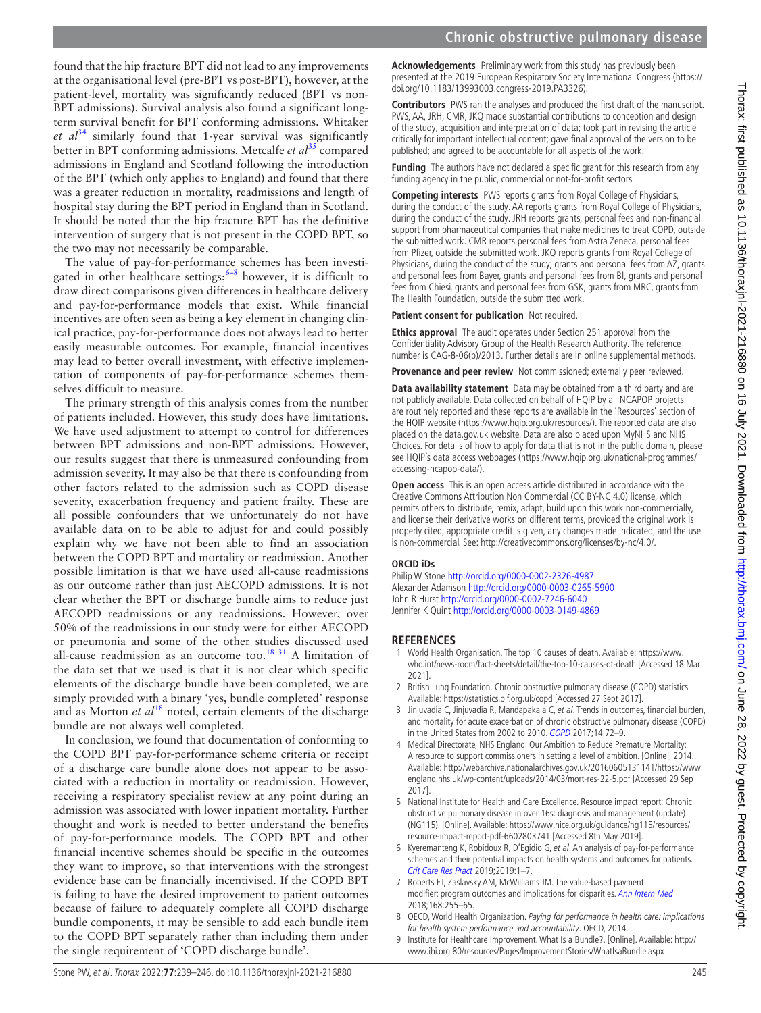found that the hip fracture BPT did not lead to any improvements at the organisational level (pre-BPT vs post-BPT), however, at the patient-level, mortality was significantly reduced (BPT vs non-BPT admissions). Survival analysis also found a significant longterm survival benefit for BPT conforming admissions. Whitaker  $et \text{ } a l^{34}$  similarly found that 1-year survival was significantly better in BPT conforming admissions. Metcalfe *et al*[35](#page-7-23) compared admissions in England and Scotland following the introduction of the BPT (which only applies to England) and found that there was a greater reduction in mortality, readmissions and length of hospital stay during the BPT period in England than in Scotland. It should be noted that the hip fracture BPT has the definitive intervention of surgery that is not present in the COPD BPT, so the two may not necessarily be comparable.

The value of pay-for-performance schemes has been investigated in other healthcare settings; $6-8$  however, it is difficult to draw direct comparisons given differences in healthcare delivery and pay-for-performance models that exist. While financial incentives are often seen as being a key element in changing clinical practice, pay-for-performance does not always lead to better easily measurable outcomes. For example, financial incentives may lead to better overall investment, with effective implementation of components of pay-for-performance schemes themselves difficult to measure.

The primary strength of this analysis comes from the number of patients included. However, this study does have limitations. We have used adjustment to attempt to control for differences between BPT admissions and non-BPT admissions. However, our results suggest that there is unmeasured confounding from admission severity. It may also be that there is confounding from other factors related to the admission such as COPD disease severity, exacerbation frequency and patient frailty. These are all possible confounders that we unfortunately do not have available data on to be able to adjust for and could possibly explain why we have not been able to find an association between the COPD BPT and mortality or readmission. Another possible limitation is that we have used all-cause readmissions as our outcome rather than just AECOPD admissions. It is not clear whether the BPT or discharge bundle aims to reduce just AECOPD readmissions or any readmissions. However, over 50% of the readmissions in our study were for either AECOPD or pneumonia and some of the other studies discussed used all-cause readmission as an outcome too.<sup>[18 31](#page-7-5)</sup> A limitation of the data set that we used is that it is not clear which specific elements of the discharge bundle have been completed, we are simply provided with a binary 'yes, bundle completed' response and as Morton *et al*<sup>18</sup> noted, certain elements of the discharge bundle are not always well completed.

In conclusion, we found that documentation of conforming to the COPD BPT pay-for-performance scheme criteria or receipt of a discharge care bundle alone does not appear to be associated with a reduction in mortality or readmission. However, receiving a respiratory specialist review at any point during an admission was associated with lower inpatient mortality. Further thought and work is needed to better understand the benefits of pay-for-performance models. The COPD BPT and other financial incentive schemes should be specific in the outcomes they want to improve, so that interventions with the strongest evidence base can be financially incentivised. If the COPD BPT is failing to have the desired improvement to patient outcomes because of failure to adequately complete all COPD discharge bundle components, it may be sensible to add each bundle item to the COPD BPT separately rather than including them under the single requirement of 'COPD discharge bundle'.

**Acknowledgements** Preliminary work from this study has previously been presented at the 2019 European Respiratory Society International Congress [\(https://](https://doi.org/10.1183/13993003.congress-2019.PA3326) [doi.org/10.1183/13993003.congress-2019.PA3326\)](https://doi.org/10.1183/13993003.congress-2019.PA3326).

**Contributors** PWS ran the analyses and produced the first draft of the manuscript. PWS, AA, JRH, CMR, JKQ made substantial contributions to conception and design of the study, acquisition and interpretation of data; took part in revising the article critically for important intellectual content; gave final approval of the version to be published; and agreed to be accountable for all aspects of the work.

**Funding** The authors have not declared a specific grant for this research from any funding agency in the public, commercial or not-for-profit sectors.

**Competing interests** PWS reports grants from Royal College of Physicians, during the conduct of the study. AA reports grants from Royal College of Physicians, during the conduct of the study. JRH reports grants, personal fees and non-financial support from pharmaceutical companies that make medicines to treat COPD, outside the submitted work. CMR reports personal fees from Astra Zeneca, personal fees from Pfizer, outside the submitted work. JKQ reports grants from Royal College of Physicians, during the conduct of the study; grants and personal fees from AZ, grants and personal fees from Bayer, grants and personal fees from BI, grants and personal fees from Chiesi, grants and personal fees from GSK, grants from MRC, grants from The Health Foundation, outside the submitted work.

**Patient consent for publication** Not required.

**Ethics approval** The audit operates under Section 251 approval from the Confidentiality Advisory Group of the Health Research Authority. The reference number is CAG-8-06(b)/2013. Further details are in online supplemental methods.

**Provenance and peer review** Not commissioned; externally peer reviewed.

**Data availability statement** Data may be obtained from a third party and are not publicly available. Data collected on behalf of HQIP by all NCAPOP projects are routinely reported and these reports are available in the 'Resources' section of the HQIP website ([https://www.hqip.org.uk/resources/\)](https://www.hqip.org.uk/resources/). The reported data are also placed on the data.gov.uk website. Data are also placed upon MyNHS and NHS Choices. For details of how to apply for data that is not in the public domain, please see HQIP's data access webpages ([https://www.hqip.org.uk/national-programmes/](https://www.hqip.org.uk/national-programmes/accessing-ncapop-data/) [accessing-ncapop-data/](https://www.hqip.org.uk/national-programmes/accessing-ncapop-data/)).

**Open access** This is an open access article distributed in accordance with the Creative Commons Attribution Non Commercial (CC BY-NC 4.0) license, which permits others to distribute, remix, adapt, build upon this work non-commercially, and license their derivative works on different terms, provided the original work is properly cited, appropriate credit is given, any changes made indicated, and the use is non-commercial. See: [http://creativecommons.org/licenses/by-nc/4.0/.](http://creativecommons.org/licenses/by-nc/4.0/)

#### **ORCID iDs**

Philip W Stone <http://orcid.org/0000-0002-2326-4987> Alexander Adamson <http://orcid.org/0000-0003-0265-5900> John R Hurst<http://orcid.org/0000-0002-7246-6040> Jennifer K Quint <http://orcid.org/0000-0003-0149-4869>

#### **REFERENCES**

- <span id="page-6-0"></span>1 World Health Organisation. The top 10 causes of death. Available: [https://www.](https://www.who.int/news-room/fact-sheets/detail/the-top-10-causes-of-death) [who.int/news-room/fact-sheets/detail/the-top-10-causes-of-death](https://www.who.int/news-room/fact-sheets/detail/the-top-10-causes-of-death) [Accessed 18 Mar 2021].
- <span id="page-6-1"></span>2 British Lung Foundation. Chronic obstructive pulmonary disease (COPD) statistics. Available:<https://statistics.blf.org.uk/copd>[Accessed 27 Sept 2017].
- <span id="page-6-2"></span>3 Jinjuvadia C, Jinjuvadia R, Mandapakala C, et al. Trends in outcomes, financial burden, and mortality for acute exacerbation of chronic obstructive pulmonary disease (COPD) in the United States from 2002 to 2010. [COPD](http://dx.doi.org/10.1080/15412555.2016.1199669) 2017;14:72–9.
- <span id="page-6-3"></span>4 Medical Directorate, NHS England. Our Ambition to Reduce Premature Mortality: A resource to support commissioners in setting a level of ambition. [Online], 2014. Available: [http://webarchive.nationalarchives.gov.uk/20160605131141/https://www.](http://webarchive.nationalarchives.gov.uk/20160605131141/https://www.england.nhs.uk/wp-content/uploads/2014/03/mort-res-22-5.pdf) [england.nhs.uk/wp-content/uploads/2014/03/mort-res-22-5.pdf](http://webarchive.nationalarchives.gov.uk/20160605131141/https://www.england.nhs.uk/wp-content/uploads/2014/03/mort-res-22-5.pdf) [Accessed 29 Sep 2017].
- <span id="page-6-4"></span>5 National Institute for Health and Care Excellence. Resource impact report: Chronic obstructive pulmonary disease in over 16s: diagnosis and management (update) (NG115). [Online]. Available: [https://www.nice.org.uk/guidance/ng115/resources/](https://www.nice.org.uk/guidance/ng115/resources/resource-impact-report-pdf-6602803741) [resource-impact-report-pdf-6602803741](https://www.nice.org.uk/guidance/ng115/resources/resource-impact-report-pdf-6602803741) [Accessed 8th May 2019].
- <span id="page-6-5"></span>6 Kyeremanteng K, Robidoux R, D'Egidio G, et al. An analysis of pay-for-performance schemes and their potential impacts on health systems and outcomes for patients. [Crit Care Res Pract](http://dx.doi.org/10.1155/2019/8943972) 2019;2019:1–7.
- 7 Roberts ET, Zaslavsky AM, McWilliams JM. The value-based payment modifier: program outcomes and implications for disparities. [Ann Intern Med](http://dx.doi.org/10.7326/M17-1740) 2018;168:255–65.
- 8 OECD, World Health Organization. Paying for performance in health care: implications for health system performance and accountability. OECD, 2014.
- <span id="page-6-6"></span>9 Institute for Healthcare Improvement. What Is a Bundle?. [Online]. Available: [http://](http://www.ihi.org:80/resources/Pages/ImprovementStories/WhatIsaBundle.aspx) [www.ihi.org:80/resources/Pages/ImprovementStories/WhatIsaBundle.aspx](http://www.ihi.org:80/resources/Pages/ImprovementStories/WhatIsaBundle.aspx)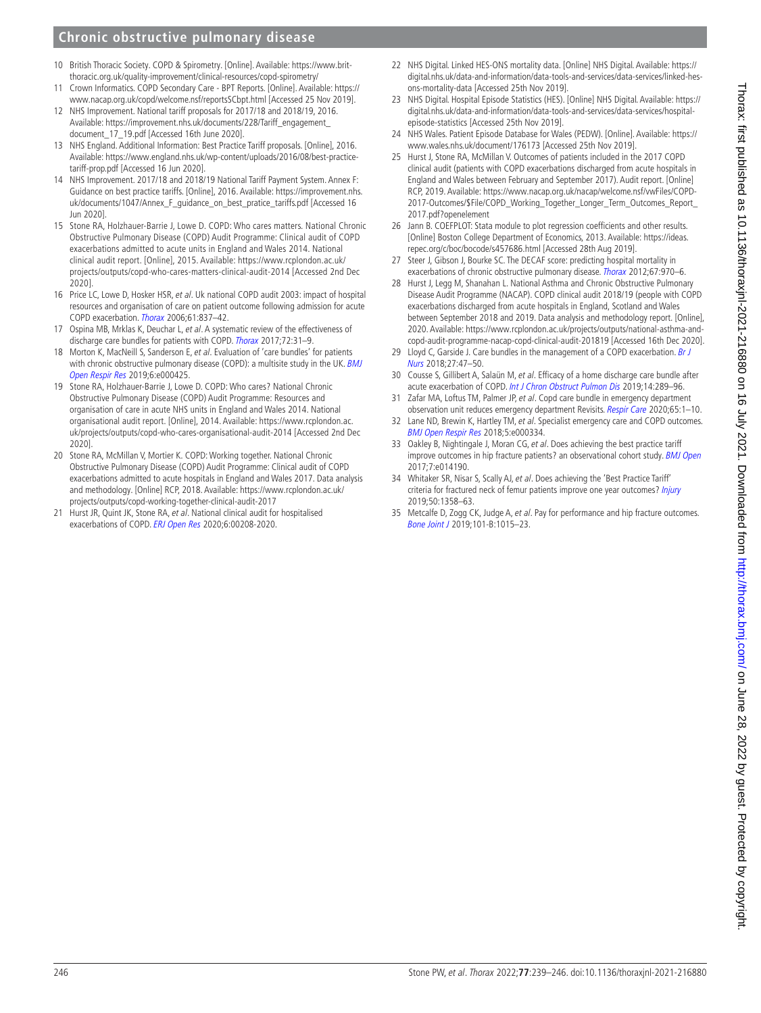## **Chronic obstructive pulmonary disease**

- <span id="page-7-0"></span>10 British Thoracic Society. COPD & Spirometry. [Online]. Available: [https://www.brit](https://www.brit-thoracic.org.uk/quality-improvement/clinical-resources/copd-spirometry/)[thoracic.org.uk/quality-improvement/clinical-resources/copd-spirometry/](https://www.brit-thoracic.org.uk/quality-improvement/clinical-resources/copd-spirometry/)
- <span id="page-7-1"></span>11 Crown Informatics. COPD Secondary Care - BPT Reports. [Online]. Available: [https://](https://www.nacap.org.uk/copd/welcome.nsf/reportsSCbpt.html) [www.nacap.org.uk/copd/welcome.nsf/reportsSCbpt.html](https://www.nacap.org.uk/copd/welcome.nsf/reportsSCbpt.html) [Accessed 25 Nov 2019].
- 12 NHS Improvement. National tariff proposals for 2017/18 and 2018/19, 2016. Available: [https://improvement.nhs.uk/documents/228/Tariff\\_engagement\\_](https://improvement.nhs.uk/documents/228/Tariff_engagement_document_17_19.pdf) [document\\_17\\_19.pdf](https://improvement.nhs.uk/documents/228/Tariff_engagement_document_17_19.pdf) [Accessed 16th June 2020].
- <span id="page-7-7"></span>13 NHS England. Additional Information: Best Practice Tariff proposals. [Online], 2016. Available: [https://www.england.nhs.uk/wp-content/uploads/2016/08/best-practice](https://www.england.nhs.uk/wp-content/uploads/2016/08/best-practice-tariff-prop.pdf)[tariff-prop.pdf](https://www.england.nhs.uk/wp-content/uploads/2016/08/best-practice-tariff-prop.pdf) [Accessed 16 Jun 2020].
- <span id="page-7-3"></span>14 NHS Improvement. 2017/18 and 2018/19 National Tariff Payment System. Annex F: Guidance on best practice tariffs. [Online], 2016. Available: [https://improvement.nhs.](https://improvement.nhs.uk/documents/1047/Annex_F_guidance_on_best_pratice_tariffs.pdf) [uk/documents/1047/Annex\\_F\\_guidance\\_on\\_best\\_pratice\\_tariffs.pdf](https://improvement.nhs.uk/documents/1047/Annex_F_guidance_on_best_pratice_tariffs.pdf) [Accessed 16 Jun 2020].
- <span id="page-7-2"></span>15 Stone RA, Holzhauer-Barrie J, Lowe D. COPD: Who cares matters. National Chronic Obstructive Pulmonary Disease (COPD) Audit Programme: Clinical audit of COPD exacerbations admitted to acute units in England and Wales 2014. National clinical audit report. [Online], 2015. Available: [https://www.rcplondon.ac.uk/](https://www.rcplondon.ac.uk/projects/outputs/copd-who-cares-matters-clinical-audit-2014) [projects/outputs/copd-who-cares-matters-clinical-audit-2014](https://www.rcplondon.ac.uk/projects/outputs/copd-who-cares-matters-clinical-audit-2014) [Accessed 2nd Dec 2020].
- 16 Price LC, Lowe D, Hosker HSR, et al. Uk national COPD audit 2003: impact of hospital resources and organisation of care on patient outcome following admission for acute COPD exacerbation. [Thorax](http://dx.doi.org/10.1136/thx.2005.049940) 2006;61:837–42.
- <span id="page-7-4"></span>17 Ospina MB, Mrklas K, Deuchar L, et al. A systematic review of the effectiveness of discharge care bundles for patients with COPD. [Thorax](http://dx.doi.org/10.1136/thoraxjnl-2016-208820) 2017;72:31–9.
- <span id="page-7-5"></span>18 Morton K, MacNeill S, Sanderson E, et al. Evaluation of 'care bundles' for patients with chronic obstructive pulmonary disease (COPD): a multisite study in the UK. BMJ [Open Respir Res](http://dx.doi.org/10.1136/bmjresp-2019-000425) 2019;6:e000425.
- <span id="page-7-6"></span>19 Stone RA, Holzhauer-Barrie J, Lowe D. COPD: Who cares? National Chronic Obstructive Pulmonary Disease (COPD) Audit Programme: Resources and organisation of care in acute NHS units in England and Wales 2014. National organisational audit report. [Online], 2014. Available: [https://www.rcplondon.ac.](https://www.rcplondon.ac.uk/projects/outputs/copd-who-cares-organisational-audit-2014) [uk/projects/outputs/copd-who-cares-organisational-audit-2014](https://www.rcplondon.ac.uk/projects/outputs/copd-who-cares-organisational-audit-2014) [Accessed 2nd Dec 2020].
- <span id="page-7-8"></span>20 Stone RA, McMillan V, Mortier K. COPD: Working together. National Chronic Obstructive Pulmonary Disease (COPD) Audit Programme: Clinical audit of COPD exacerbations admitted to acute hospitals in England and Wales 2017. Data analysis and methodology. [Online] RCP, 2018. Available: [https://www.rcplondon.ac.uk/](https://www.rcplondon.ac.uk/projects/outputs/copd-working-together-clinical-audit-2017) [projects/outputs/copd-working-together-clinical-audit-2017](https://www.rcplondon.ac.uk/projects/outputs/copd-working-together-clinical-audit-2017)
- <span id="page-7-9"></span>21 Hurst JR, Quint JK, Stone RA, et al. National clinical audit for hospitalised exacerbations of COPD. [ERJ Open Res](http://dx.doi.org/10.1183/23120541.00208-2020) 2020;6:00208-2020.
- <span id="page-7-10"></span>22 NHS Digital. Linked HES-ONS mortality data. [Online] NHS Digital. Available: [https://](https://digital.nhs.uk/data-and-information/data-tools-and-services/data-services/linked-hes-ons-mortality-data) [digital.nhs.uk/data-and-information/data-tools-and-services/data-services/linked-hes](https://digital.nhs.uk/data-and-information/data-tools-and-services/data-services/linked-hes-ons-mortality-data)[ons-mortality-data](https://digital.nhs.uk/data-and-information/data-tools-and-services/data-services/linked-hes-ons-mortality-data) [Accessed 25th Nov 2019].
- <span id="page-7-11"></span>23 NHS Digital. Hospital Episode Statistics (HES). [Online] NHS Digital. Available: [https://](https://digital.nhs.uk/data-and-information/data-tools-and-services/data-services/hospital-episode-statistics) [digital.nhs.uk/data-and-information/data-tools-and-services/data-services/hospital](https://digital.nhs.uk/data-and-information/data-tools-and-services/data-services/hospital-episode-statistics)[episode-statistics](https://digital.nhs.uk/data-and-information/data-tools-and-services/data-services/hospital-episode-statistics) [Accessed 25th Nov 2019].
- <span id="page-7-12"></span>24 NHS Wales. Patient Episode Database for Wales (PEDW). [Online]. Available: [https://](https://www.wales.nhs.uk/document/176173) [www.wales.nhs.uk/document/176173](https://www.wales.nhs.uk/document/176173) [Accessed 25th Nov 2019].
- <span id="page-7-13"></span>25 Hurst J, Stone RA, McMillan V. Outcomes of patients included in the 2017 COPD clinical audit (patients with COPD exacerbations discharged from acute hospitals in England and Wales between February and September 2017). Audit report. [Online] RCP, 2019. Available: [https://www.nacap.org.uk/nacap/welcome.nsf/vwFiles/COPD-](https://www.nacap.org.uk/nacap/welcome.nsf/vwFiles/COPD-2017-Outcomes/$File/COPD_Working_Together_Longer_Term_Outcomes_Report_2017.pdf?openelement)[2017-Outcomes/\\$File/COPD\\_Working\\_Together\\_Longer\\_Term\\_Outcomes\\_Report\\_](https://www.nacap.org.uk/nacap/welcome.nsf/vwFiles/COPD-2017-Outcomes/$File/COPD_Working_Together_Longer_Term_Outcomes_Report_2017.pdf?openelement) [2017.pdf?openelement](https://www.nacap.org.uk/nacap/welcome.nsf/vwFiles/COPD-2017-Outcomes/$File/COPD_Working_Together_Longer_Term_Outcomes_Report_2017.pdf?openelement)
- <span id="page-7-14"></span>26 Jann B. COEFPLOT: Stata module to plot regression coefficients and other results. [Online] Boston College Department of Economics, 2013. Available: [https://ideas.](https://ideas.repec.org/c/boc/bocode/s457686.html) [repec.org/c/boc/bocode/s457686.html](https://ideas.repec.org/c/boc/bocode/s457686.html) [Accessed 28th Aug 2019].
- <span id="page-7-15"></span>27 Steer J, Gibson J, Bourke SC. The DECAF score: predicting hospital mortality in exacerbations of chronic obstructive pulmonary disease. [Thorax](http://dx.doi.org/10.1136/thoraxjnl-2012-202103) 2012;67:970-6.
- <span id="page-7-16"></span>28 Hurst J, Legg M, Shanahan L. National Asthma and Chronic Obstructive Pulmonary Disease Audit Programme (NACAP). COPD clinical audit 2018/19 (people with COPD exacerbations discharged from acute hospitals in England, Scotland and Wales between September 2018 and 2019. Data analysis and methodology report. [Online], 2020. Available: [https://www.rcplondon.ac.uk/projects/outputs/national-asthma-and](https://www.rcplondon.ac.uk/projects/outputs/national-asthma-and-copd-audit-programme-nacap-copd-clinical-audit-201819)[copd-audit-programme-nacap-copd-clinical-audit-201819](https://www.rcplondon.ac.uk/projects/outputs/national-asthma-and-copd-audit-programme-nacap-copd-clinical-audit-201819) [Accessed 16th Dec 2020].
- <span id="page-7-17"></span>29 Lloyd C, Garside J. Care bundles in the management of a COPD exacerbation. Br J [Nurs](http://dx.doi.org/10.12968/bjon.2018.27.1.47) 2018;27:47–50.
- <span id="page-7-18"></span>30 Cousse S, Gillibert A, Salaün M, et al. Efficacy of a home discharge care bundle after acute exacerbation of COPD. [Int J Chron Obstruct Pulmon Dis](http://dx.doi.org/10.2147/COPD.S178147) 2019;14:289-96.
- <span id="page-7-19"></span>Zafar MA, Loftus TM, Palmer JP, et al. Copd care bundle in emergency department observation unit reduces emergency department Revisits. [Respir Care](http://dx.doi.org/10.4187/respcare.07088) 2020;65:1–10.
- <span id="page-7-20"></span>32 Lane ND, Brewin K, Hartley TM, et al. Specialist emergency care and COPD outcomes. [BMJ Open Respir Res](http://dx.doi.org/10.1136/bmjresp-2018-000334) 2018;5:e000334.
- <span id="page-7-21"></span>33 Oakley B, Nightingale J, Moran CG, et al. Does achieving the best practice tariff improve outcomes in hip fracture patients? an observational cohort study. [BMJ Open](http://dx.doi.org/10.1136/bmjopen-2016-014190) 2017;7:e014190.
- <span id="page-7-22"></span>34 Whitaker SR, Nisar S, Scally AJ, et al. Does achieving the 'Best Practice Tariff' criteria for fractured neck of femur patients improve one year outcomes? *[Injury](http://dx.doi.org/10.1016/j.injury.2019.06.007)* 2019;50:1358–63.
- <span id="page-7-23"></span>35 Metcalfe D, Zogg CK, Judge A, et al. Pay for performance and hip fracture outcomes. [Bone Joint J](http://dx.doi.org/10.1302/0301-620X.101B8.BJJ-2019-0173.R1) 2019;101-B:1015–23.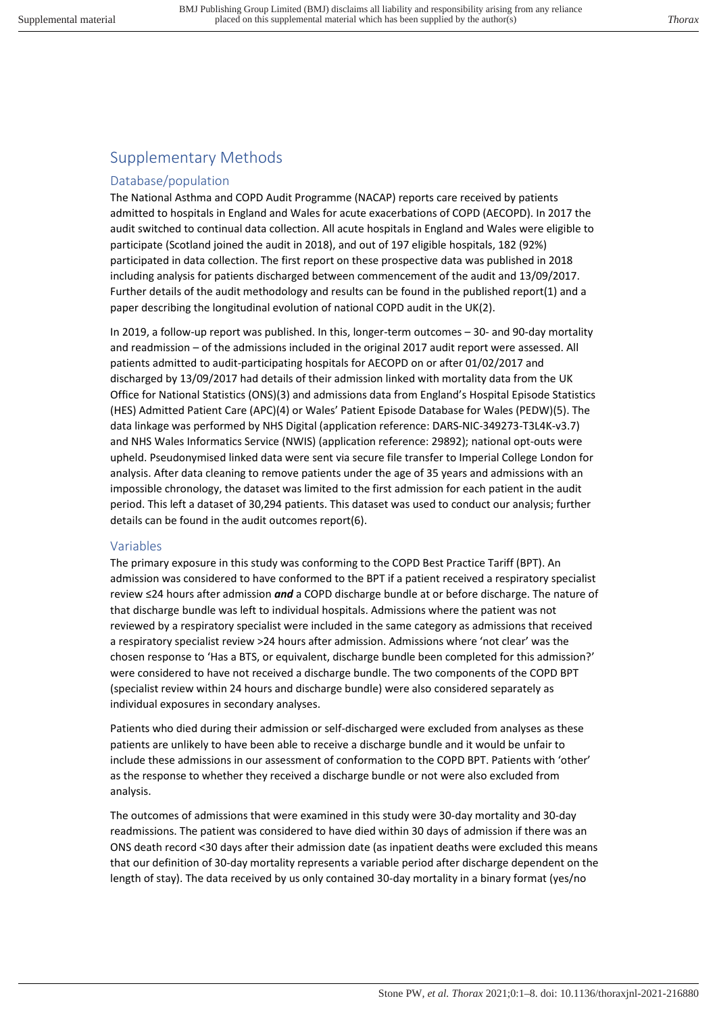# Supplementary Methods

## Database/population

The National Asthma and COPD Audit Programme (NACAP) reports care received by patients admitted to hospitals in England and Wales for acute exacerbations of COPD (AECOPD). In 2017 the audit switched to continual data collection. All acute hospitals in England and Wales were eligible to participate (Scotland joined the audit in 2018), and out of 197 eligible hospitals, 182 (92%) participated in data collection. The first report on these prospective data was published in 2018 including analysis for patients discharged between commencement of the audit and 13/09/2017. Further details of the audit methodology and results can be found in the published report(1) and a paper describing the longitudinal evolution of national COPD audit in the UK(2).

In 2019, a follow-up report was published. In this, longer-term outcomes – 30- and 90-day mortality and readmission – of the admissions included in the original 2017 audit report were assessed. All patients admitted to audit-participating hospitals for AECOPD on or after 01/02/2017 and discharged by 13/09/2017 had details of their admission linked with mortality data from the UK Office for National Statistics (ONS)(3) and admissions data from England's Hospital Episode Statistics (HES) Admitted Patient Care (APC)(4) or Wales' Patient Episode Database for Wales (PEDW)(5). The data linkage was performed by NHS Digital (application reference: DARS-NIC-349273-T3L4K-v3.7) and NHS Wales Informatics Service (NWIS) (application reference: 29892); national opt-outs were upheld. Pseudonymised linked data were sent via secure file transfer to Imperial College London for analysis. After data cleaning to remove patients under the age of 35 years and admissions with an impossible chronology, the dataset was limited to the first admission for each patient in the audit period. This left a dataset of 30,294 patients. This dataset was used to conduct our analysis; further details can be found in the audit outcomes report(6).

#### Variables

The primary exposure in this study was conforming to the COPD Best Practice Tariff (BPT). An admission was considered to have conformed to the BPT if a patient received a respiratory specialist review ≤24 hours after admission *and* a COPD discharge bundle at or before discharge. The nature of that discharge bundle was left to individual hospitals. Admissions where the patient was not reviewed by a respiratory specialist were included in the same category as admissions that received a respiratory specialist review >24 hours after admission. Admissions where 'not clear' was the chosen response to 'Has a BTS, or equivalent, discharge bundle been completed for this admission?' were considered to have not received a discharge bundle. The two components of the COPD BPT (specialist review within 24 hours and discharge bundle) were also considered separately as individual exposures in secondary analyses.

Patients who died during their admission or self-discharged were excluded from analyses as these patients are unlikely to have been able to receive a discharge bundle and it would be unfair to include these admissions in our assessment of conformation to the COPD BPT. Patients with 'other' as the response to whether they received a discharge bundle or not were also excluded from analysis.

The outcomes of admissions that were examined in this study were 30-day mortality and 30-day readmissions. The patient was considered to have died within 30 days of admission if there was an ONS death record <30 days after their admission date (as inpatient deaths were excluded this means that our definition of 30-day mortality represents a variable period after discharge dependent on the length of stay). The data received by us only contained 30-day mortality in a binary format (yes/no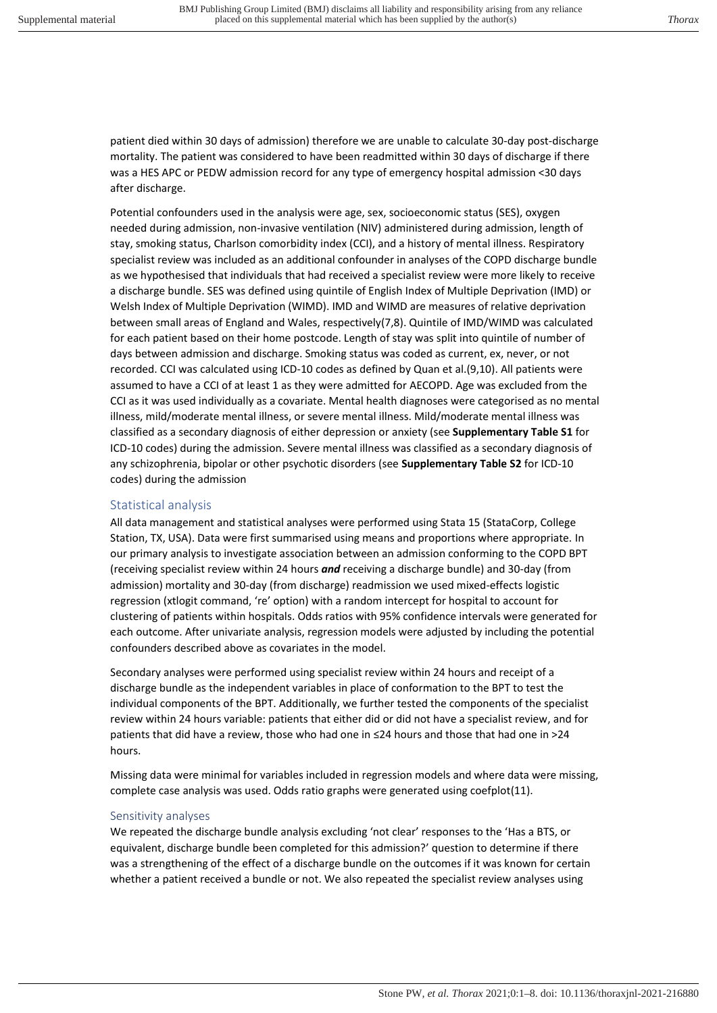patient died within 30 days of admission) therefore we are unable to calculate 30-day post-discharge mortality. The patient was considered to have been readmitted within 30 days of discharge if there was a HES APC or PEDW admission record for any type of emergency hospital admission <30 days after discharge.

Potential confounders used in the analysis were age, sex, socioeconomic status (SES), oxygen needed during admission, non-invasive ventilation (NIV) administered during admission, length of stay, smoking status, Charlson comorbidity index (CCI), and a history of mental illness. Respiratory specialist review was included as an additional confounder in analyses of the COPD discharge bundle as we hypothesised that individuals that had received a specialist review were more likely to receive a discharge bundle. SES was defined using quintile of English Index of Multiple Deprivation (IMD) or Welsh Index of Multiple Deprivation (WIMD). IMD and WIMD are measures of relative deprivation between small areas of England and Wales, respectively(7,8). Quintile of IMD/WIMD was calculated for each patient based on their home postcode. Length of stay was split into quintile of number of days between admission and discharge. Smoking status was coded as current, ex, never, or not recorded. CCI was calculated using ICD-10 codes as defined by Quan et al.(9,10). All patients were assumed to have a CCI of at least 1 as they were admitted for AECOPD. Age was excluded from the CCI as it was used individually as a covariate. Mental health diagnoses were categorised as no mental illness, mild/moderate mental illness, or severe mental illness. Mild/moderate mental illness was classified as a secondary diagnosis of either depression or anxiety (see **Supplementary Table S1** for ICD-10 codes) during the admission. Severe mental illness was classified as a secondary diagnosis of any schizophrenia, bipolar or other psychotic disorders (see **Supplementary Table S2** for ICD-10 codes) during the admission

## Statistical analysis

All data management and statistical analyses were performed using Stata 15 (StataCorp, College Station, TX, USA). Data were first summarised using means and proportions where appropriate. In our primary analysis to investigate association between an admission conforming to the COPD BPT (receiving specialist review within 24 hours *and* receiving a discharge bundle) and 30-day (from admission) mortality and 30-day (from discharge) readmission we used mixed-effects logistic regression (xtlogit command, 're' option) with a random intercept for hospital to account for clustering of patients within hospitals. Odds ratios with 95% confidence intervals were generated for each outcome. After univariate analysis, regression models were adjusted by including the potential confounders described above as covariates in the model.

Secondary analyses were performed using specialist review within 24 hours and receipt of a discharge bundle as the independent variables in place of conformation to the BPT to test the individual components of the BPT. Additionally, we further tested the components of the specialist review within 24 hours variable: patients that either did or did not have a specialist review, and for patients that did have a review, those who had one in ≤24 hours and those that had one in >24 hours.

Missing data were minimal for variables included in regression models and where data were missing, complete case analysis was used. Odds ratio graphs were generated using coefplot(11).

#### Sensitivity analyses

We repeated the discharge bundle analysis excluding 'not clear' responses to the 'Has a BTS, or equivalent, discharge bundle been completed for this admission?' question to determine if there was a strengthening of the effect of a discharge bundle on the outcomes if it was known for certain whether a patient received a bundle or not. We also repeated the specialist review analyses using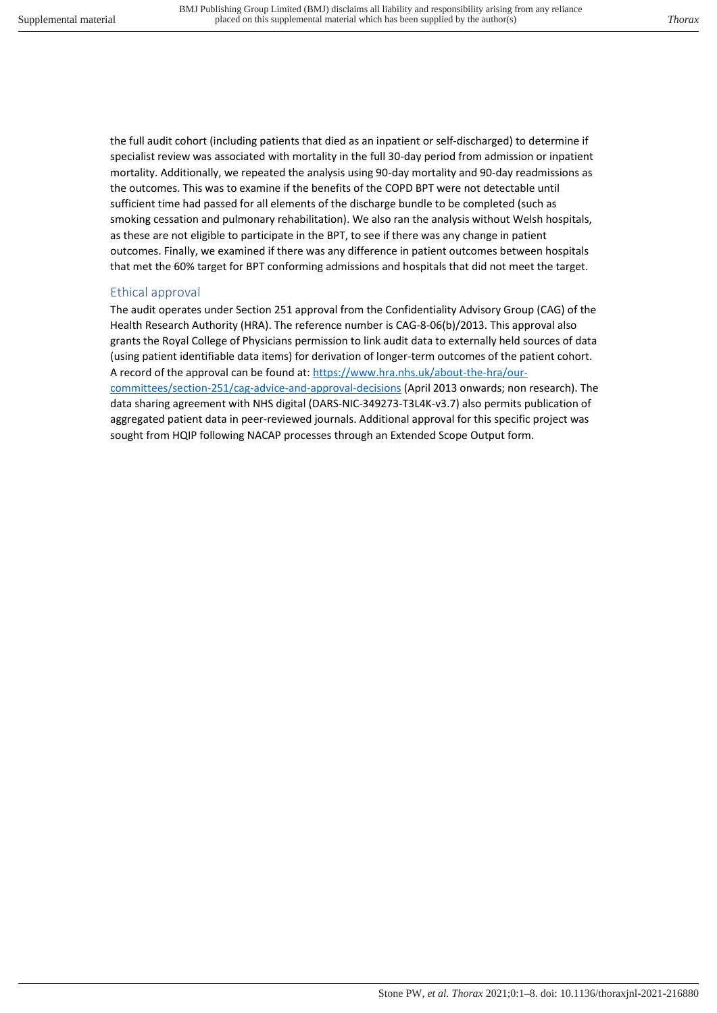the full audit cohort (including patients that died as an inpatient or self-discharged) to determine if specialist review was associated with mortality in the full 30-day period from admission or inpatient mortality. Additionally, we repeated the analysis using 90-day mortality and 90-day readmissions as the outcomes. This was to examine if the benefits of the COPD BPT were not detectable until sufficient time had passed for all elements of the discharge bundle to be completed (such as smoking cessation and pulmonary rehabilitation). We also ran the analysis without Welsh hospitals, as these are not eligible to participate in the BPT, to see if there was any change in patient outcomes. Finally, we examined if there was any difference in patient outcomes between hospitals that met the 60% target for BPT conforming admissions and hospitals that did not meet the target.

## Ethical approval

The audit operates under Section 251 approval from the Confidentiality Advisory Group (CAG) of the Health Research Authority (HRA). The reference number is CAG-8-06(b)/2013. This approval also grants the Royal College of Physicians permission to link audit data to externally held sources of data (using patient identifiable data items) for derivation of longer-term outcomes of the patient cohort. A record of the approval can be found at: [https://www.hra.nhs.uk/about-the-hra/our](https://www.hra.nhs.uk/about-the-hra/our-committees/section-251/cag-advice-and-approval-decisions)[committees/section-251/cag-advice-and-approval-decisions](https://www.hra.nhs.uk/about-the-hra/our-committees/section-251/cag-advice-and-approval-decisions) (April 2013 onwards; non research). The data sharing agreement with NHS digital (DARS-NIC-349273-T3L4K-v3.7) also permits publication of aggregated patient data in peer-reviewed journals. Additional approval for this specific project was sought from HQIP following NACAP processes through an Extended Scope Output form.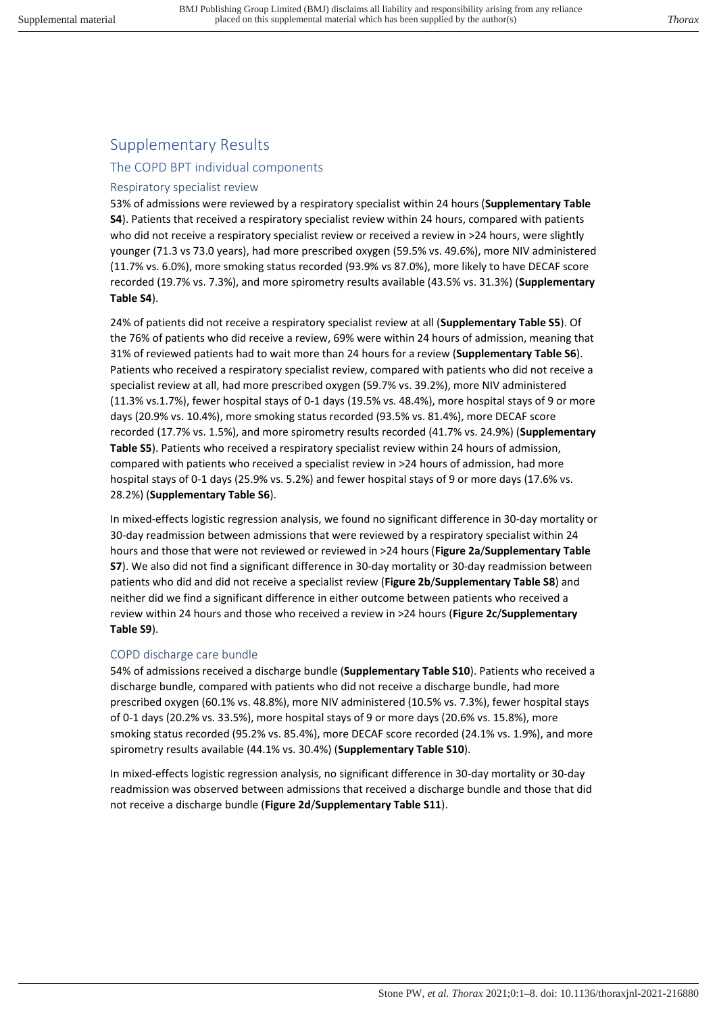# Supplementary Results

## The COPD BPT individual components

## Respiratory specialist review

53% of admissions were reviewed by a respiratory specialist within 24 hours (**Supplementary Table S4**). Patients that received a respiratory specialist review within 24 hours, compared with patients who did not receive a respiratory specialist review or received a review in >24 hours, were slightly younger (71.3 vs 73.0 years), had more prescribed oxygen (59.5% vs. 49.6%), more NIV administered (11.7% vs. 6.0%), more smoking status recorded (93.9% vs 87.0%), more likely to have DECAF score recorded (19.7% vs. 7.3%), and more spirometry results available (43.5% vs. 31.3%) (**Supplementary Table S4**).

24% of patients did not receive a respiratory specialist review at all (**Supplementary Table S5**). Of the 76% of patients who did receive a review, 69% were within 24 hours of admission, meaning that 31% of reviewed patients had to wait more than 24 hours for a review (**Supplementary Table S6**). Patients who received a respiratory specialist review, compared with patients who did not receive a specialist review at all, had more prescribed oxygen (59.7% vs. 39.2%), more NIV administered (11.3% vs.1.7%), fewer hospital stays of 0-1 days (19.5% vs. 48.4%), more hospital stays of 9 or more days (20.9% vs. 10.4%), more smoking status recorded (93.5% vs. 81.4%), more DECAF score recorded (17.7% vs. 1.5%), and more spirometry results recorded (41.7% vs. 24.9%) (**Supplementary Table S5**). Patients who received a respiratory specialist review within 24 hours of admission, compared with patients who received a specialist review in >24 hours of admission, had more hospital stays of 0-1 days (25.9% vs. 5.2%) and fewer hospital stays of 9 or more days (17.6% vs. 28.2%) (**Supplementary Table S6**).

In mixed-effects logistic regression analysis, we found no significant difference in 30-day mortality or 30-day readmission between admissions that were reviewed by a respiratory specialist within 24 hours and those that were not reviewed or reviewed in >24 hours (**Figure 2a**/**Supplementary Table S7**). We also did not find a significant difference in 30-day mortality or 30-day readmission between patients who did and did not receive a specialist review (**Figure 2b**/**Supplementary Table S8**) and neither did we find a significant difference in either outcome between patients who received a review within 24 hours and those who received a review in >24 hours (**Figure 2c**/**Supplementary Table S9**).

#### COPD discharge care bundle

54% of admissions received a discharge bundle (**Supplementary Table S10**). Patients who received a discharge bundle, compared with patients who did not receive a discharge bundle, had more prescribed oxygen (60.1% vs. 48.8%), more NIV administered (10.5% vs. 7.3%), fewer hospital stays of 0-1 days (20.2% vs. 33.5%), more hospital stays of 9 or more days (20.6% vs. 15.8%), more smoking status recorded (95.2% vs. 85.4%), more DECAF score recorded (24.1% vs. 1.9%), and more spirometry results available (44.1% vs. 30.4%) (**Supplementary Table S10**).

In mixed-effects logistic regression analysis, no significant difference in 30-day mortality or 30-day readmission was observed between admissions that received a discharge bundle and those that did not receive a discharge bundle (**Figure 2d**/**Supplementary Table S11**).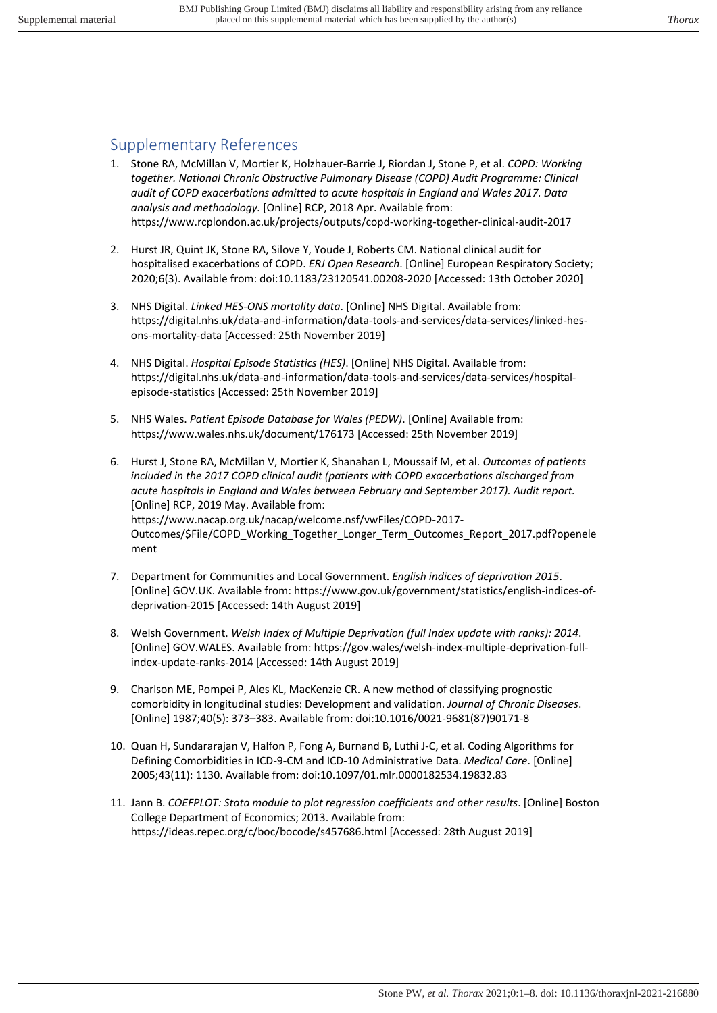## Supplementary References

- 1. Stone RA, McMillan V, Mortier K, Holzhauer-Barrie J, Riordan J, Stone P, et al. *COPD: Working together. National Chronic Obstructive Pulmonary Disease (COPD) Audit Programme: Clinical audit of COPD exacerbations admitted to acute hospitals in England and Wales 2017. Data analysis and methodology.* [Online] RCP, 2018 Apr. Available from: https://www.rcplondon.ac.uk/projects/outputs/copd-working-together-clinical-audit-2017
- 2. Hurst JR, Quint JK, Stone RA, Silove Y, Youde J, Roberts CM. National clinical audit for hospitalised exacerbations of COPD. *ERJ Open Research*. [Online] European Respiratory Society; 2020;6(3). Available from: doi:10.1183/23120541.00208-2020 [Accessed: 13th October 2020]
- 3. NHS Digital. *Linked HES-ONS mortality data*. [Online] NHS Digital. Available from: https://digital.nhs.uk/data-and-information/data-tools-and-services/data-services/linked-hesons-mortality-data [Accessed: 25th November 2019]
- 4. NHS Digital. *Hospital Episode Statistics (HES)*. [Online] NHS Digital. Available from: https://digital.nhs.uk/data-and-information/data-tools-and-services/data-services/hospitalepisode-statistics [Accessed: 25th November 2019]
- 5. NHS Wales. *Patient Episode Database for Wales (PEDW)*. [Online] Available from: https://www.wales.nhs.uk/document/176173 [Accessed: 25th November 2019]
- 6. Hurst J, Stone RA, McMillan V, Mortier K, Shanahan L, Moussaif M, et al. *Outcomes of patients included in the 2017 COPD clinical audit (patients with COPD exacerbations discharged from acute hospitals in England and Wales between February and September 2017). Audit report.* [Online] RCP, 2019 May. Available from: https://www.nacap.org.uk/nacap/welcome.nsf/vwFiles/COPD-2017- Outcomes/\$File/COPD\_Working\_Together\_Longer\_Term\_Outcomes\_Report\_2017.pdf?openele ment
- 7. Department for Communities and Local Government. *English indices of deprivation 2015*. [Online] GOV.UK. Available from: https://www.gov.uk/government/statistics/english-indices-ofdeprivation-2015 [Accessed: 14th August 2019]
- 8. Welsh Government. *Welsh Index of Multiple Deprivation (full Index update with ranks): 2014*. [Online] GOV.WALES. Available from: https://gov.wales/welsh-index-multiple-deprivation-fullindex-update-ranks-2014 [Accessed: 14th August 2019]
- 9. Charlson ME, Pompei P, Ales KL, MacKenzie CR. A new method of classifying prognostic comorbidity in longitudinal studies: Development and validation. *Journal of Chronic Diseases*. [Online] 1987;40(5): 373–383. Available from: doi:10.1016/0021-9681(87)90171-8
- 10. Quan H, Sundararajan V, Halfon P, Fong A, Burnand B, Luthi J-C, et al. Coding Algorithms for Defining Comorbidities in ICD-9-CM and ICD-10 Administrative Data. *Medical Care*. [Online] 2005;43(11): 1130. Available from: doi:10.1097/01.mlr.0000182534.19832.83
- 11. Jann B. *COEFPLOT: Stata module to plot regression coefficients and other results*. [Online] Boston College Department of Economics; 2013. Available from: https://ideas.repec.org/c/boc/bocode/s457686.html [Accessed: 28th August 2019]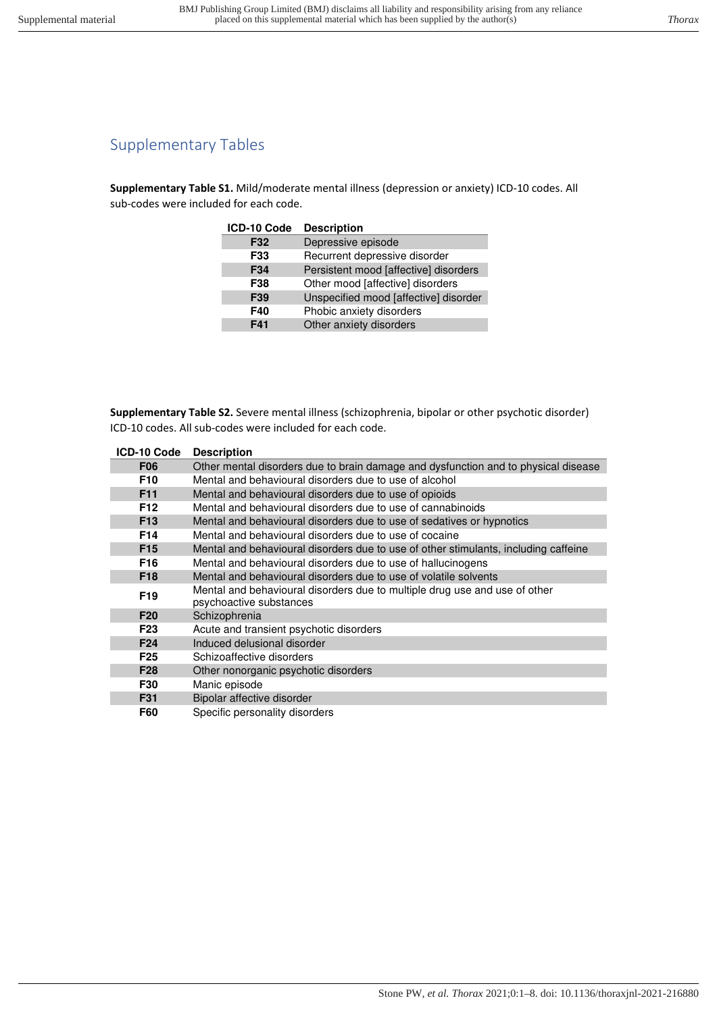# Supplementary Tables

**Supplementary Table S1.** Mild/moderate mental illness (depression or anxiety) ICD-10 codes. All sub-codes were included for each code.

| ICD-10 Code | <b>Description</b>                    |
|-------------|---------------------------------------|
| F32         | Depressive episode                    |
| F33         | Recurrent depressive disorder         |
| F34         | Persistent mood [affective] disorders |
| F38         | Other mood [affective] disorders      |
| F39         | Unspecified mood [affective] disorder |
| F40         | Phobic anxiety disorders              |
| F41         | Other anxiety disorders               |

**Supplementary Table S2.** Severe mental illness (schizophrenia, bipolar or other psychotic disorder) ICD-10 codes. All sub-codes were included for each code.

| ICD-10 Code     | <b>Description</b>                                                                  |
|-----------------|-------------------------------------------------------------------------------------|
| <b>F06</b>      | Other mental disorders due to brain damage and dysfunction and to physical disease  |
| F <sub>10</sub> | Mental and behavioural disorders due to use of alcohol                              |
| F <sub>11</sub> | Mental and behavioural disorders due to use of opioids                              |
| F <sub>12</sub> | Mental and behavioural disorders due to use of cannabinoids                         |
| F <sub>13</sub> | Mental and behavioural disorders due to use of sedatives or hypnotics               |
| F <sub>14</sub> | Mental and behavioural disorders due to use of cocaine                              |
| F <sub>15</sub> | Mental and behavioural disorders due to use of other stimulants, including caffeine |
| F <sub>16</sub> | Mental and behavioural disorders due to use of hallucinogens                        |
| F <sub>18</sub> | Mental and behavioural disorders due to use of volatile solvents                    |
| F <sub>19</sub> | Mental and behavioural disorders due to multiple drug use and use of other          |
|                 | psychoactive substances                                                             |
| F <sub>20</sub> | Schizophrenia                                                                       |
| F <sub>23</sub> | Acute and transient psychotic disorders                                             |
| F <sub>24</sub> | Induced delusional disorder                                                         |
| F <sub>25</sub> | Schizoaffective disorders                                                           |
| F <sub>28</sub> | Other nonorganic psychotic disorders                                                |
| F30             | Manic episode                                                                       |
| F31             | Bipolar affective disorder                                                          |
| <b>F60</b>      | Specific personality disorders                                                      |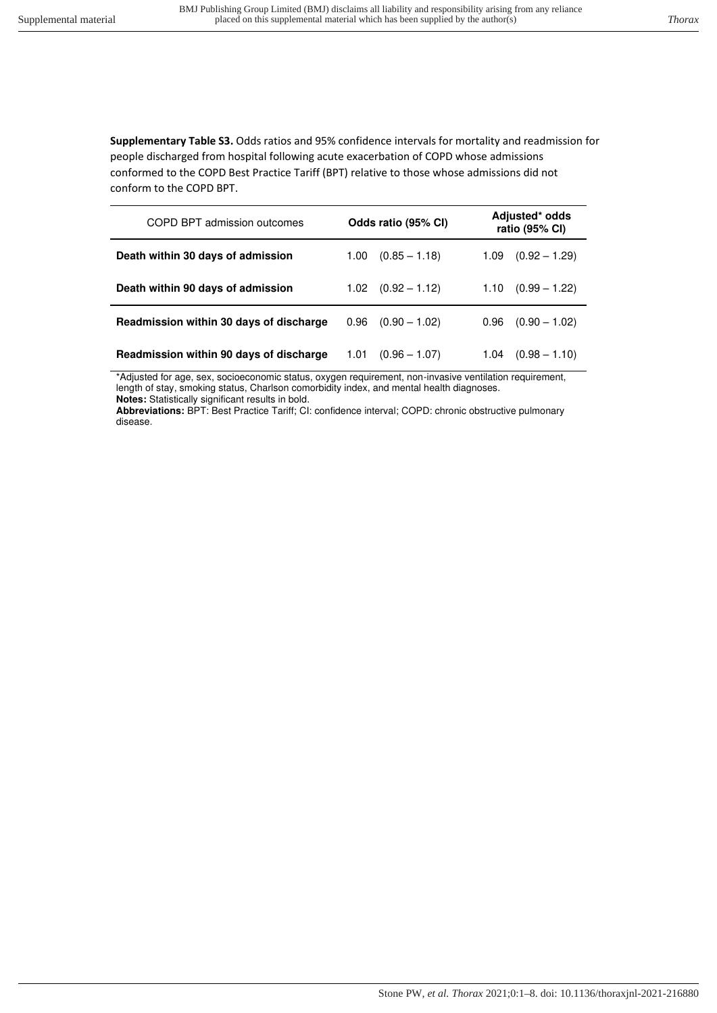**Supplementary Table S3.** Odds ratios and 95% confidence intervals for mortality and readmission for people discharged from hospital following acute exacerbation of COPD whose admissions conformed to the COPD Best Practice Tariff (BPT) relative to those whose admissions did not conform to the COPD BPT.

| COPD BPT admission outcomes             | Odds ratio (95% CI)     | Adjusted* odds<br>ratio (95% CI) |  |  |
|-----------------------------------------|-------------------------|----------------------------------|--|--|
| Death within 30 days of admission       | $(0.85 - 1.18)$<br>1.00 | $(0.92 - 1.29)$<br>1.09          |  |  |
| Death within 90 days of admission       | $1.02$ $(0.92 - 1.12)$  | $(0.99 - 1.22)$<br>1.10          |  |  |
| Readmission within 30 days of discharge | $(0.90 - 1.02)$<br>0.96 | 0.96<br>$(0.90 - 1.02)$          |  |  |
| Readmission within 90 days of discharge | 1.01<br>$(0.96 - 1.07)$ | $(0.98 - 1.10)$<br>1.04          |  |  |

\*Adjusted for age, sex, socioeconomic status, oxygen requirement, non-invasive ventilation requirement, length of stay, smoking status, Charlson comorbidity index, and mental health diagnoses. **Notes:** Statistically significant results in bold.

**Abbreviations:** BPT: Best Practice Tariff; CI: confidence interval; COPD: chronic obstructive pulmonary disease.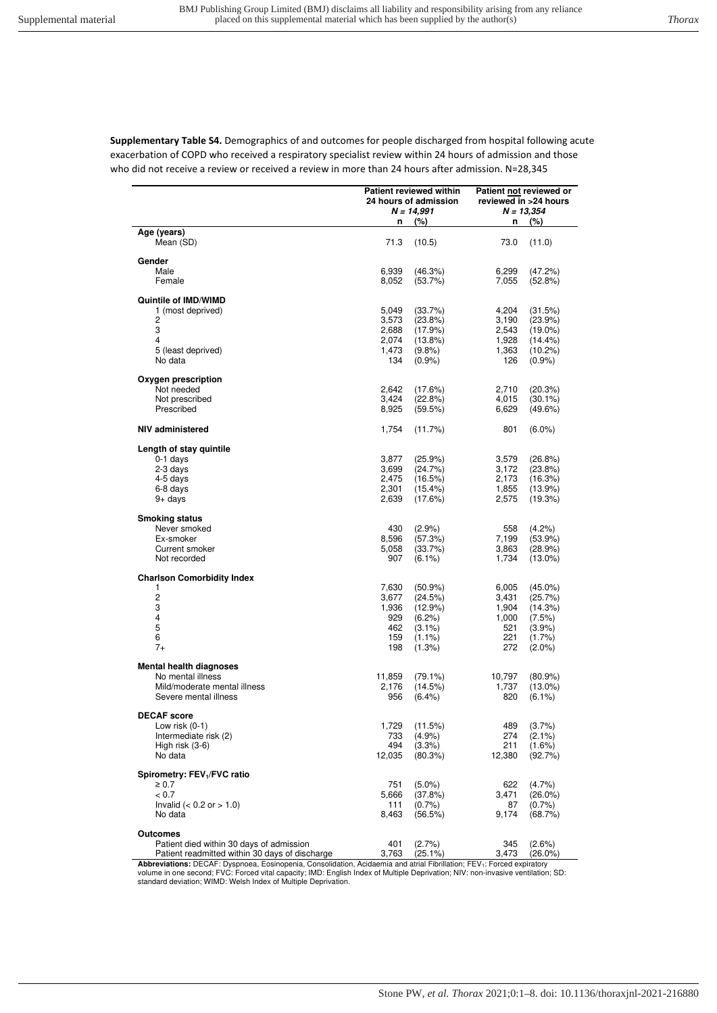**Supplementary Table S4.** Demographics of and outcomes for people discharged from hospital following acute exacerbation of COPD who received a respiratory specialist review within 24 hours of admission and those who did not receive a review or received a review in more than 24 hours after admission. N=28,345

|                                                       |                | <b>Patient reviewed within</b>        | Patient not reviewed or               |                         |  |
|-------------------------------------------------------|----------------|---------------------------------------|---------------------------------------|-------------------------|--|
|                                                       |                | 24 hours of admission<br>$N = 14,991$ | reviewed in >24 hours<br>$N = 13,354$ |                         |  |
|                                                       | n              | (%)                                   | n                                     | (%)                     |  |
| Age (years)<br>Mean (SD)                              | 71.3           | (10.5)                                | 73.0                                  | (11.0)                  |  |
|                                                       |                |                                       |                                       |                         |  |
| Gender<br>Male                                        | 6,939          | (46.3%)                               | 6,299                                 | (47.2%)                 |  |
| Female                                                | 8,052          | (53.7%)                               | 7,055                                 | (52.8%)                 |  |
| Quintile of IMD/WIMD                                  |                |                                       |                                       |                         |  |
| 1 (most deprived)                                     | 5,049          | (33.7%)                               | 4,204                                 | (31.5%)                 |  |
| 2<br>3                                                | 3,573<br>2,688 | $(23.8\%)$<br>(17.9%)                 | 3,190<br>2,543                        | (23.9%)<br>$(19.0\%)$   |  |
| 4                                                     | 2,074          | $(13.8\%)$                            | 1,928                                 | $(14.4\%)$              |  |
| 5 (least deprived)                                    | 1,473          | (9.8%                                 | 1,363                                 | (10.2%)                 |  |
| No data                                               | 134            | (0.9%                                 | 126                                   | $(0.9\%)$               |  |
| Oxygen prescription                                   |                |                                       |                                       |                         |  |
| Not needed<br>Not prescribed                          | 2,642<br>3,424 | (17.6%)<br>(22.8%)                    | 2,710<br>4,015                        | (20.3%)<br>$(30.1\%)$   |  |
| Prescribed                                            | 8,925          | (59.5%)                               | 6,629                                 | (49.6%)                 |  |
| NIV administered                                      | 1,754          | (11.7%)                               | 801                                   | $(6.0\%)$               |  |
| Length of stay quintile                               |                |                                       |                                       |                         |  |
| $0-1$ days                                            | 3,877          | (25.9%)                               | 3,579                                 | (26.8%)                 |  |
| 2-3 days                                              | 3,699          | (24.7%)                               | 3,172                                 | (23.8%)                 |  |
| 4-5 days<br>6-8 days                                  | 2,475<br>2,301 | (16.5%)<br>$(15.4\%)$                 | 2,173<br>1,855                        | (16.3%)<br>(13.9%)      |  |
| 9+ days                                               | 2,639          | (17.6%)                               | 2,575                                 | (19.3%)                 |  |
| <b>Smoking status</b>                                 |                |                                       |                                       |                         |  |
| Never smoked                                          | 430            | $(2.9\%)$                             | 558                                   | (4.2%)                  |  |
| Ex-smoker                                             | 8,596          | (57.3%)                               | 7,199                                 | $(53.9\%)$              |  |
| Current smoker<br>Not recorded                        | 5,058<br>907   | (33.7%)<br>$(6.1\%)$                  | 3,863<br>1,734                        | (28.9%)<br>$(13.0\%)$   |  |
|                                                       |                |                                       |                                       |                         |  |
| <b>Charlson Comorbidity Index</b><br>1                | 7,630          | $(50.9\%)$                            | 6,005                                 | $(45.0\%)$              |  |
| $\sqrt{2}$                                            | 3,677          | (24.5%)                               | 3,431                                 | (25.7%)                 |  |
| 3                                                     | 1,936          | (12.9%)                               | 1,904                                 | (14.3%)                 |  |
| 4<br>5                                                | 929            | $(6.2\%)$                             | 1,000                                 | (7.5%)                  |  |
| 6                                                     | 462<br>159     | $(3.1\%)$<br>$(1.1\%)$                | 521<br>221                            | $(3.9\%)$<br>$(1.7\%)$  |  |
| $7+$                                                  | 198            | (1.3%)                                | 272                                   | $(2.0\%)$               |  |
| <b>Mental health diagnoses</b>                        |                |                                       |                                       |                         |  |
| No mental illness                                     | 11,859         | $(79.1\%)$                            | 10,797                                | $(80.9\%)$              |  |
| Mild/moderate mental illness<br>Severe mental illness | 2,176<br>956   | (14.5%)<br>$(6.4\%)$                  | 1,737<br>820                          | $(13.0\%)$<br>$(6.1\%)$ |  |
|                                                       |                |                                       |                                       |                         |  |
| <b>DECAF</b> score<br>Low risk (0-1)                  | 1,729          | (11.5%)                               | 489                                   | (3.7%)                  |  |
| Intermediate risk (2)                                 | 733            | (4.9%                                 | 274                                   | $(2.1\%)$               |  |
| High risk (3-6)                                       | 494            | (3.3%)                                | 211                                   | $(1.6\%)$               |  |
| No data                                               | 12,035         | (80.3%)                               | 12,380                                | (92.7%)                 |  |
| Spirometry: FEV <sub>1</sub> /FVC ratio               |                |                                       |                                       |                         |  |
| $\geq 0.7$<br>< 0.7                                   | 751<br>5,666   | $(5.0\%)$<br>(37.8%)                  | 622<br>3,471                          | (4.7%<br>$(26.0\%)$     |  |
| Invalid $(< 0.2$ or $> 1.0$ )                         | 111            | (0.7%                                 | 87                                    | (0.7%                   |  |
| No data                                               | 8,463          | (56.5%)                               | 9,174                                 | (68.7%)                 |  |
| <b>Outcomes</b>                                       |                |                                       |                                       |                         |  |
| Patient died within 30 days of admission              | 401            | (2.7%)                                | 345                                   | (2.6%)                  |  |
| Patient readmitted within 30 days of discharge        | 3,763          | (25.1%)                               | 3,473                                 | (26.0%)                 |  |

**Abbreviations:** DECAF: Dyspnoea, Eosinopenia, Consolidation, Acidaemia and atrial Fibrillation; FEV<sub>1</sub>: Forced expiratory<br>volume in one second; FVC: Forced vital capacity; IMD: English Index of Multiple Deprivation; NIV: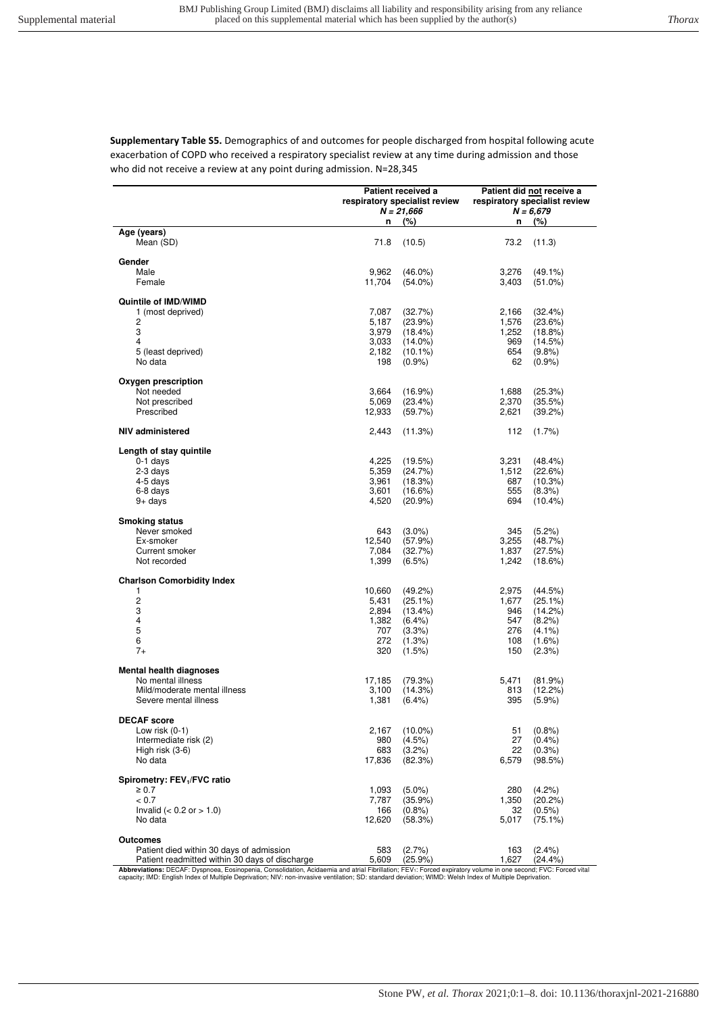**Supplementary Table S5.** Demographics of and outcomes for people discharged from hospital following acute exacerbation of COPD who received a respiratory specialist review at any time during admission and those who did not receive a review at any point during admission. N=28,345

|                                                | n              | Patient received a<br>respiratory specialist review<br>$N = 21,666$<br>(%) | n            | Patient did not receive a<br>respiratory specialist review<br>$N = 6,679$<br>(%) |
|------------------------------------------------|----------------|----------------------------------------------------------------------------|--------------|----------------------------------------------------------------------------------|
| Age (years)                                    |                |                                                                            |              |                                                                                  |
| Mean (SD)                                      | 71.8           | (10.5)                                                                     | 73.2         | (11.3)                                                                           |
| Gender                                         |                |                                                                            |              |                                                                                  |
| Male                                           | 9,962          | $(46.0\%)$                                                                 | 3,276        | $(49.1\%)$                                                                       |
| Female                                         | 11,704         | $(54.0\%)$                                                                 | 3,403        | $(51.0\%)$                                                                       |
|                                                |                |                                                                            |              |                                                                                  |
| Quintile of IMD/WIMD                           |                |                                                                            |              |                                                                                  |
| 1 (most deprived)                              | 7,087          | (32.7%)                                                                    | 2,166        | (32.4%)                                                                          |
| 2                                              | 5,187          | (23.9%)                                                                    | 1,576        | (23.6%)                                                                          |
| 3<br>4                                         | 3,979<br>3,033 | (18.4%)<br>$(14.0\%)$                                                      | 1,252<br>969 | $(18.8\%)$<br>(14.5%)                                                            |
| 5 (least deprived)                             | 2,182          | $(10.1\%)$                                                                 | 654          | (9.8%                                                                            |
| No data                                        | 198            | $(0.9\%)$                                                                  | 62           | (0.9%                                                                            |
|                                                |                |                                                                            |              |                                                                                  |
| Oxygen prescription                            |                |                                                                            |              |                                                                                  |
| Not needed                                     | 3,664          | (16.9%)                                                                    | 1,688        | (25.3%)                                                                          |
| Not prescribed                                 | 5,069          | (23.4%)                                                                    | 2,370        | (35.5%)                                                                          |
| Prescribed                                     | 12,933         | (59.7%)                                                                    | 2,621        | (39.2%)                                                                          |
| NIV administered                               | 2,443          | (11.3%)                                                                    | 112          | $(1.7\%)$                                                                        |
| Length of stay quintile                        |                |                                                                            |              |                                                                                  |
| $0-1$ days                                     | 4,225          | (19.5%)                                                                    | 3,231        | $(48.4\%)$                                                                       |
| 2-3 days                                       | 5,359          | (24.7%)                                                                    | 1,512        | (22.6%)                                                                          |
| 4-5 days                                       | 3,961          | (18.3%)                                                                    | 687          | (10.3%)                                                                          |
| 6-8 days                                       | 3,601          | (16.6%)                                                                    | 555          | (8.3%)                                                                           |
| $9+$ days                                      | 4,520          | $(20.9\%)$                                                                 | 694          | $(10.4\%)$                                                                       |
| <b>Smoking status</b>                          |                |                                                                            |              |                                                                                  |
| Never smoked                                   | 643            | $(3.0\%)$                                                                  | 345          | (5.2%)                                                                           |
| Ex-smoker                                      | 12,540         | (57.9%)                                                                    | 3,255        | (48.7%)                                                                          |
| Current smoker                                 | 7,084          | (32.7%)                                                                    | 1,837        | (27.5%)                                                                          |
| Not recorded                                   | 1,399          | $(6.5\%)$                                                                  | 1,242        | (18.6%)                                                                          |
| <b>Charlson Comorbidity Index</b>              |                |                                                                            |              |                                                                                  |
| 1                                              | 10,660         | $(49.2\%)$                                                                 | 2,975        | (44.5%)                                                                          |
| 2                                              | 5,431          | $(25.1\%)$                                                                 | 1,677        | $(25.1\%)$                                                                       |
| 3                                              | 2,894          | (13.4%)                                                                    | 946          | (14.2%)                                                                          |
| 4                                              | 1,382          | $(6.4\%)$                                                                  | 547          | $(8.2\%)$                                                                        |
| 5                                              | 707            | (3.3%)                                                                     | 276          | $(4.1\%)$                                                                        |
| 6                                              | 272            | (1.3%)                                                                     | 108          | $(1.6\%)$                                                                        |
| $7+$                                           | 320            | (1.5%)                                                                     | 150          | (2.3%)                                                                           |
| <b>Mental health diagnoses</b>                 |                |                                                                            |              |                                                                                  |
| No mental illness                              | 17,185         | (79.3%)                                                                    | 5,471        | (81.9%)                                                                          |
| Mild/moderate mental illness                   | 3,100          | (14.3%)                                                                    | 813          | (12.2%)                                                                          |
| Severe mental illness                          | 1,381          | $(6.4\%)$                                                                  | 395          | (5.9%)                                                                           |
|                                                |                |                                                                            |              |                                                                                  |
| <b>DECAF</b> score<br>Low risk $(0-1)$         |                | $(10.0\%)$                                                                 |              | (0.8%                                                                            |
| Intermediate risk (2)                          | 2,167<br>980   | (4.5%)                                                                     | 51<br>27     | $(0.4\%)$                                                                        |
| High risk (3-6)                                | 683            | (3.2%)                                                                     | 22           | $(0.3\%)$                                                                        |
| No data                                        | 17,836         | (82.3%)                                                                    | 6,579        | (98.5%)                                                                          |
|                                                |                |                                                                            |              |                                                                                  |
| Spirometry: FEV <sub>1</sub> /FVC ratio        |                |                                                                            |              |                                                                                  |
| $\geq 0.7$                                     | 1,093          | $(5.0\%)$                                                                  | 280          | (4.2%)                                                                           |
| < 0.7                                          | 7,787          | (35.9%)                                                                    | 1,350        | (20.2%)                                                                          |
| Invalid ( $< 0.2$ or $> 1.0$ )<br>No data      | 166<br>12,620  | $(0.8\%)$                                                                  | 32<br>5,017  | $(0.5\%)$<br>$(75.1\%)$                                                          |
|                                                |                | (58.3%)                                                                    |              |                                                                                  |
| Outcomes                                       |                |                                                                            |              |                                                                                  |
| Patient died within 30 days of admission       | 583            | (2.7%)                                                                     | 163          | $(2.4\%)$                                                                        |
| Patient readmitted within 30 days of discharge | 5,609          | $(25.9\%)$                                                                 | 1,627        | (24.4%)                                                                          |

**Abbreviations:** DECAF: Dyspnoea, Eosinopenia, Consolidation, Acidaemia and atrial Fibrillation; FEV<sub>1</sub>: Forced expiratory volume in one second; FVC: Forced vital<br>capacity; IMD: English Index of Multiple Deprivation; NIV: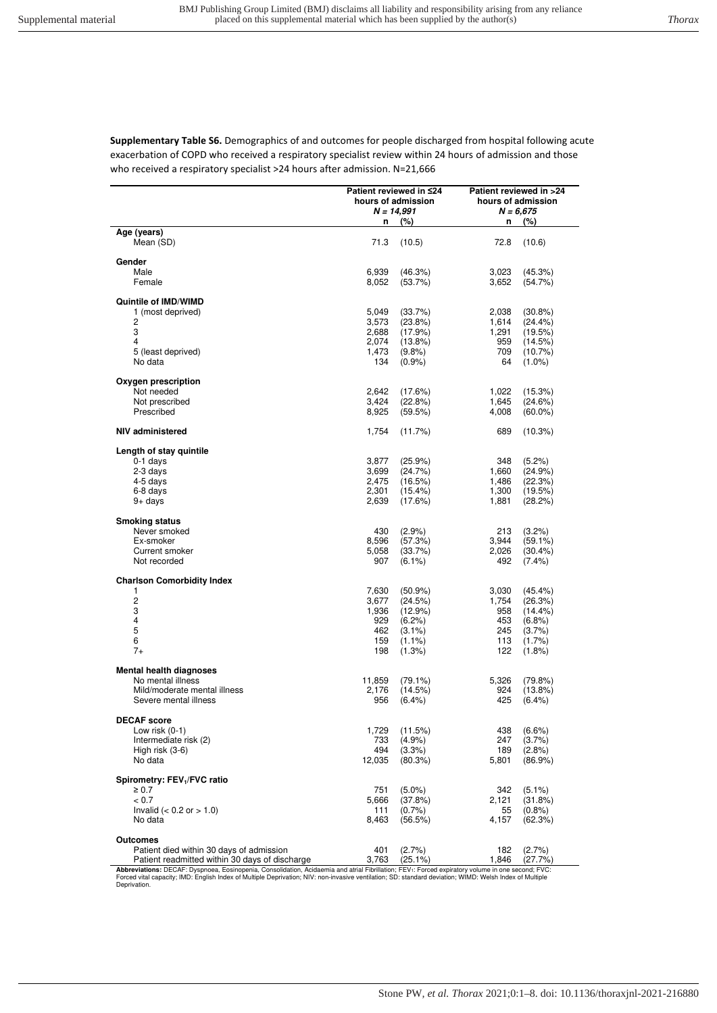**Supplementary Table S6.** Demographics of and outcomes for people discharged from hospital following acute exacerbation of COPD who received a respiratory specialist review within 24 hours of admission and those who received a respiratory specialist >24 hours after admission. N=21,666

|                                                | Patient reviewed in ≤24 |                    | Patient reviewed in >24 |                       |  |
|------------------------------------------------|-------------------------|--------------------|-------------------------|-----------------------|--|
|                                                |                         | hours of admission | hours of admission      |                       |  |
|                                                |                         | $N = 14,991$       |                         | $N = 6,675$           |  |
|                                                | n                       | (%)                | n                       | (%)                   |  |
| Age (years)                                    |                         |                    |                         |                       |  |
| Mean (SD)                                      | 71.3                    | (10.5)             | 72.8                    | (10.6)                |  |
|                                                |                         |                    |                         |                       |  |
| Gender                                         |                         |                    |                         |                       |  |
| Male                                           | 6,939                   | (46.3%)            | 3,023                   | (45.3%)               |  |
| Female                                         | 8,052                   | (53.7%)            | 3,652                   | (54.7%)               |  |
| Quintile of IMD/WIMD                           |                         |                    |                         |                       |  |
| 1 (most deprived)                              | 5,049                   | (33.7%)            | 2,038                   | $(30.8\%)$            |  |
| 2                                              | 3,573                   | (23.8%)            | 1,614                   | $(24.4\%)$            |  |
| 3                                              | 2.688                   | (17.9%)            | 1,291                   | (19.5%)               |  |
| 4                                              | 2.074                   | $(13.8\%)$         | 959                     | (14.5%)               |  |
| 5 (least deprived)                             | 1,473                   | $(9.8\%)$          | 709                     | $(10.7\%)$            |  |
| No data                                        | 134                     | $(0.9\%)$          | 64                      | $(1.0\%)$             |  |
|                                                |                         |                    |                         |                       |  |
| Oxygen prescription                            |                         |                    |                         |                       |  |
| Not needed                                     | 2,642                   | (17.6%)            | 1,022                   | (15.3%)               |  |
| Not prescribed                                 | 3,424                   | (22.8%)            | 1,645                   | (24.6%)               |  |
| Prescribed                                     | 8,925                   | (59.5%)            | 4,008                   | $(60.0\%)$            |  |
|                                                |                         |                    |                         |                       |  |
| <b>NIV administered</b>                        | 1,754                   | (11.7%)            | 689                     | (10.3%)               |  |
|                                                |                         |                    |                         |                       |  |
| Length of stay quintile                        |                         |                    |                         |                       |  |
| $0-1$ days                                     | 3,877                   | (25.9%)            | 348                     | $(5.2\%)$             |  |
| 2-3 days                                       | 3.699                   | (24.7%)            | 1,660                   | (24.9%)               |  |
| 4-5 days                                       | 2,475                   | (16.5%)            | 1,486                   | (22.3%)               |  |
| 6-8 days                                       | 2,301                   | $(15.4\%)$         | 1,300                   | (19.5%)               |  |
| $9+$ days                                      | 2,639                   | (17.6%)            | 1,881                   | (28.2%)               |  |
|                                                |                         |                    |                         |                       |  |
| <b>Smoking status</b>                          |                         |                    |                         |                       |  |
| Never smoked                                   | 430                     | (2.9%              | 213                     | (3.2%)                |  |
| Ex-smoker                                      | 8,596                   | (57.3%)            | 3,944                   | $(59.1\%)$            |  |
| Current smoker                                 | 5,058                   | (33.7%)            | 2,026                   | $(30.4\%)$            |  |
| Not recorded                                   | 907                     | $(6.1\%)$          | 492                     | $(7.4\%)$             |  |
|                                                |                         |                    |                         |                       |  |
| <b>Charlson Comorbidity Index</b><br>1         |                         |                    |                         |                       |  |
| $\overline{c}$                                 | 7,630                   | $(50.9\%)$         | 3,030                   | $(45.4\%)$            |  |
| 3                                              | 3,677<br>1,936          | (24.5%)<br>(12.9%) | 1,754<br>958            | (26.3%)<br>$(14.4\%)$ |  |
| $\overline{\mathbf{4}}$                        | 929                     | $(6.2\%)$          | 453                     | (6.8%)                |  |
| 5                                              | 462                     | $(3.1\%)$          | 245                     | $(3.7\%)$             |  |
| 6                                              | 159                     | $(1.1\%)$          | 113                     | $(1.7\%)$             |  |
| $7+$                                           | 198                     | (1.3%)             | 122                     | $(1.8\%)$             |  |
|                                                |                         |                    |                         |                       |  |
| <b>Mental health diagnoses</b>                 |                         |                    |                         |                       |  |
| No mental illness                              | 11,859                  | $(79.1\%)$         | 5,326                   | (79.8%)               |  |
| Mild/moderate mental illness                   | 2,176                   | (14.5%)            | 924                     | $(13.8\%)$            |  |
| Severe mental illness                          | 956                     | $(6.4\%)$          | 425                     | $(6.4\%)$             |  |
|                                                |                         |                    |                         |                       |  |
| <b>DECAF</b> score                             |                         |                    |                         |                       |  |
| Low risk $(0-1)$                               | 1,729                   | (11.5%)            | 438                     | $(6.6\%)$             |  |
| Intermediate risk (2)                          | 733                     | (4.9%              | 247                     | (3.7%)                |  |
| High risk $(3-6)$                              | 494                     | (3.3%)             | 189                     | (2.8%                 |  |
| No data                                        | 12,035                  | $(80.3\%)$         | 5,801                   | $(86.9\%)$            |  |
|                                                |                         |                    |                         |                       |  |
| Spirometry: FEV <sub>1</sub> /FVC ratio        |                         |                    |                         |                       |  |
| $\geq 0.7$                                     | 751                     | $(5.0\%)$          | 342                     | $(5.1\%)$             |  |
| < 0.7                                          | 5,666                   | (37.8%)            | 2,121                   | (31.8%)               |  |
| Invalid ( $< 0.2$ or $> 1.0$ )                 | 111                     | $(0.7\%)$          | 55                      | (0.8%                 |  |
| No data                                        | 8,463                   | (56.5%)            | 4,157                   | (62.3%)               |  |
|                                                |                         |                    |                         |                       |  |
| <b>Outcomes</b>                                |                         |                    |                         |                       |  |
| Patient died within 30 days of admission       | 401                     | (2.7%)             | 182                     | (2.7%                 |  |
| Patient readmitted within 30 days of discharge | 3,763                   | $(25.1\%)$         | 1,846                   | (27.7%)               |  |

Patient readmitted within 30 days of discharge  $3,763$  (25.1%) 1,846 (27.7%)<br>Abbreviations: DECAF: Dyspnoea, Eosinopenia, Consolidation, Acidaemia and atrial Fibrillation; FEV<sub>1</sub>: Forced expiratory volume in one second; FV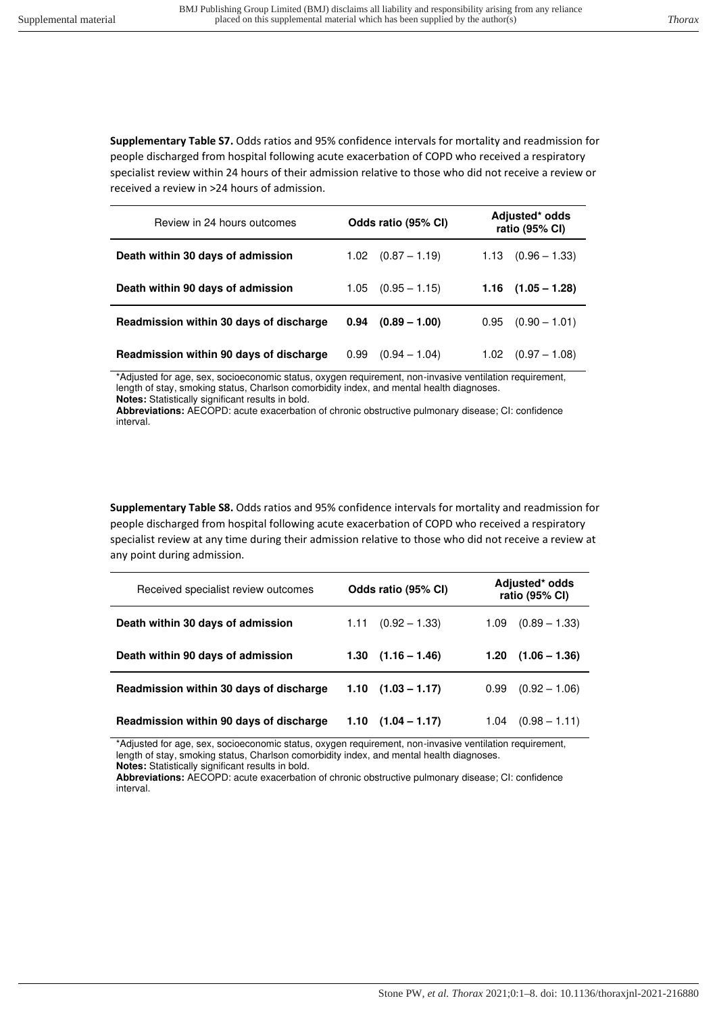**Supplementary Table S7.** Odds ratios and 95% confidence intervals for mortality and readmission for people discharged from hospital following acute exacerbation of COPD who received a respiratory specialist review within 24 hours of their admission relative to those who did not receive a review or received a review in >24 hours of admission.

| Review in 24 hours outcomes             | Odds ratio (95% CI)     | Adjusted* odds<br>ratio (95% CI) |  |  |
|-----------------------------------------|-------------------------|----------------------------------|--|--|
| Death within 30 days of admission       | $(0.87 - 1.19)$<br>1.02 | $1.13 \quad (0.96 - 1.33)$       |  |  |
| Death within 90 days of admission       | $(0.95 - 1.15)$<br>1.05 | $1.16$ $(1.05 - 1.28)$           |  |  |
| Readmission within 30 days of discharge | $(0.89 - 1.00)$<br>0.94 | $(0.90 - 1.01)$<br>0.95          |  |  |
| Readmission within 90 days of discharge | 0.99<br>$(0.94 - 1.04)$ | 1.02<br>$(0.97 - 1.08)$          |  |  |

\*Adjusted for age, sex, socioeconomic status, oxygen requirement, non-invasive ventilation requirement, length of stay, smoking status, Charlson comorbidity index, and mental health diagnoses. **Notes:** Statistically significant results in bold.

**Abbreviations:** AECOPD: acute exacerbation of chronic obstructive pulmonary disease; CI: confidence interval.

**Supplementary Table S8.** Odds ratios and 95% confidence intervals for mortality and readmission for people discharged from hospital following acute exacerbation of COPD who received a respiratory specialist review at any time during their admission relative to those who did not receive a review at any point during admission.

| Received specialist review outcomes     | Odds ratio (95% CI)        | Adjusted* odds<br>ratio (95% CI) |  |  |
|-----------------------------------------|----------------------------|----------------------------------|--|--|
| Death within 30 days of admission       | $(0.92 - 1.33)$<br>1.11    | $(0.89 - 1.33)$<br>1.09          |  |  |
| Death within 90 days of admission       | $1.30$ $(1.16 - 1.46)$     | $(1.06 - 1.36)$<br>1.20          |  |  |
| Readmission within 30 days of discharge | $1.10$ $(1.03 - 1.17)$     | $(0.92 - 1.06)$<br>0.99          |  |  |
| Readmission within 90 days of discharge | $1.10 \quad (1.04 - 1.17)$ | $(0.98 - 1.11)$<br>1.04          |  |  |

\*Adjusted for age, sex, socioeconomic status, oxygen requirement, non-invasive ventilation requirement, length of stay, smoking status, Charlson comorbidity index, and mental health diagnoses.

**Notes:** Statistically significant results in bold.

**Abbreviations:** AECOPD: acute exacerbation of chronic obstructive pulmonary disease; CI: confidence interval.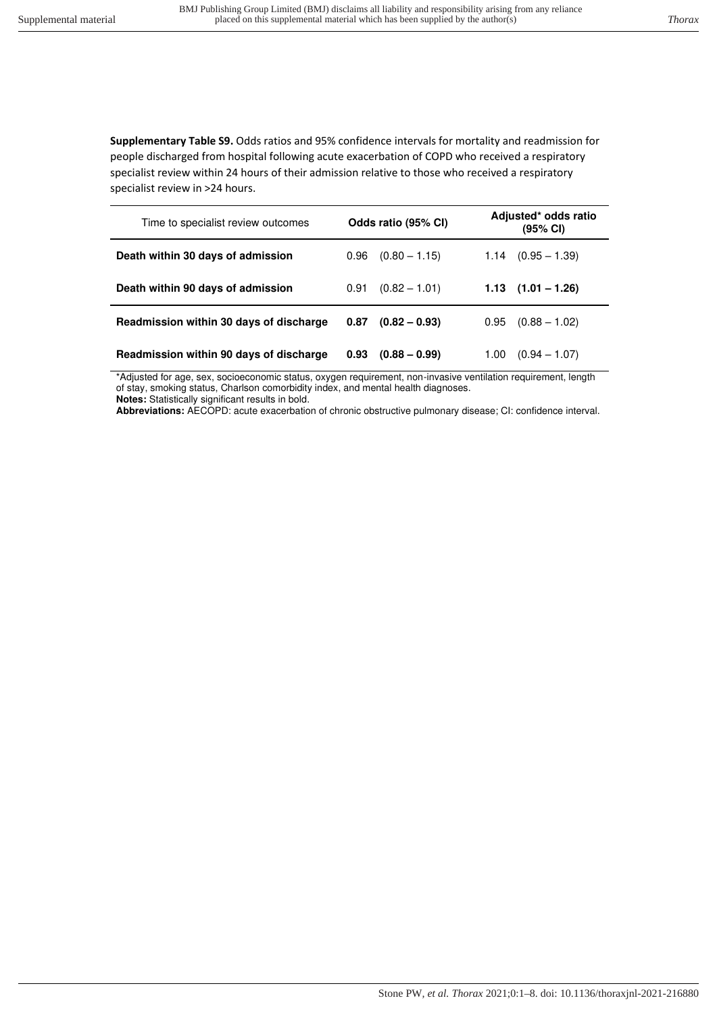**Supplementary Table S9.** Odds ratios and 95% confidence intervals for mortality and readmission for people discharged from hospital following acute exacerbation of COPD who received a respiratory specialist review within 24 hours of their admission relative to those who received a respiratory specialist review in >24 hours.

| Time to specialist review outcomes      | Odds ratio (95% CI) |                 | Adjusted* odds ratio<br>(95% CI) |                        |  |
|-----------------------------------------|---------------------|-----------------|----------------------------------|------------------------|--|
| Death within 30 days of admission       | 0.96                | $(0.80 - 1.15)$ | 1.14                             | $(0.95 - 1.39)$        |  |
| Death within 90 days of admission       | 0.91                | $(0.82 - 1.01)$ |                                  | $1.13$ $(1.01 - 1.26)$ |  |
| Readmission within 30 days of discharge | 0.87                | $(0.82 - 0.93)$ | 0.95                             | $(0.88 - 1.02)$        |  |
| Readmission within 90 days of discharge | 0.93                | $(0.88 - 0.99)$ | 1.00                             | $(0.94 - 1.07)$        |  |

\*Adjusted for age, sex, socioeconomic status, oxygen requirement, non-invasive ventilation requirement, length of stay, smoking status, Charlson comorbidity index, and mental health diagnoses.

**Notes:** Statistically significant results in bold.

**Abbreviations:** AECOPD: acute exacerbation of chronic obstructive pulmonary disease; CI: confidence interval.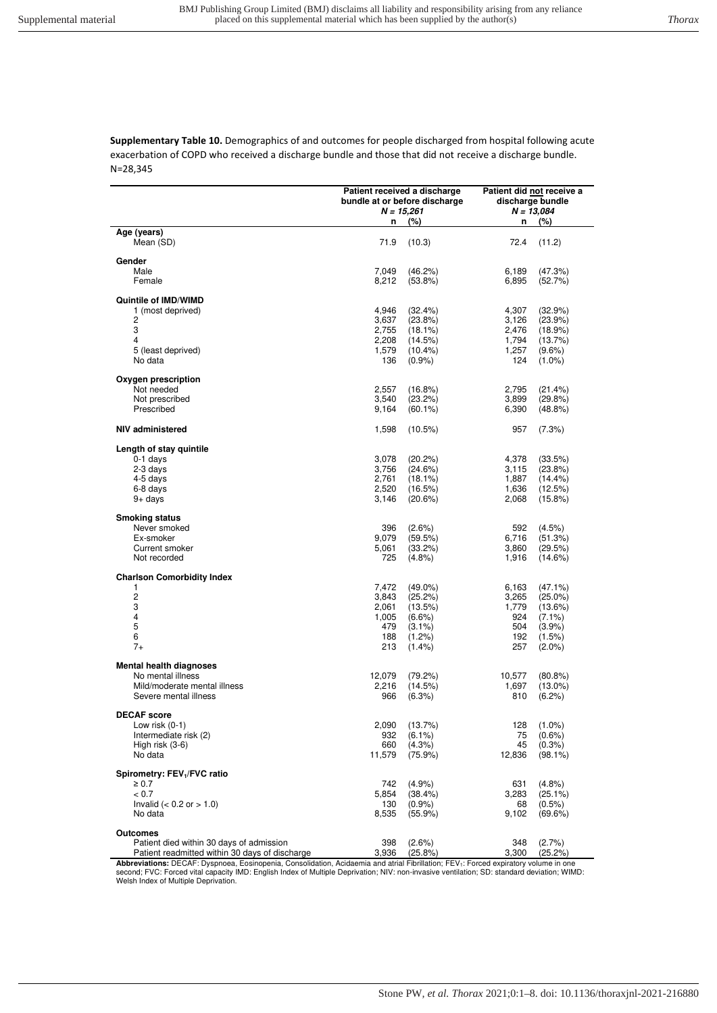**Supplementary Table 10.** Demographics of and outcomes for people discharged from hospital following acute exacerbation of COPD who received a discharge bundle and those that did not receive a discharge bundle. N=28,345

| Age (years)<br>Mean (SD)<br>71.9<br>72.4<br>(10.3)<br>(11.2)<br>Gender<br>Male<br>7,049<br>(46.2%)<br>6,189<br>(47.3%)<br>Female<br>8,212<br>$(53.8\%)$<br>6,895<br>(52.7%)<br>Quintile of IMD/WIMD<br>4,946<br>1 (most deprived)<br>(32.4%)<br>4,307<br>(32.9%)<br>2<br>3,637<br>(23.8%)<br>3,126<br>(23.9%)<br>3<br>2,755<br>(18.1%)<br>2,476<br>(18.9%)<br>$\overline{\mathbf{4}}$<br>2,208<br>(14.5%)<br>1,794<br>(13.7%)<br>5 (least deprived)<br>1,579<br>$(10.4\%)$<br>1,257<br>$(9.6\%)$<br>No data<br>136<br>$(0.9\%)$<br>124<br>$(1.0\%)$<br>Oxygen prescription<br>Not needed<br>2,557<br>$(16.8\%)$<br>2,795<br>(21.4%)<br>3,540<br>Not prescribed<br>(23.2%)<br>3,899<br>(29.8%)<br>Prescribed<br>9,164<br>$(60.1\%)$<br>6,390<br>$(48.8\%)$<br><b>NIV administered</b><br>1,598<br>$(10.5\%)$<br>957<br>(7.3%)<br>Length of stay quintile<br>$0-1$ days<br>3,078<br>(20.2%)<br>4,378<br>(33.5%)<br>2-3 days<br>3,756<br>(24.6%)<br>3,115<br>(23.8%)<br>4-5 days<br>2,761<br>$(18.1\%)$<br>1,887<br>$(14.4\%)$<br>6-8 days<br>2,520<br>(16.5%)<br>1,636<br>(12.5%)<br>$9+$ days<br>3,146<br>2,068<br>(20.6%)<br>$(15.8\%)$<br><b>Smoking status</b><br>Never smoked<br>396<br>$(2.6\%)$<br>592<br>(4.5%)<br>Ex-smoker<br>9,079<br>(59.5%)<br>6,716<br>(51.3%)<br>Current smoker<br>5,061<br>(33.2%)<br>3,860<br>(29.5%)<br>Not recorded<br>725<br>$(4.8\%)$<br>1,916<br>(14.6%)<br><b>Charlson Comorbidity Index</b><br>1<br>7,472<br>$(49.0\%)$<br>6,163<br>$(47.1\%)$<br>$\overline{c}$<br>3,843<br>(25.2%)<br>3,265<br>$(25.0\%)$<br>3<br>2,061<br>(13.5%)<br>1,779<br>(13.6%)<br>$\overline{4}$<br>1,005<br>$(6.6\%)$<br>924<br>$(7.1\%)$<br>5<br>$(3.1\%)$<br>504<br>$(3.9\%)$<br>479<br>6<br>188<br>$(1.2\%)$<br>192<br>(1.5%)<br>$7+$<br>213<br>257<br>$(1.4\%)$<br>$(2.0\%)$<br><b>Mental health diagnoses</b><br>No mental illness<br>12,079<br>(79.2%)<br>10,577<br>$(80.8\%)$<br>Mild/moderate mental illness<br>2,216<br>(14.5%)<br>1,697<br>$(13.0\%)$<br>Severe mental illness<br>966<br>(6.3%)<br>810<br>$(6.2\%)$<br><b>DECAF</b> score<br>Low risk $(0-1)$<br>2,090<br>128<br>(13.7%)<br>$(1.0\%)$<br>Intermediate risk (2)<br>75<br>932<br>$(6.1\%)$<br>$(0.6\%)$<br>$(4.3\%)$<br>45<br>High risk $(3-6)$<br>660<br>$(0.3\%)$<br>No data<br>11,579<br>(75.9%)<br>12,836<br>$(98.1\%)$<br>Spirometry: FEV <sub>1</sub> /FVC ratio<br>(4.9%<br>$\geq 0.7$<br>742<br>631<br>$(4.8\%)$<br>< 0.7<br>5,854<br>$(38.4\%)$<br>3,283<br>$(25.1\%)$<br>Invalid ( $< 0.2$ or $> 1.0$ )<br>130<br>$(0.9\%)$<br>$(0.5\%)$<br>68<br>No data<br>8,535<br>$(55.9\%)$<br>9,102<br>(69.6%)<br><b>Outcomes</b><br>Patient died within 30 days of admission<br>398<br>$(2.6\%)$<br>348<br>(2.7%) |                                                |       | Patient received a discharge<br>bundle at or before discharge<br>$N = 15,261$ |       | Patient did not receive a<br>discharge bundle<br>$N = 13,084$ |
|-------------------------------------------------------------------------------------------------------------------------------------------------------------------------------------------------------------------------------------------------------------------------------------------------------------------------------------------------------------------------------------------------------------------------------------------------------------------------------------------------------------------------------------------------------------------------------------------------------------------------------------------------------------------------------------------------------------------------------------------------------------------------------------------------------------------------------------------------------------------------------------------------------------------------------------------------------------------------------------------------------------------------------------------------------------------------------------------------------------------------------------------------------------------------------------------------------------------------------------------------------------------------------------------------------------------------------------------------------------------------------------------------------------------------------------------------------------------------------------------------------------------------------------------------------------------------------------------------------------------------------------------------------------------------------------------------------------------------------------------------------------------------------------------------------------------------------------------------------------------------------------------------------------------------------------------------------------------------------------------------------------------------------------------------------------------------------------------------------------------------------------------------------------------------------------------------------------------------------------------------------------------------------------------------------------------------------------------------------------------------------------------------------------------------------------------------------------------------------------------------------------------------------------------------------------------------------------------------------------------------------------------------------------------------------------------------------------|------------------------------------------------|-------|-------------------------------------------------------------------------------|-------|---------------------------------------------------------------|
|                                                                                                                                                                                                                                                                                                                                                                                                                                                                                                                                                                                                                                                                                                                                                                                                                                                                                                                                                                                                                                                                                                                                                                                                                                                                                                                                                                                                                                                                                                                                                                                                                                                                                                                                                                                                                                                                                                                                                                                                                                                                                                                                                                                                                                                                                                                                                                                                                                                                                                                                                                                                                                                                                                             |                                                | n     | $(\%)$                                                                        | n     | (%)                                                           |
|                                                                                                                                                                                                                                                                                                                                                                                                                                                                                                                                                                                                                                                                                                                                                                                                                                                                                                                                                                                                                                                                                                                                                                                                                                                                                                                                                                                                                                                                                                                                                                                                                                                                                                                                                                                                                                                                                                                                                                                                                                                                                                                                                                                                                                                                                                                                                                                                                                                                                                                                                                                                                                                                                                             |                                                |       |                                                                               |       |                                                               |
|                                                                                                                                                                                                                                                                                                                                                                                                                                                                                                                                                                                                                                                                                                                                                                                                                                                                                                                                                                                                                                                                                                                                                                                                                                                                                                                                                                                                                                                                                                                                                                                                                                                                                                                                                                                                                                                                                                                                                                                                                                                                                                                                                                                                                                                                                                                                                                                                                                                                                                                                                                                                                                                                                                             |                                                |       |                                                                               |       |                                                               |
|                                                                                                                                                                                                                                                                                                                                                                                                                                                                                                                                                                                                                                                                                                                                                                                                                                                                                                                                                                                                                                                                                                                                                                                                                                                                                                                                                                                                                                                                                                                                                                                                                                                                                                                                                                                                                                                                                                                                                                                                                                                                                                                                                                                                                                                                                                                                                                                                                                                                                                                                                                                                                                                                                                             |                                                |       |                                                                               |       |                                                               |
|                                                                                                                                                                                                                                                                                                                                                                                                                                                                                                                                                                                                                                                                                                                                                                                                                                                                                                                                                                                                                                                                                                                                                                                                                                                                                                                                                                                                                                                                                                                                                                                                                                                                                                                                                                                                                                                                                                                                                                                                                                                                                                                                                                                                                                                                                                                                                                                                                                                                                                                                                                                                                                                                                                             |                                                |       |                                                                               |       |                                                               |
|                                                                                                                                                                                                                                                                                                                                                                                                                                                                                                                                                                                                                                                                                                                                                                                                                                                                                                                                                                                                                                                                                                                                                                                                                                                                                                                                                                                                                                                                                                                                                                                                                                                                                                                                                                                                                                                                                                                                                                                                                                                                                                                                                                                                                                                                                                                                                                                                                                                                                                                                                                                                                                                                                                             |                                                |       |                                                                               |       |                                                               |
|                                                                                                                                                                                                                                                                                                                                                                                                                                                                                                                                                                                                                                                                                                                                                                                                                                                                                                                                                                                                                                                                                                                                                                                                                                                                                                                                                                                                                                                                                                                                                                                                                                                                                                                                                                                                                                                                                                                                                                                                                                                                                                                                                                                                                                                                                                                                                                                                                                                                                                                                                                                                                                                                                                             |                                                |       |                                                                               |       |                                                               |
|                                                                                                                                                                                                                                                                                                                                                                                                                                                                                                                                                                                                                                                                                                                                                                                                                                                                                                                                                                                                                                                                                                                                                                                                                                                                                                                                                                                                                                                                                                                                                                                                                                                                                                                                                                                                                                                                                                                                                                                                                                                                                                                                                                                                                                                                                                                                                                                                                                                                                                                                                                                                                                                                                                             |                                                |       |                                                                               |       |                                                               |
|                                                                                                                                                                                                                                                                                                                                                                                                                                                                                                                                                                                                                                                                                                                                                                                                                                                                                                                                                                                                                                                                                                                                                                                                                                                                                                                                                                                                                                                                                                                                                                                                                                                                                                                                                                                                                                                                                                                                                                                                                                                                                                                                                                                                                                                                                                                                                                                                                                                                                                                                                                                                                                                                                                             |                                                |       |                                                                               |       |                                                               |
|                                                                                                                                                                                                                                                                                                                                                                                                                                                                                                                                                                                                                                                                                                                                                                                                                                                                                                                                                                                                                                                                                                                                                                                                                                                                                                                                                                                                                                                                                                                                                                                                                                                                                                                                                                                                                                                                                                                                                                                                                                                                                                                                                                                                                                                                                                                                                                                                                                                                                                                                                                                                                                                                                                             |                                                |       |                                                                               |       |                                                               |
|                                                                                                                                                                                                                                                                                                                                                                                                                                                                                                                                                                                                                                                                                                                                                                                                                                                                                                                                                                                                                                                                                                                                                                                                                                                                                                                                                                                                                                                                                                                                                                                                                                                                                                                                                                                                                                                                                                                                                                                                                                                                                                                                                                                                                                                                                                                                                                                                                                                                                                                                                                                                                                                                                                             |                                                |       |                                                                               |       |                                                               |
|                                                                                                                                                                                                                                                                                                                                                                                                                                                                                                                                                                                                                                                                                                                                                                                                                                                                                                                                                                                                                                                                                                                                                                                                                                                                                                                                                                                                                                                                                                                                                                                                                                                                                                                                                                                                                                                                                                                                                                                                                                                                                                                                                                                                                                                                                                                                                                                                                                                                                                                                                                                                                                                                                                             |                                                |       |                                                                               |       |                                                               |
|                                                                                                                                                                                                                                                                                                                                                                                                                                                                                                                                                                                                                                                                                                                                                                                                                                                                                                                                                                                                                                                                                                                                                                                                                                                                                                                                                                                                                                                                                                                                                                                                                                                                                                                                                                                                                                                                                                                                                                                                                                                                                                                                                                                                                                                                                                                                                                                                                                                                                                                                                                                                                                                                                                             |                                                |       |                                                                               |       |                                                               |
|                                                                                                                                                                                                                                                                                                                                                                                                                                                                                                                                                                                                                                                                                                                                                                                                                                                                                                                                                                                                                                                                                                                                                                                                                                                                                                                                                                                                                                                                                                                                                                                                                                                                                                                                                                                                                                                                                                                                                                                                                                                                                                                                                                                                                                                                                                                                                                                                                                                                                                                                                                                                                                                                                                             |                                                |       |                                                                               |       |                                                               |
|                                                                                                                                                                                                                                                                                                                                                                                                                                                                                                                                                                                                                                                                                                                                                                                                                                                                                                                                                                                                                                                                                                                                                                                                                                                                                                                                                                                                                                                                                                                                                                                                                                                                                                                                                                                                                                                                                                                                                                                                                                                                                                                                                                                                                                                                                                                                                                                                                                                                                                                                                                                                                                                                                                             |                                                |       |                                                                               |       |                                                               |
|                                                                                                                                                                                                                                                                                                                                                                                                                                                                                                                                                                                                                                                                                                                                                                                                                                                                                                                                                                                                                                                                                                                                                                                                                                                                                                                                                                                                                                                                                                                                                                                                                                                                                                                                                                                                                                                                                                                                                                                                                                                                                                                                                                                                                                                                                                                                                                                                                                                                                                                                                                                                                                                                                                             |                                                |       |                                                                               |       |                                                               |
|                                                                                                                                                                                                                                                                                                                                                                                                                                                                                                                                                                                                                                                                                                                                                                                                                                                                                                                                                                                                                                                                                                                                                                                                                                                                                                                                                                                                                                                                                                                                                                                                                                                                                                                                                                                                                                                                                                                                                                                                                                                                                                                                                                                                                                                                                                                                                                                                                                                                                                                                                                                                                                                                                                             |                                                |       |                                                                               |       |                                                               |
|                                                                                                                                                                                                                                                                                                                                                                                                                                                                                                                                                                                                                                                                                                                                                                                                                                                                                                                                                                                                                                                                                                                                                                                                                                                                                                                                                                                                                                                                                                                                                                                                                                                                                                                                                                                                                                                                                                                                                                                                                                                                                                                                                                                                                                                                                                                                                                                                                                                                                                                                                                                                                                                                                                             |                                                |       |                                                                               |       |                                                               |
|                                                                                                                                                                                                                                                                                                                                                                                                                                                                                                                                                                                                                                                                                                                                                                                                                                                                                                                                                                                                                                                                                                                                                                                                                                                                                                                                                                                                                                                                                                                                                                                                                                                                                                                                                                                                                                                                                                                                                                                                                                                                                                                                                                                                                                                                                                                                                                                                                                                                                                                                                                                                                                                                                                             |                                                |       |                                                                               |       |                                                               |
|                                                                                                                                                                                                                                                                                                                                                                                                                                                                                                                                                                                                                                                                                                                                                                                                                                                                                                                                                                                                                                                                                                                                                                                                                                                                                                                                                                                                                                                                                                                                                                                                                                                                                                                                                                                                                                                                                                                                                                                                                                                                                                                                                                                                                                                                                                                                                                                                                                                                                                                                                                                                                                                                                                             |                                                |       |                                                                               |       |                                                               |
|                                                                                                                                                                                                                                                                                                                                                                                                                                                                                                                                                                                                                                                                                                                                                                                                                                                                                                                                                                                                                                                                                                                                                                                                                                                                                                                                                                                                                                                                                                                                                                                                                                                                                                                                                                                                                                                                                                                                                                                                                                                                                                                                                                                                                                                                                                                                                                                                                                                                                                                                                                                                                                                                                                             |                                                |       |                                                                               |       |                                                               |
|                                                                                                                                                                                                                                                                                                                                                                                                                                                                                                                                                                                                                                                                                                                                                                                                                                                                                                                                                                                                                                                                                                                                                                                                                                                                                                                                                                                                                                                                                                                                                                                                                                                                                                                                                                                                                                                                                                                                                                                                                                                                                                                                                                                                                                                                                                                                                                                                                                                                                                                                                                                                                                                                                                             |                                                |       |                                                                               |       |                                                               |
|                                                                                                                                                                                                                                                                                                                                                                                                                                                                                                                                                                                                                                                                                                                                                                                                                                                                                                                                                                                                                                                                                                                                                                                                                                                                                                                                                                                                                                                                                                                                                                                                                                                                                                                                                                                                                                                                                                                                                                                                                                                                                                                                                                                                                                                                                                                                                                                                                                                                                                                                                                                                                                                                                                             |                                                |       |                                                                               |       |                                                               |
|                                                                                                                                                                                                                                                                                                                                                                                                                                                                                                                                                                                                                                                                                                                                                                                                                                                                                                                                                                                                                                                                                                                                                                                                                                                                                                                                                                                                                                                                                                                                                                                                                                                                                                                                                                                                                                                                                                                                                                                                                                                                                                                                                                                                                                                                                                                                                                                                                                                                                                                                                                                                                                                                                                             |                                                |       |                                                                               |       |                                                               |
|                                                                                                                                                                                                                                                                                                                                                                                                                                                                                                                                                                                                                                                                                                                                                                                                                                                                                                                                                                                                                                                                                                                                                                                                                                                                                                                                                                                                                                                                                                                                                                                                                                                                                                                                                                                                                                                                                                                                                                                                                                                                                                                                                                                                                                                                                                                                                                                                                                                                                                                                                                                                                                                                                                             |                                                |       |                                                                               |       |                                                               |
|                                                                                                                                                                                                                                                                                                                                                                                                                                                                                                                                                                                                                                                                                                                                                                                                                                                                                                                                                                                                                                                                                                                                                                                                                                                                                                                                                                                                                                                                                                                                                                                                                                                                                                                                                                                                                                                                                                                                                                                                                                                                                                                                                                                                                                                                                                                                                                                                                                                                                                                                                                                                                                                                                                             |                                                |       |                                                                               |       |                                                               |
|                                                                                                                                                                                                                                                                                                                                                                                                                                                                                                                                                                                                                                                                                                                                                                                                                                                                                                                                                                                                                                                                                                                                                                                                                                                                                                                                                                                                                                                                                                                                                                                                                                                                                                                                                                                                                                                                                                                                                                                                                                                                                                                                                                                                                                                                                                                                                                                                                                                                                                                                                                                                                                                                                                             |                                                |       |                                                                               |       |                                                               |
|                                                                                                                                                                                                                                                                                                                                                                                                                                                                                                                                                                                                                                                                                                                                                                                                                                                                                                                                                                                                                                                                                                                                                                                                                                                                                                                                                                                                                                                                                                                                                                                                                                                                                                                                                                                                                                                                                                                                                                                                                                                                                                                                                                                                                                                                                                                                                                                                                                                                                                                                                                                                                                                                                                             |                                                |       |                                                                               |       |                                                               |
|                                                                                                                                                                                                                                                                                                                                                                                                                                                                                                                                                                                                                                                                                                                                                                                                                                                                                                                                                                                                                                                                                                                                                                                                                                                                                                                                                                                                                                                                                                                                                                                                                                                                                                                                                                                                                                                                                                                                                                                                                                                                                                                                                                                                                                                                                                                                                                                                                                                                                                                                                                                                                                                                                                             |                                                |       |                                                                               |       |                                                               |
|                                                                                                                                                                                                                                                                                                                                                                                                                                                                                                                                                                                                                                                                                                                                                                                                                                                                                                                                                                                                                                                                                                                                                                                                                                                                                                                                                                                                                                                                                                                                                                                                                                                                                                                                                                                                                                                                                                                                                                                                                                                                                                                                                                                                                                                                                                                                                                                                                                                                                                                                                                                                                                                                                                             |                                                |       |                                                                               |       |                                                               |
|                                                                                                                                                                                                                                                                                                                                                                                                                                                                                                                                                                                                                                                                                                                                                                                                                                                                                                                                                                                                                                                                                                                                                                                                                                                                                                                                                                                                                                                                                                                                                                                                                                                                                                                                                                                                                                                                                                                                                                                                                                                                                                                                                                                                                                                                                                                                                                                                                                                                                                                                                                                                                                                                                                             |                                                |       |                                                                               |       |                                                               |
|                                                                                                                                                                                                                                                                                                                                                                                                                                                                                                                                                                                                                                                                                                                                                                                                                                                                                                                                                                                                                                                                                                                                                                                                                                                                                                                                                                                                                                                                                                                                                                                                                                                                                                                                                                                                                                                                                                                                                                                                                                                                                                                                                                                                                                                                                                                                                                                                                                                                                                                                                                                                                                                                                                             |                                                |       |                                                                               |       |                                                               |
|                                                                                                                                                                                                                                                                                                                                                                                                                                                                                                                                                                                                                                                                                                                                                                                                                                                                                                                                                                                                                                                                                                                                                                                                                                                                                                                                                                                                                                                                                                                                                                                                                                                                                                                                                                                                                                                                                                                                                                                                                                                                                                                                                                                                                                                                                                                                                                                                                                                                                                                                                                                                                                                                                                             |                                                |       |                                                                               |       |                                                               |
|                                                                                                                                                                                                                                                                                                                                                                                                                                                                                                                                                                                                                                                                                                                                                                                                                                                                                                                                                                                                                                                                                                                                                                                                                                                                                                                                                                                                                                                                                                                                                                                                                                                                                                                                                                                                                                                                                                                                                                                                                                                                                                                                                                                                                                                                                                                                                                                                                                                                                                                                                                                                                                                                                                             |                                                |       |                                                                               |       |                                                               |
|                                                                                                                                                                                                                                                                                                                                                                                                                                                                                                                                                                                                                                                                                                                                                                                                                                                                                                                                                                                                                                                                                                                                                                                                                                                                                                                                                                                                                                                                                                                                                                                                                                                                                                                                                                                                                                                                                                                                                                                                                                                                                                                                                                                                                                                                                                                                                                                                                                                                                                                                                                                                                                                                                                             |                                                |       |                                                                               |       |                                                               |
|                                                                                                                                                                                                                                                                                                                                                                                                                                                                                                                                                                                                                                                                                                                                                                                                                                                                                                                                                                                                                                                                                                                                                                                                                                                                                                                                                                                                                                                                                                                                                                                                                                                                                                                                                                                                                                                                                                                                                                                                                                                                                                                                                                                                                                                                                                                                                                                                                                                                                                                                                                                                                                                                                                             |                                                |       |                                                                               |       |                                                               |
|                                                                                                                                                                                                                                                                                                                                                                                                                                                                                                                                                                                                                                                                                                                                                                                                                                                                                                                                                                                                                                                                                                                                                                                                                                                                                                                                                                                                                                                                                                                                                                                                                                                                                                                                                                                                                                                                                                                                                                                                                                                                                                                                                                                                                                                                                                                                                                                                                                                                                                                                                                                                                                                                                                             |                                                |       |                                                                               |       |                                                               |
|                                                                                                                                                                                                                                                                                                                                                                                                                                                                                                                                                                                                                                                                                                                                                                                                                                                                                                                                                                                                                                                                                                                                                                                                                                                                                                                                                                                                                                                                                                                                                                                                                                                                                                                                                                                                                                                                                                                                                                                                                                                                                                                                                                                                                                                                                                                                                                                                                                                                                                                                                                                                                                                                                                             |                                                |       |                                                                               |       |                                                               |
|                                                                                                                                                                                                                                                                                                                                                                                                                                                                                                                                                                                                                                                                                                                                                                                                                                                                                                                                                                                                                                                                                                                                                                                                                                                                                                                                                                                                                                                                                                                                                                                                                                                                                                                                                                                                                                                                                                                                                                                                                                                                                                                                                                                                                                                                                                                                                                                                                                                                                                                                                                                                                                                                                                             |                                                |       |                                                                               |       |                                                               |
|                                                                                                                                                                                                                                                                                                                                                                                                                                                                                                                                                                                                                                                                                                                                                                                                                                                                                                                                                                                                                                                                                                                                                                                                                                                                                                                                                                                                                                                                                                                                                                                                                                                                                                                                                                                                                                                                                                                                                                                                                                                                                                                                                                                                                                                                                                                                                                                                                                                                                                                                                                                                                                                                                                             |                                                |       |                                                                               |       |                                                               |
|                                                                                                                                                                                                                                                                                                                                                                                                                                                                                                                                                                                                                                                                                                                                                                                                                                                                                                                                                                                                                                                                                                                                                                                                                                                                                                                                                                                                                                                                                                                                                                                                                                                                                                                                                                                                                                                                                                                                                                                                                                                                                                                                                                                                                                                                                                                                                                                                                                                                                                                                                                                                                                                                                                             |                                                |       |                                                                               |       |                                                               |
|                                                                                                                                                                                                                                                                                                                                                                                                                                                                                                                                                                                                                                                                                                                                                                                                                                                                                                                                                                                                                                                                                                                                                                                                                                                                                                                                                                                                                                                                                                                                                                                                                                                                                                                                                                                                                                                                                                                                                                                                                                                                                                                                                                                                                                                                                                                                                                                                                                                                                                                                                                                                                                                                                                             |                                                |       |                                                                               |       |                                                               |
|                                                                                                                                                                                                                                                                                                                                                                                                                                                                                                                                                                                                                                                                                                                                                                                                                                                                                                                                                                                                                                                                                                                                                                                                                                                                                                                                                                                                                                                                                                                                                                                                                                                                                                                                                                                                                                                                                                                                                                                                                                                                                                                                                                                                                                                                                                                                                                                                                                                                                                                                                                                                                                                                                                             |                                                |       |                                                                               |       |                                                               |
|                                                                                                                                                                                                                                                                                                                                                                                                                                                                                                                                                                                                                                                                                                                                                                                                                                                                                                                                                                                                                                                                                                                                                                                                                                                                                                                                                                                                                                                                                                                                                                                                                                                                                                                                                                                                                                                                                                                                                                                                                                                                                                                                                                                                                                                                                                                                                                                                                                                                                                                                                                                                                                                                                                             |                                                |       |                                                                               |       |                                                               |
|                                                                                                                                                                                                                                                                                                                                                                                                                                                                                                                                                                                                                                                                                                                                                                                                                                                                                                                                                                                                                                                                                                                                                                                                                                                                                                                                                                                                                                                                                                                                                                                                                                                                                                                                                                                                                                                                                                                                                                                                                                                                                                                                                                                                                                                                                                                                                                                                                                                                                                                                                                                                                                                                                                             |                                                |       |                                                                               |       |                                                               |
|                                                                                                                                                                                                                                                                                                                                                                                                                                                                                                                                                                                                                                                                                                                                                                                                                                                                                                                                                                                                                                                                                                                                                                                                                                                                                                                                                                                                                                                                                                                                                                                                                                                                                                                                                                                                                                                                                                                                                                                                                                                                                                                                                                                                                                                                                                                                                                                                                                                                                                                                                                                                                                                                                                             |                                                |       |                                                                               |       |                                                               |
|                                                                                                                                                                                                                                                                                                                                                                                                                                                                                                                                                                                                                                                                                                                                                                                                                                                                                                                                                                                                                                                                                                                                                                                                                                                                                                                                                                                                                                                                                                                                                                                                                                                                                                                                                                                                                                                                                                                                                                                                                                                                                                                                                                                                                                                                                                                                                                                                                                                                                                                                                                                                                                                                                                             |                                                |       |                                                                               |       |                                                               |
|                                                                                                                                                                                                                                                                                                                                                                                                                                                                                                                                                                                                                                                                                                                                                                                                                                                                                                                                                                                                                                                                                                                                                                                                                                                                                                                                                                                                                                                                                                                                                                                                                                                                                                                                                                                                                                                                                                                                                                                                                                                                                                                                                                                                                                                                                                                                                                                                                                                                                                                                                                                                                                                                                                             |                                                |       |                                                                               |       |                                                               |
|                                                                                                                                                                                                                                                                                                                                                                                                                                                                                                                                                                                                                                                                                                                                                                                                                                                                                                                                                                                                                                                                                                                                                                                                                                                                                                                                                                                                                                                                                                                                                                                                                                                                                                                                                                                                                                                                                                                                                                                                                                                                                                                                                                                                                                                                                                                                                                                                                                                                                                                                                                                                                                                                                                             |                                                |       |                                                                               |       |                                                               |
|                                                                                                                                                                                                                                                                                                                                                                                                                                                                                                                                                                                                                                                                                                                                                                                                                                                                                                                                                                                                                                                                                                                                                                                                                                                                                                                                                                                                                                                                                                                                                                                                                                                                                                                                                                                                                                                                                                                                                                                                                                                                                                                                                                                                                                                                                                                                                                                                                                                                                                                                                                                                                                                                                                             | Patient readmitted within 30 days of discharge | 3,936 | $(25.8\%)$                                                                    | 3,300 | (25.2%)                                                       |

**Abbreviations:** DECAF: Dyspnoea, Eosinopenia, Consolidation, Acidaemia and atrial Fibrillation; FEV1: Forced expiratory volume in one<br>second; FVC: Forced vital capacity IMD: English Index of Multiple Deprivation; NIV: non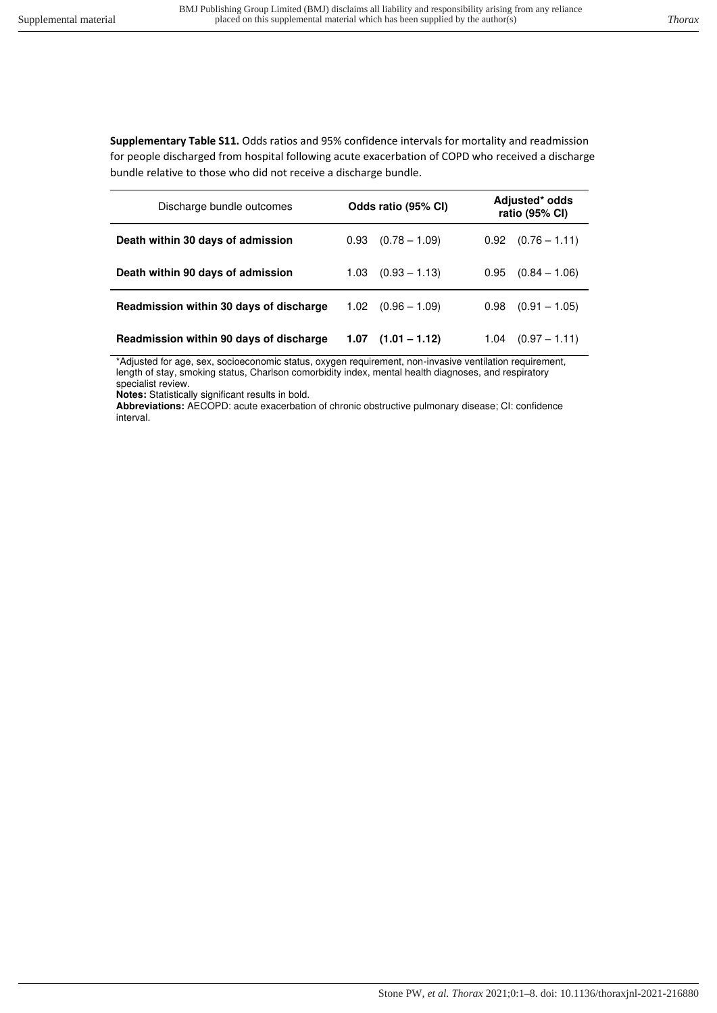**Supplementary Table S11.** Odds ratios and 95% confidence intervals for mortality and readmission for people discharged from hospital following acute exacerbation of COPD who received a discharge bundle relative to those who did not receive a discharge bundle.

| Discharge bundle outcomes               | Odds ratio (95% CI)     | Adjusted* odds<br>ratio (95% CI) |  |
|-----------------------------------------|-------------------------|----------------------------------|--|
| Death within 30 days of admission       | $(0.78 - 1.09)$<br>0.93 | $0.92$ $(0.76 - 1.11)$           |  |
| Death within 90 days of admission       | $(0.93 - 1.13)$<br>1.03 | 0.95<br>$(0.84 - 1.06)$          |  |
| Readmission within 30 days of discharge | $1.02$ $(0.96 - 1.09)$  | $(0.91 - 1.05)$<br>0.98          |  |
| Readmission within 90 days of discharge | $(1.01 - 1.12)$<br>1.07 | $(0.97 - 1.11)$<br>1.04          |  |

\*Adjusted for age, sex, socioeconomic status, oxygen requirement, non-invasive ventilation requirement, length of stay, smoking status, Charlson comorbidity index, mental health diagnoses, and respiratory specialist review.

**Notes:** Statistically significant results in bold.

**Abbreviations:** AECOPD: acute exacerbation of chronic obstructive pulmonary disease; CI: confidence interval.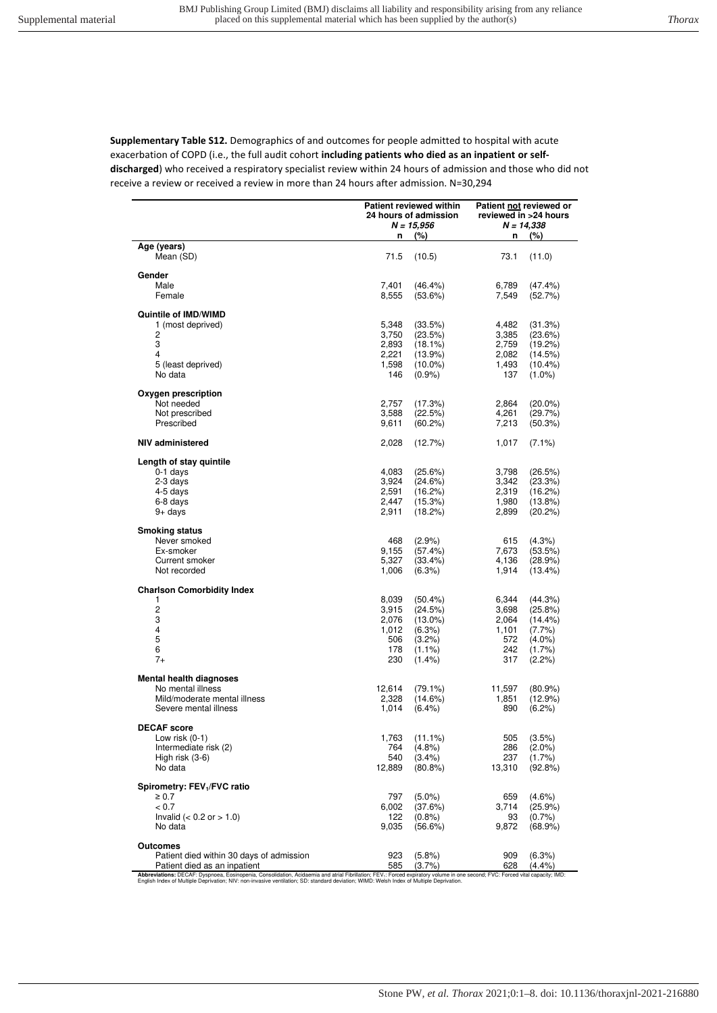**Supplementary Table S12.** Demographics of and outcomes for people admitted to hospital with acute exacerbation of COPD (i.e., the full audit cohort **including patients who died as an inpatient or selfdischarged**) who received a respiratory specialist review within 24 hours of admission and those who did not receive a review or received a review in more than 24 hours after admission. N=30,294

|                                                                                                                                                                                                                                                                                                                                        | <b>Patient reviewed within</b><br>24 hours of admission<br>$N = 15,956$<br>(%) |            | Patient not reviewed or<br>reviewed in >24 hours<br>$N = 14,338$ |            |
|----------------------------------------------------------------------------------------------------------------------------------------------------------------------------------------------------------------------------------------------------------------------------------------------------------------------------------------|--------------------------------------------------------------------------------|------------|------------------------------------------------------------------|------------|
|                                                                                                                                                                                                                                                                                                                                        | n                                                                              |            | n                                                                | (%)        |
| Age (years)<br>Mean (SD)                                                                                                                                                                                                                                                                                                               | 71.5                                                                           | (10.5)     | 73.1                                                             | (11.0)     |
| Gender                                                                                                                                                                                                                                                                                                                                 |                                                                                |            |                                                                  |            |
| Male                                                                                                                                                                                                                                                                                                                                   | 7,401                                                                          | $(46.4\%)$ | 6,789                                                            | (47.4%)    |
| Female                                                                                                                                                                                                                                                                                                                                 | 8,555                                                                          | (53.6%)    | 7,549                                                            | (52.7%)    |
| Quintile of IMD/WIMD                                                                                                                                                                                                                                                                                                                   |                                                                                |            |                                                                  |            |
| 1 (most deprived)                                                                                                                                                                                                                                                                                                                      | 5,348                                                                          | (33.5%)    | 4,482                                                            | (31.3%)    |
| 2                                                                                                                                                                                                                                                                                                                                      | 3,750                                                                          | (23.5%)    | 3,385                                                            | (23.6%)    |
| 3                                                                                                                                                                                                                                                                                                                                      | 2,893                                                                          | $(18.1\%)$ | 2,759                                                            | (19.2%)    |
| 4                                                                                                                                                                                                                                                                                                                                      | 2,221                                                                          | (13.9%)    | 2,082                                                            | (14.5%)    |
| 5 (least deprived)                                                                                                                                                                                                                                                                                                                     | 1,598                                                                          | $(10.0\%)$ | 1,493                                                            | $(10.4\%)$ |
| No data                                                                                                                                                                                                                                                                                                                                | 146                                                                            | $(0.9\%)$  | 137                                                              | $(1.0\%)$  |
| Oxygen prescription                                                                                                                                                                                                                                                                                                                    |                                                                                |            |                                                                  |            |
| Not needed                                                                                                                                                                                                                                                                                                                             | 2,757                                                                          | (17.3%)    | 2,864                                                            | $(20.0\%)$ |
| Not prescribed                                                                                                                                                                                                                                                                                                                         | 3,588                                                                          | (22.5%)    | 4,261                                                            | (29.7%)    |
| Prescribed                                                                                                                                                                                                                                                                                                                             | 9,611                                                                          | (60.2%)    | 7,213                                                            | (50.3%)    |
| NIV administered                                                                                                                                                                                                                                                                                                                       | 2,028                                                                          | (12.7%)    | 1,017                                                            | $(7.1\%)$  |
| Length of stay quintile                                                                                                                                                                                                                                                                                                                |                                                                                |            |                                                                  |            |
| $0-1$ days                                                                                                                                                                                                                                                                                                                             | 4,083                                                                          | (25.6%)    | 3,798                                                            | (26.5%)    |
| 2-3 days                                                                                                                                                                                                                                                                                                                               | 3,924                                                                          | (24.6%)    | 3,342                                                            | (23.3%)    |
| 4-5 days                                                                                                                                                                                                                                                                                                                               | 2,591                                                                          | (16.2%)    | 2,319                                                            | (16.2%)    |
| 6-8 days                                                                                                                                                                                                                                                                                                                               | 2,447                                                                          | (15.3%)    | 1,980                                                            | $(13.8\%)$ |
| $9+$ days                                                                                                                                                                                                                                                                                                                              | 2,911                                                                          | (18.2%)    | 2,899                                                            | (20.2%)    |
|                                                                                                                                                                                                                                                                                                                                        |                                                                                |            |                                                                  |            |
| <b>Smoking status</b><br>Never smoked                                                                                                                                                                                                                                                                                                  | 468                                                                            | $(2.9\%)$  | 615                                                              | (4.3%)     |
| Ex-smoker                                                                                                                                                                                                                                                                                                                              | 9,155                                                                          | (57.4%)    | 7,673                                                            | (53.5%)    |
| Current smoker                                                                                                                                                                                                                                                                                                                         | 5,327                                                                          | (33.4%)    | 4,136                                                            | (28.9%)    |
| Not recorded                                                                                                                                                                                                                                                                                                                           | 1,006                                                                          | (6.3%)     | 1,914                                                            | (13.4%)    |
|                                                                                                                                                                                                                                                                                                                                        |                                                                                |            |                                                                  |            |
| <b>Charlson Comorbidity Index</b><br>1                                                                                                                                                                                                                                                                                                 | 8,039                                                                          | $(50.4\%)$ | 6,344                                                            | (44.3%)    |
| $\overline{c}$                                                                                                                                                                                                                                                                                                                         | 3,915                                                                          | (24.5%)    | 3,698                                                            | (25.8%)    |
| 3                                                                                                                                                                                                                                                                                                                                      | 2,076                                                                          | $(13.0\%)$ | 2,064                                                            | $(14.4\%)$ |
| 4                                                                                                                                                                                                                                                                                                                                      | 1,012                                                                          | (6.3%)     | 1,101                                                            | $(7.7\%)$  |
| 5                                                                                                                                                                                                                                                                                                                                      | 506                                                                            | $(3.2\%)$  | 572                                                              | $(4.0\%)$  |
| 6                                                                                                                                                                                                                                                                                                                                      | 178                                                                            | $(1.1\%)$  | 242                                                              | $(1.7\%)$  |
| $7+$                                                                                                                                                                                                                                                                                                                                   | 230                                                                            | $(1.4\%)$  | 317                                                              | (2.2%)     |
| Mental health diagnoses                                                                                                                                                                                                                                                                                                                |                                                                                |            |                                                                  |            |
| No mental illness                                                                                                                                                                                                                                                                                                                      | 12,614                                                                         | $(79.1\%)$ | 11,597                                                           | $(80.9\%)$ |
| Mild/moderate mental illness                                                                                                                                                                                                                                                                                                           | 2,328                                                                          | $(14.6\%)$ | 1,851                                                            | (12.9%)    |
| Severe mental illness                                                                                                                                                                                                                                                                                                                  | 1,014                                                                          | $(6.4\%)$  | 890                                                              | $(6.2\%)$  |
| <b>DECAF</b> score                                                                                                                                                                                                                                                                                                                     |                                                                                |            |                                                                  |            |
| Low risk $(0-1)$                                                                                                                                                                                                                                                                                                                       | 1,763                                                                          | $(11.1\%)$ | 505                                                              | $(3.5\%)$  |
| Intermediate risk (2)                                                                                                                                                                                                                                                                                                                  | 764                                                                            | (4.8%)     | 286                                                              | $(2.0\%)$  |
| High risk (3-6)                                                                                                                                                                                                                                                                                                                        | 540                                                                            | $(3.4\%)$  | 237                                                              | $(1.7\%)$  |
| No data                                                                                                                                                                                                                                                                                                                                | 12,889                                                                         | $(80.8\%)$ | 13,310                                                           | (92.8%)    |
| Spirometry: FEV <sub>1</sub> /FVC ratio                                                                                                                                                                                                                                                                                                |                                                                                |            |                                                                  |            |
| $\geq 0.7$                                                                                                                                                                                                                                                                                                                             | 797                                                                            | $(5.0\%)$  | 659                                                              | $(4.6\%)$  |
| < 0.7                                                                                                                                                                                                                                                                                                                                  | 6,002                                                                          | (37.6%)    | 3,714                                                            | (25.9%)    |
| Invalid ( $< 0.2$ or $> 1.0$ )                                                                                                                                                                                                                                                                                                         | 122                                                                            | (0.8%      | 93                                                               | (0.7%      |
| No data                                                                                                                                                                                                                                                                                                                                | 9,035                                                                          | (56.6%)    | 9,872                                                            | $(68.9\%)$ |
| Outcomes                                                                                                                                                                                                                                                                                                                               |                                                                                |            |                                                                  |            |
| Patient died within 30 days of admission                                                                                                                                                                                                                                                                                               | 923                                                                            | (5.8%)     | 909                                                              | (6.3%)     |
| Patient died as an inpatient                                                                                                                                                                                                                                                                                                           | 585                                                                            | (3.7%      | 628                                                              | (4.4%)     |
| Abbreviations: DECAF: Dyspnoea, Eosinopenia, Consolidation, Acidaemia and atrial Fibrillation; FEV <sub>1</sub> : Forced expiratory volume in one second; FVC: Forced vital capacity; IMD:<br>English Index of Multiple Deprivation; NIV: non-invasive ventilation; SD: standard deviation; WIMD: Welsh Index of Multiple Deprivation. |                                                                                |            |                                                                  |            |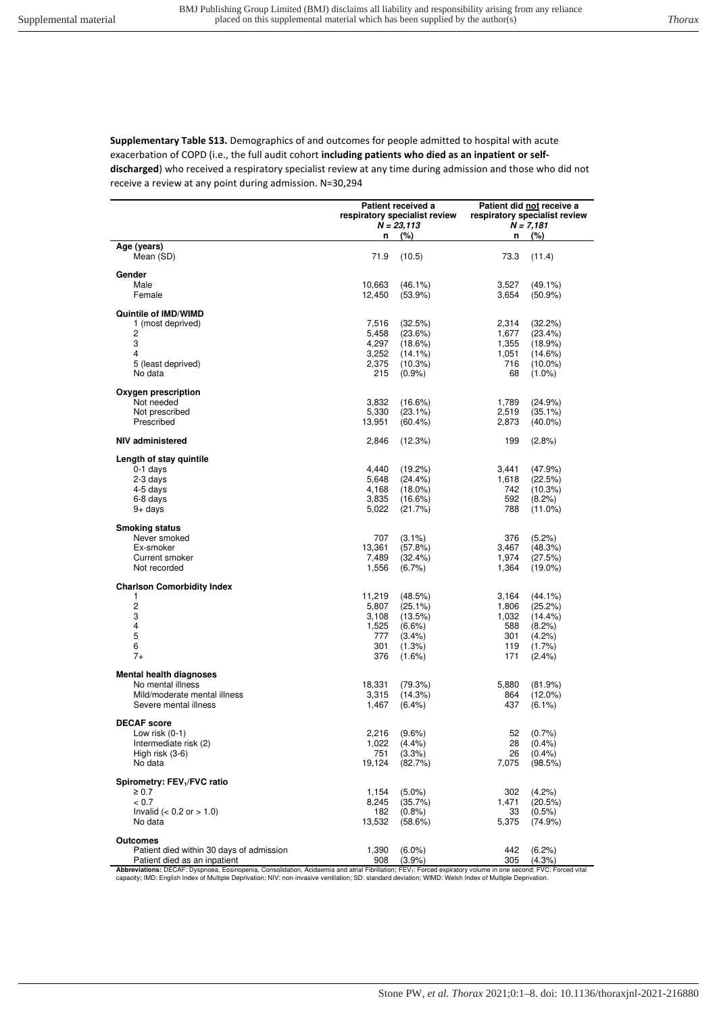**Supplementary Table S13.** Demographics of and outcomes for people admitted to hospital with acute exacerbation of COPD (i.e., the full audit cohort **including patients who died as an inpatient or selfdischarged**) who received a respiratory specialist review at any time during admission and those who did not receive a review at any point during admission. N=30,294

|                                                                                                                                                                                                                                                                                                                                        | Patient received a<br>respiratory specialist review<br>$N = 23,113$ |                      | Patient did not receive a<br>respiratory specialist review<br>$N = 7,181$ |                         |
|----------------------------------------------------------------------------------------------------------------------------------------------------------------------------------------------------------------------------------------------------------------------------------------------------------------------------------------|---------------------------------------------------------------------|----------------------|---------------------------------------------------------------------------|-------------------------|
| Age (years)                                                                                                                                                                                                                                                                                                                            | n                                                                   | (%)                  | n                                                                         | (%)                     |
| Mean (SD)                                                                                                                                                                                                                                                                                                                              | 71.9                                                                | (10.5)               | 73.3                                                                      | (11.4)                  |
| Gender                                                                                                                                                                                                                                                                                                                                 |                                                                     |                      |                                                                           |                         |
| Male                                                                                                                                                                                                                                                                                                                                   | 10,663                                                              | $(46.1\%)$           | 3,527                                                                     | $(49.1\%)$              |
| Female                                                                                                                                                                                                                                                                                                                                 | 12,450                                                              | $(53.9\%)$           | 3,654                                                                     | $(50.9\%)$              |
| Quintile of IMD/WIMD                                                                                                                                                                                                                                                                                                                   |                                                                     |                      |                                                                           |                         |
| 1 (most deprived)                                                                                                                                                                                                                                                                                                                      | 7,516                                                               | (32.5%)              | 2,314                                                                     | (32.2%)                 |
| 2                                                                                                                                                                                                                                                                                                                                      | 5,458                                                               | (23.6%)              | 1,677                                                                     | (23.4%)                 |
| 3<br>4                                                                                                                                                                                                                                                                                                                                 | 4,297                                                               | (18.6%)              | 1,355                                                                     | (18.9%)                 |
| 5 (least deprived)                                                                                                                                                                                                                                                                                                                     | 3,252                                                               | $(14.1\%)$           | 1,051<br>716                                                              | (14.6%)                 |
| No data                                                                                                                                                                                                                                                                                                                                | 2,375<br>215                                                        | (10.3%)<br>$(0.9\%)$ | 68                                                                        | $(10.0\%)$<br>$(1.0\%)$ |
| Oxygen prescription                                                                                                                                                                                                                                                                                                                    |                                                                     |                      |                                                                           |                         |
| Not needed                                                                                                                                                                                                                                                                                                                             | 3,832                                                               | (16.6%)              | 1,789                                                                     | (24.9%)                 |
| Not prescribed                                                                                                                                                                                                                                                                                                                         | 5,330                                                               | $(23.1\%)$           | 2,519                                                                     | $(35.1\%)$              |
| Prescribed                                                                                                                                                                                                                                                                                                                             | 13,951                                                              | $(60.4\%)$           | 2,873                                                                     | $(40.0\%)$              |
| NIV administered                                                                                                                                                                                                                                                                                                                       | 2,846                                                               | (12.3%)              | 199                                                                       | $(2.8\%)$               |
| Length of stay quintile                                                                                                                                                                                                                                                                                                                |                                                                     |                      |                                                                           |                         |
| $0-1$ days                                                                                                                                                                                                                                                                                                                             | 4,440                                                               | (19.2%)              | 3,441                                                                     | (47.9%)                 |
| 2-3 days                                                                                                                                                                                                                                                                                                                               | 5,648                                                               | $(24.4\%)$           | 1,618                                                                     | (22.5%)                 |
| 4-5 days                                                                                                                                                                                                                                                                                                                               | 4,168                                                               | $(18.0\%)$           | 742                                                                       | (10.3%)                 |
| 6-8 days                                                                                                                                                                                                                                                                                                                               | 3,835                                                               | (16.6%)              | 592                                                                       | (8.2%)                  |
| $9+$ days                                                                                                                                                                                                                                                                                                                              | 5,022                                                               | (21.7%)              | 788                                                                       | $(11.0\%)$              |
| <b>Smoking status</b>                                                                                                                                                                                                                                                                                                                  |                                                                     |                      |                                                                           |                         |
| Never smoked                                                                                                                                                                                                                                                                                                                           | 707                                                                 | $(3.1\%)$            | 376                                                                       | (5.2%)                  |
| Ex-smoker                                                                                                                                                                                                                                                                                                                              | 13,361                                                              | (57.8%)              | 3,467                                                                     | (48.3%)                 |
| Current smoker                                                                                                                                                                                                                                                                                                                         | 7,489                                                               | (32.4%)              | 1,974                                                                     | (27.5%)                 |
| Not recorded                                                                                                                                                                                                                                                                                                                           | 1,556                                                               | $(6.7\%)$            | 1,364                                                                     | $(19.0\%)$              |
| <b>Charlson Comorbidity Index</b>                                                                                                                                                                                                                                                                                                      |                                                                     |                      |                                                                           |                         |
| 1                                                                                                                                                                                                                                                                                                                                      | 11,219                                                              | (48.5%)              | 3,164                                                                     | $(44.1\%)$              |
| $\overline{c}$                                                                                                                                                                                                                                                                                                                         | 5,807                                                               | (25.1%)              | 1,806                                                                     | (25.2%)                 |
| 3<br>4                                                                                                                                                                                                                                                                                                                                 | 3,108<br>1,525                                                      | (13.5%)<br>$(6.6\%)$ | 1,032<br>588                                                              | $(14.4\%)$<br>(8.2%)    |
| $\mathbf 5$                                                                                                                                                                                                                                                                                                                            | 777                                                                 | $(3.4\%)$            | 301                                                                       | (4.2%)                  |
| 6                                                                                                                                                                                                                                                                                                                                      | 301                                                                 | $(1.3\%)$            | 119                                                                       | $(1.7\%)$               |
| $7+$                                                                                                                                                                                                                                                                                                                                   | 376                                                                 | $(1.6\%)$            | 171                                                                       | $(2.4\%)$               |
| Mental health diagnoses                                                                                                                                                                                                                                                                                                                |                                                                     |                      |                                                                           |                         |
| No mental illness                                                                                                                                                                                                                                                                                                                      | 18,331                                                              | (79.3%)              | 5,880                                                                     | (81.9%)                 |
| Mild/moderate mental illness                                                                                                                                                                                                                                                                                                           | 3,315                                                               | (14.3%)              | 864                                                                       | $(12.0\%)$              |
| Severe mental illness                                                                                                                                                                                                                                                                                                                  | 1,467                                                               | $(6.4\%)$            | 437                                                                       | $(6.1\%)$               |
| <b>DECAF</b> score                                                                                                                                                                                                                                                                                                                     |                                                                     |                      |                                                                           |                         |
| Low risk $(0-1)$                                                                                                                                                                                                                                                                                                                       | 2,216                                                               | $(9.6\%)$            | 52                                                                        | (0.7%                   |
| Intermediate risk (2)                                                                                                                                                                                                                                                                                                                  | 1,022                                                               | $(4.4\%)$            | 28                                                                        | $(0.4\%)$               |
| High risk (3-6)                                                                                                                                                                                                                                                                                                                        | 751                                                                 | (3.3%)               | 26                                                                        | (0.4%                   |
| No data                                                                                                                                                                                                                                                                                                                                | 19,124                                                              | (82.7%)              | 7,075                                                                     | (98.5%)                 |
| Spirometry: FEV <sub>1</sub> /FVC ratio                                                                                                                                                                                                                                                                                                |                                                                     |                      |                                                                           |                         |
| $\geq 0.7$                                                                                                                                                                                                                                                                                                                             | 1,154                                                               | $(5.0\%)$            | 302                                                                       | (4.2%)                  |
| < 0.7<br>Invalid ( $< 0.2$ or $> 1.0$ )                                                                                                                                                                                                                                                                                                | 8,245<br>182                                                        | (35.7%)<br>(0.8%     | 1,471                                                                     | (20.5%)<br>$(0.5\%)$    |
| No data                                                                                                                                                                                                                                                                                                                                | 13,532                                                              | (58.6%)              | 33<br>5,375                                                               | (74.9%)                 |
| Outcomes                                                                                                                                                                                                                                                                                                                               |                                                                     |                      |                                                                           |                         |
| Patient died within 30 days of admission                                                                                                                                                                                                                                                                                               | 1,390                                                               | $(6.0\%)$            | 442                                                                       | $(6.2\%)$               |
| Patient died as an inpatient                                                                                                                                                                                                                                                                                                           | 908                                                                 | (3.9%                | 305                                                                       | (4.3%                   |
| Abbreviations: DECAF: Dyspnoea, Eosinopenia, Consolidation, Acidaemia and atrial Fibrillation; FEV <sub>1</sub> : Forced expiratory volume in one second; FVC: Forced vital<br>capacity; IMD: English Index of Multiple Deprivation; NIV: non-invasive ventilation; SD: standard deviation; WIMD: Welsh Index of Multiple Deprivation. |                                                                     |                      |                                                                           |                         |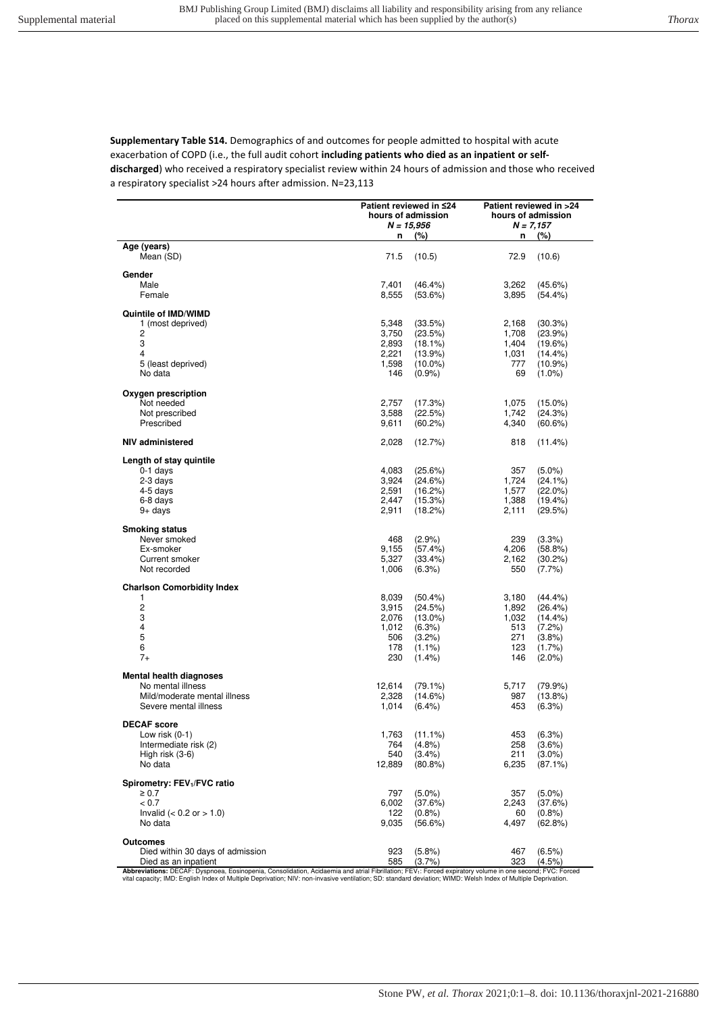**Supplementary Table S14.** Demographics of and outcomes for people admitted to hospital with acute exacerbation of COPD (i.e., the full audit cohort **including patients who died as an inpatient or selfdischarged**) who received a respiratory specialist review within 24 hours of admission and those who received a respiratory specialist >24 hours after admission. N=23,113

|                                                                                                                                                                                                                                         | Patient reviewed in ≤24<br>hours of admission<br>N = 15,956 |                                                                                      | Patient reviewed in >24<br>hours of admission<br>$N = 7,157$ |                                                                               |
|-----------------------------------------------------------------------------------------------------------------------------------------------------------------------------------------------------------------------------------------|-------------------------------------------------------------|--------------------------------------------------------------------------------------|--------------------------------------------------------------|-------------------------------------------------------------------------------|
|                                                                                                                                                                                                                                         | n                                                           | (%)                                                                                  | n                                                            | (%)                                                                           |
| Age (years)<br>Mean (SD)                                                                                                                                                                                                                | 71.5                                                        | (10.5)                                                                               | 72.9                                                         | (10.6)                                                                        |
| Gender<br>Male<br>Female                                                                                                                                                                                                                | 7,401<br>8,555                                              | $(46.4\%)$<br>(53.6%)                                                                | 3,262<br>3,895                                               | (45.6%)<br>$(54.4\%)$                                                         |
| Quintile of IMD/WIMD                                                                                                                                                                                                                    |                                                             |                                                                                      |                                                              |                                                                               |
| 1 (most deprived)<br>2<br>3<br>4<br>5 (least deprived)<br>No data                                                                                                                                                                       | 5.348<br>3,750<br>2,893<br>2,221<br>1,598<br>146            | (33.5%)<br>(23.5%)<br>$(18.1\%)$<br>$(13.9\%)$<br>$(10.0\%)$<br>$(0.9\%)$            | 2,168<br>1,708<br>1,404<br>1,031<br>777<br>69                | (30.3%)<br>(23.9%)<br>(19.6%)<br>(14.4%)<br>$(10.9\%)$<br>$(1.0\%)$           |
| Oxygen prescription                                                                                                                                                                                                                     |                                                             |                                                                                      |                                                              |                                                                               |
| Not needed<br>Not prescribed<br>Prescribed                                                                                                                                                                                              | 2,757<br>3,588<br>9,611                                     | (17.3%)<br>(22.5%)<br>(60.2%)                                                        | 1,075<br>1,742<br>4,340                                      | $(15.0\%)$<br>(24.3%)<br>(60.6%)                                              |
| NIV administered                                                                                                                                                                                                                        | 2,028                                                       | (12.7%)                                                                              | 818                                                          | $(11.4\%)$                                                                    |
| Length of stay quintile<br>0-1 days<br>2-3 days<br>4-5 days<br>6-8 days<br>9+ days                                                                                                                                                      | 4,083<br>3,924<br>2,591<br>2,447<br>2,911                   | (25.6%)<br>(24.6%)<br>(16.2%)<br>(15.3%)<br>(18.2%)                                  | 357<br>1,724<br>1,577<br>1,388<br>2,111                      | $(5.0\%)$<br>(24.1%)<br>$(22.0\%)$<br>(19.4%)<br>(29.5%)                      |
| <b>Smoking status</b><br>Never smoked<br>Ex-smoker<br>Current smoker<br>Not recorded                                                                                                                                                    | 468<br>9,155<br>5,327<br>1,006                              | $(2.9\%)$<br>(57.4%)<br>(33.4%)<br>(6.3%)                                            | 239<br>4,206<br>2,162<br>550                                 | (3.3%)<br>(58.8%)<br>(30.2%)<br>$(7.7\%)$                                     |
| <b>Charlson Comorbidity Index</b>                                                                                                                                                                                                       |                                                             |                                                                                      |                                                              |                                                                               |
| 1<br>2<br>3<br>4<br>5<br>6<br>$7+$                                                                                                                                                                                                      | 8,039<br>3,915<br>2,076<br>1,012<br>506<br>178<br>230       | $(50.4\%)$<br>(24.5%)<br>$(13.0\%)$<br>(6.3%)<br>$(3.2\%)$<br>$(1.1\%)$<br>$(1.4\%)$ | 3,180<br>1,892<br>1,032<br>513<br>271<br>123<br>146          | (44.4%<br>(26.4%)<br>$(14.4\%)$<br>(7.2%)<br>(3.8%)<br>$(1.7\%)$<br>$(2.0\%)$ |
| <b>Mental health diagnoses</b>                                                                                                                                                                                                          |                                                             |                                                                                      |                                                              |                                                                               |
| No mental illness<br>Mild/moderate mental illness<br>Severe mental illness                                                                                                                                                              | 12,614<br>2,328<br>1,014                                    | $(79.1\%)$<br>(14.6%)<br>$(6.4\%)$                                                   | 5,717<br>987<br>453                                          | (79.9%)<br>(13.8%)<br>(6.3%)                                                  |
| <b>DECAF</b> score<br>Low risk $(0-1)$<br>Intermediate risk (2)<br>High risk $(3-6)$<br>No data                                                                                                                                         | 1,763<br>764<br>540<br>12,889                               | $(11.1\%)$<br>$(4.8\%)$<br>$(3.4\%)$<br>$(80.8\%)$                                   | 453<br>258<br>211<br>6,235                                   | (6.3%)<br>$(3.6\%)$<br>$(3.0\%)$<br>$(87.1\%)$                                |
| Spirometry: FEV <sub>1</sub> /FVC ratio<br>$\geq 0.7$<br>< 0.7<br>Invalid ( $< 0.2$ or $> 1.0$ )<br>No data                                                                                                                             | 797<br>6,002<br>122<br>9,035                                | $(5.0\%)$<br>(37.6%)<br>$(0.8\%)$<br>(56.6%)                                         | 357<br>2,243<br>60<br>4,497                                  | $(5.0\%)$<br>(37.6%)<br>(0.8%<br>(62.8%)                                      |
| <b>Outcomes</b><br>Died within 30 days of admission<br>Died as an inpatient<br>Abbreviations: DECAE: Dyspnoea, Ensinonenia, Consolidation, Acidaemia and atrial Fibrillation: EEV.: Enroed expiratory volume in one second: EVC: Enroed | 923<br>585                                                  | (5.8%)<br>(3.7%)                                                                     | 467<br>323                                                   | $(6.5\%)$<br>$(4.5\%)$                                                        |

**Abbreviations:** DECAF: Dyspnoea, Eosinopenia, Consolidation, Acidaemia and atrial Fibrillation; FEV<sub>1</sub>: Forced expiratory volume in one second; FVC: Forced<br>vital capacity; IMD: English Index of Multiple Deprivation; NIV: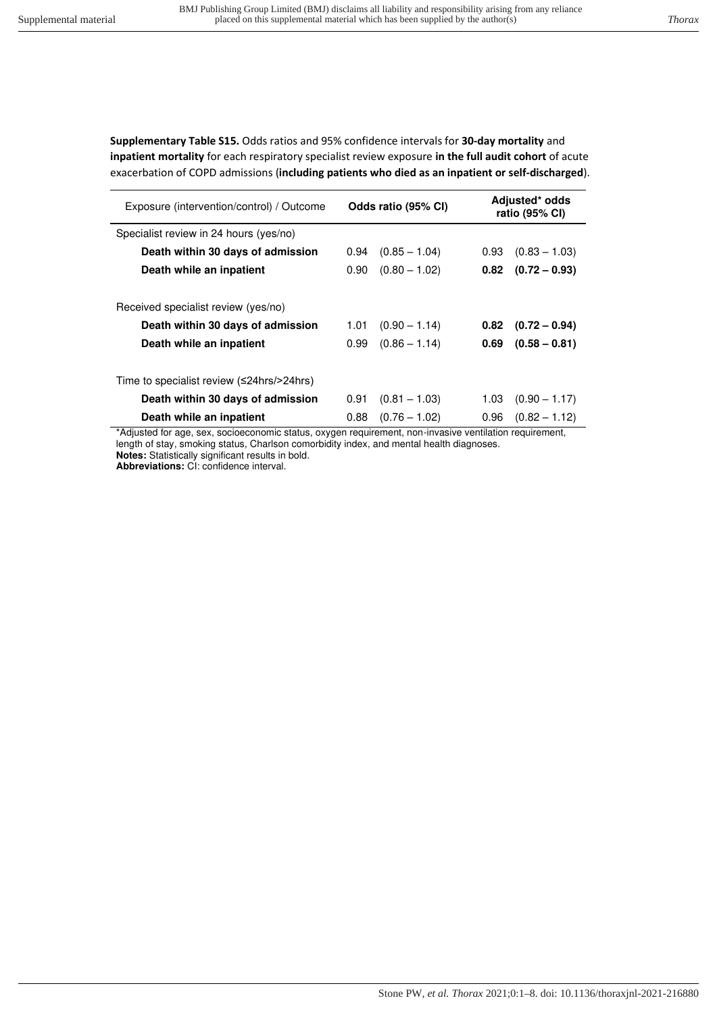**Supplementary Table S15.** Odds ratios and 95% confidence intervals for **30-day mortality** and **inpatient mortality** for each respiratory specialist review exposure **in the full audit cohort** of acute exacerbation of COPD admissions (**including patients who died as an inpatient or self-discharged**).

| Exposure (intervention/control) / Outcome | Odds ratio (95% CI) |                 | Adjusted* odds<br>ratio (95% CI) |                 |
|-------------------------------------------|---------------------|-----------------|----------------------------------|-----------------|
| Specialist review in 24 hours (yes/no)    |                     |                 |                                  |                 |
| Death within 30 days of admission         | 0.94                | $(0.85 - 1.04)$ | 0.93                             | $(0.83 - 1.03)$ |
| Death while an inpatient                  | 0.90                | $(0.80 - 1.02)$ | 0.82                             | $(0.72 - 0.93)$ |
| Received specialist review (yes/no)       |                     |                 |                                  |                 |
| Death within 30 days of admission         | 1.01                | $(0.90 - 1.14)$ | 0.82                             | $(0.72 - 0.94)$ |
| Death while an inpatient                  | 0.99                | $(0.86 - 1.14)$ | 0.69                             | $(0.58 - 0.81)$ |
| Time to specialist review (≤24hrs/>24hrs) |                     |                 |                                  |                 |
| Death within 30 days of admission         | 0.91                | $(0.81 - 1.03)$ | 1.03                             | $(0.90 - 1.17)$ |
| Death while an inpatient                  | 0.88                | $(0.76 - 1.02)$ | 0.96                             | $(0.82 - 1.12)$ |

\*Adjusted for age, sex, socioeconomic status, oxygen requirement, non-invasive ventilation requirement, length of stay, smoking status, Charlson comorbidity index, and mental health diagnoses. **Notes:** Statistically significant results in bold.

**Abbreviations:** CI: confidence interval.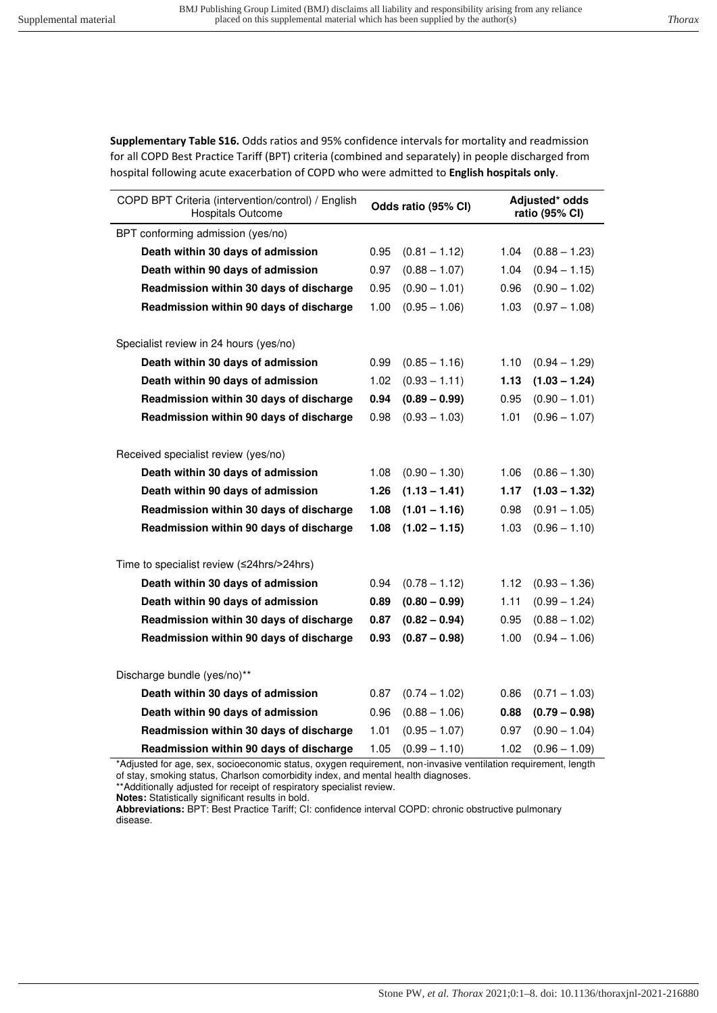**Supplementary Table S16.** Odds ratios and 95% confidence intervals for mortality and readmission for all COPD Best Practice Tariff (BPT) criteria (combined and separately) in people discharged from hospital following acute exacerbation of COPD who were admitted to **English hospitals only**.

| COPD BPT Criteria (intervention/control) / English<br><b>Hospitals Outcome</b> | Odds ratio (95% CI) |                 | Adjusted* odds<br>ratio (95% CI) |                 |
|--------------------------------------------------------------------------------|---------------------|-----------------|----------------------------------|-----------------|
| BPT conforming admission (yes/no)                                              |                     |                 |                                  |                 |
| Death within 30 days of admission                                              | 0.95                | $(0.81 - 1.12)$ | 1.04                             | $(0.88 - 1.23)$ |
| Death within 90 days of admission                                              | 0.97                | $(0.88 - 1.07)$ | 1.04                             | $(0.94 - 1.15)$ |
| Readmission within 30 days of discharge                                        | 0.95                | $(0.90 - 1.01)$ | 0.96                             | $(0.90 - 1.02)$ |
| Readmission within 90 days of discharge                                        | 1.00                | $(0.95 - 1.06)$ | 1.03                             | $(0.97 - 1.08)$ |
| Specialist review in 24 hours (yes/no)                                         |                     |                 |                                  |                 |
| Death within 30 days of admission                                              | 0.99                | $(0.85 - 1.16)$ | 1.10                             | $(0.94 - 1.29)$ |
| Death within 90 days of admission                                              | 1.02                | $(0.93 - 1.11)$ | 1.13                             | $(1.03 - 1.24)$ |
| Readmission within 30 days of discharge                                        | 0.94                | $(0.89 - 0.99)$ | 0.95                             | $(0.90 - 1.01)$ |
| Readmission within 90 days of discharge                                        | 0.98                | $(0.93 - 1.03)$ | 1.01                             | $(0.96 - 1.07)$ |
| Received specialist review (yes/no)                                            |                     |                 |                                  |                 |
| Death within 30 days of admission                                              | 1.08                | $(0.90 - 1.30)$ | 1.06                             | $(0.86 - 1.30)$ |
| Death within 90 days of admission                                              | 1.26                | $(1.13 - 1.41)$ | 1.17                             | $(1.03 - 1.32)$ |
| Readmission within 30 days of discharge                                        | 1.08                | $(1.01 - 1.16)$ | 0.98                             | $(0.91 - 1.05)$ |
| Readmission within 90 days of discharge                                        | 1.08                | $(1.02 - 1.15)$ | 1.03                             | $(0.96 - 1.10)$ |
| Time to specialist review (≤24hrs/>24hrs)                                      |                     |                 |                                  |                 |
| Death within 30 days of admission                                              | 0.94                | $(0.78 - 1.12)$ | 1.12                             | $(0.93 - 1.36)$ |
| Death within 90 days of admission                                              | 0.89                | $(0.80 - 0.99)$ | 1.11                             | $(0.99 - 1.24)$ |
| Readmission within 30 days of discharge                                        | 0.87                | $(0.82 - 0.94)$ | 0.95                             | $(0.88 - 1.02)$ |
| Readmission within 90 days of discharge                                        | 0.93                | $(0.87 - 0.98)$ | 1.00                             | $(0.94 - 1.06)$ |
|                                                                                |                     |                 |                                  |                 |
| Discharge bundle (yes/no)**                                                    |                     |                 |                                  |                 |
| Death within 30 days of admission                                              | 0.87                | $(0.74 - 1.02)$ | 0.86                             | $(0.71 - 1.03)$ |
| Death within 90 days of admission                                              | 0.96                | $(0.88 - 1.06)$ | 0.88                             | $(0.79 - 0.98)$ |
| Readmission within 30 days of discharge                                        | 1.01                | $(0.95 - 1.07)$ | 0.97                             | $(0.90 - 1.04)$ |
| Readmission within 90 days of discharge                                        | 1.05                | $(0.99 - 1.10)$ | 1.02                             | $(0.96 - 1.09)$ |

\*Adjusted for age, sex, socioeconomic status, oxygen requirement, non-invasive ventilation requirement, length of stay, smoking status, Charlson comorbidity index, and mental health diagnoses.

\*\*Additionally adjusted for receipt of respiratory specialist review.

**Notes:** Statistically significant results in bold.

**Abbreviations:** BPT: Best Practice Tariff; CI: confidence interval COPD: chronic obstructive pulmonary disease.